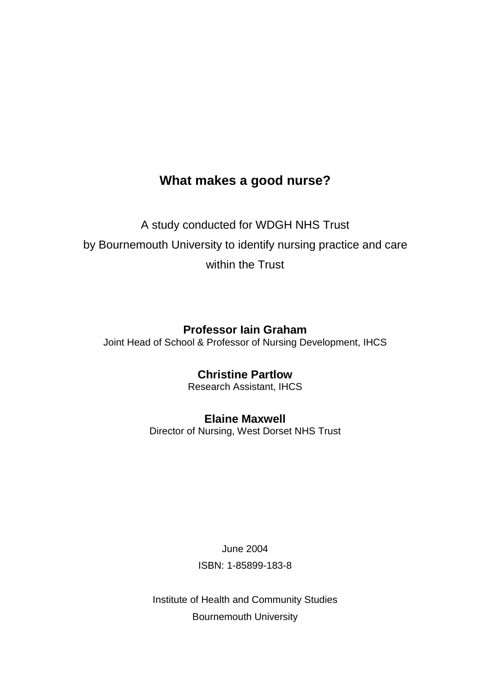# **What makes a good nurse?**

A study conducted for WDGH NHS Trust by Bournemouth University to identify nursing practice and care within the Trust

## **Professor Iain Graham**

Joint Head of School & Professor of Nursing Development, IHCS

## **Christine Partlow**

Research Assistant, IHCS

## **Elaine Maxwell**

Director of Nursing, West Dorset NHS Trust

June 2004 ISBN: 1-85899-183-8

Institute of Health and Community Studies Bournemouth University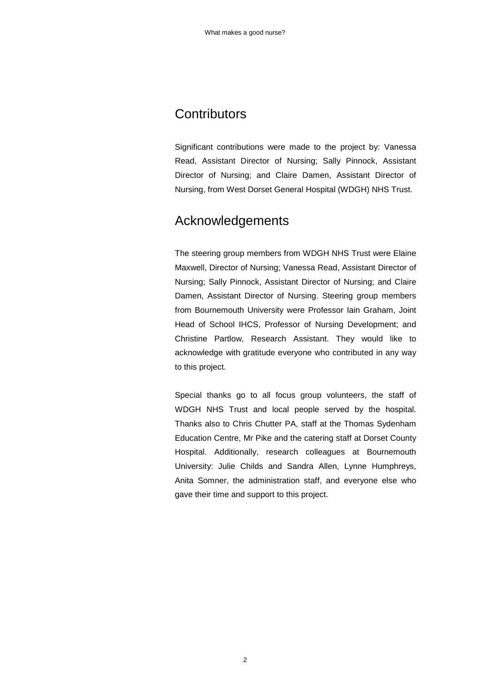## **Contributors**

Significant contributions were made to the project by: Vanessa Read, Assistant Director of Nursing; Sally Pinnock, Assistant Director of Nursing; and Claire Damen, Assistant Director of Nursing, from West Dorset General Hospital (WDGH) NHS Trust.

## Acknowledgements

The steering group members from WDGH NHS Trust were Elaine Maxwell, Director of Nursing; Vanessa Read, Assistant Director of Nursing; Sally Pinnock, Assistant Director of Nursing; and Claire Damen, Assistant Director of Nursing. Steering group members from Bournemouth University were Professor Iain Graham, Joint Head of School IHCS, Professor of Nursing Development; and Christine Partlow, Research Assistant. They would like to acknowledge with gratitude everyone who contributed in any way to this project.

Special thanks go to all focus group volunteers, the staff of WDGH NHS Trust and local people served by the hospital. Thanks also to Chris Chutter PA, staff at the Thomas Sydenham Education Centre, Mr Pike and the catering staff at Dorset County Hospital. Additionally, research colleagues at Bournemouth University: Julie Childs and Sandra Allen, Lynne Humphreys, Anita Somner, the administration staff, and everyone else who gave their time and support to this project.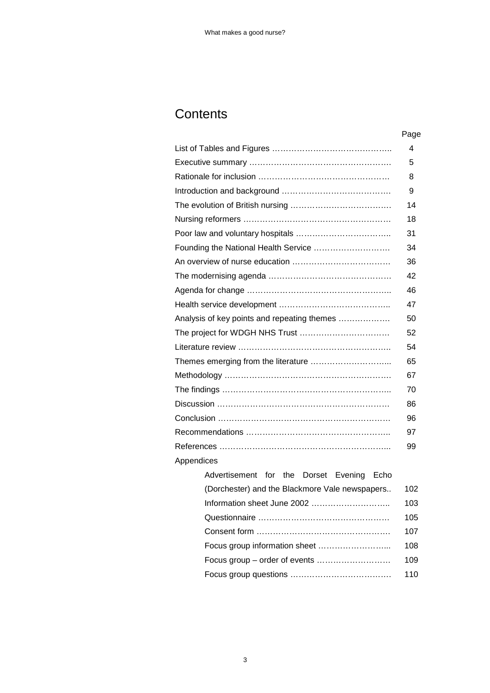# **Contents**

|                                                | 4   |
|------------------------------------------------|-----|
|                                                | 5   |
|                                                | 8   |
|                                                | 9   |
|                                                | 14  |
|                                                | 18  |
|                                                | 31  |
| Founding the National Health Service           | 34  |
|                                                | 36  |
|                                                | 42  |
|                                                | 46  |
|                                                | 47  |
| Analysis of key points and repeating themes    | 50  |
| The project for WDGH NHS Trust                 | 52  |
|                                                | 54  |
|                                                | 65  |
|                                                | 67  |
|                                                | 70  |
|                                                | 86  |
|                                                | 96  |
|                                                | 97  |
|                                                | 99  |
| Appendices                                     |     |
| Advertisement for the Dorset Evening Echo      |     |
| (Dorchester) and the Blackmore Vale newspapers | 102 |
| Information sheet June 2002                    | 103 |
|                                                | 105 |
|                                                | 107 |
| Focus group information sheet                  | 108 |
| Focus group - order of events                  | 109 |
|                                                | 110 |

Page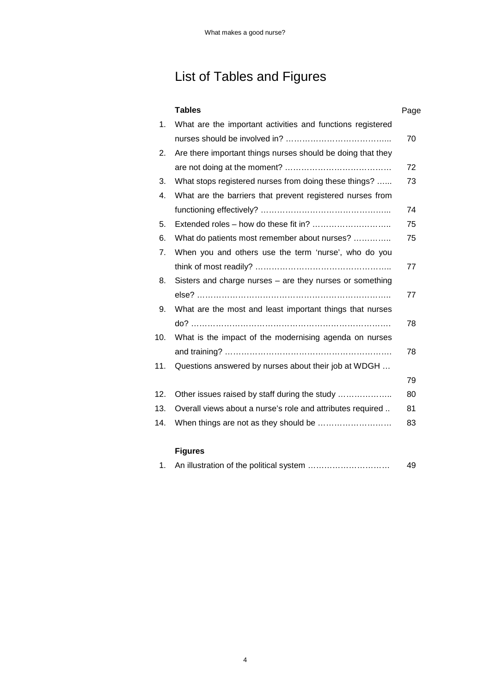# List of Tables and Figures

|     | <b>Tables</b>                                               | Page |
|-----|-------------------------------------------------------------|------|
| 1.  | What are the important activities and functions registered  |      |
|     |                                                             | 70   |
| 2.  | Are there important things nurses should be doing that they |      |
|     |                                                             | 72   |
| 3.  | What stops registered nurses from doing these things?       | 73   |
| 4.  | What are the barriers that prevent registered nurses from   |      |
|     |                                                             | 74   |
| 5.  |                                                             | 75   |
| 6.  | What do patients most remember about nurses?                | 75   |
| 7.  | When you and others use the term 'nurse', who do you        |      |
|     |                                                             | 77   |
| 8.  | Sisters and charge nurses $-$ are they nurses or something  |      |
|     |                                                             | 77   |
| 9.  | What are the most and least important things that nurses    |      |
|     |                                                             | 78   |
| 10. | What is the impact of the modernising agenda on nurses      |      |
|     |                                                             | 78   |
| 11. | Questions answered by nurses about their job at WDGH        |      |
|     |                                                             | 79   |
| 12. | Other issues raised by staff during the study               | 80   |
| 13. | Overall views about a nurse's role and attributes required  | 81   |
| 14. |                                                             | 83   |
|     |                                                             |      |
|     | г.                                                          |      |

#### **Figures**

|  |  |  | 49 |
|--|--|--|----|
|--|--|--|----|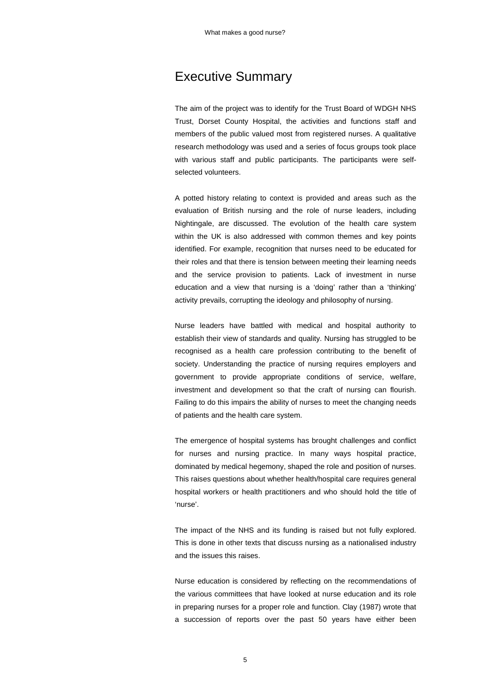## Executive Summary

The aim of the project was to identify for the Trust Board of WDGH NHS Trust, Dorset County Hospital, the activities and functions staff and members of the public valued most from registered nurses. A qualitative research methodology was used and a series of focus groups took place with various staff and public participants. The participants were selfselected volunteers.

A potted history relating to context is provided and areas such as the evaluation of British nursing and the role of nurse leaders, including Nightingale, are discussed. The evolution of the health care system within the UK is also addressed with common themes and key points identified. For example, recognition that nurses need to be educated for their roles and that there is tension between meeting their learning needs and the service provision to patients. Lack of investment in nurse education and a view that nursing is a 'doing' rather than a 'thinking' activity prevails, corrupting the ideology and philosophy of nursing.

Nurse leaders have battled with medical and hospital authority to establish their view of standards and quality. Nursing has struggled to be recognised as a health care profession contributing to the benefit of society. Understanding the practice of nursing requires employers and government to provide appropriate conditions of service, welfare, investment and development so that the craft of nursing can flourish. Failing to do this impairs the ability of nurses to meet the changing needs of patients and the health care system.

The emergence of hospital systems has brought challenges and conflict for nurses and nursing practice. In many ways hospital practice, dominated by medical hegemony, shaped the role and position of nurses. This raises questions about whether health/hospital care requires general hospital workers or health practitioners and who should hold the title of 'nurse'.

The impact of the NHS and its funding is raised but not fully explored. This is done in other texts that discuss nursing as a nationalised industry and the issues this raises.

Nurse education is considered by reflecting on the recommendations of the various committees that have looked at nurse education and its role in preparing nurses for a proper role and function. Clay (1987) wrote that a succession of reports over the past 50 years have either been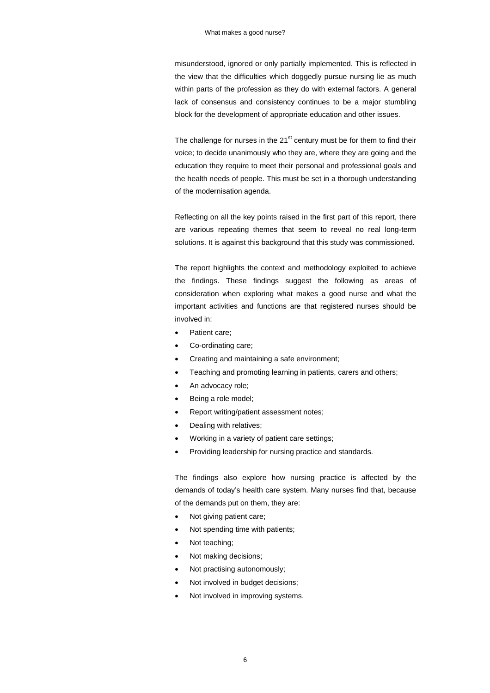misunderstood, ignored or only partially implemented. This is reflected in the view that the difficulties which doggedly pursue nursing lie as much within parts of the profession as they do with external factors. A general lack of consensus and consistency continues to be a major stumbling block for the development of appropriate education and other issues.

The challenge for nurses in the 21 $\mathrm{^{st}}$  century must be for them to find their voice; to decide unanimously who they are, where they are going and the education they require to meet their personal and professional goals and the health needs of people. This must be set in a thorough understanding of the modernisation agenda.

Reflecting on all the key points raised in the first part of this report, there are various repeating themes that seem to reveal no real long-term solutions. It is against this background that this study was commissioned.

The report highlights the context and methodology exploited to achieve the findings. These findings suggest the following as areas of consideration when exploring what makes a good nurse and what the important activities and functions are that registered nurses should be involved in:

- Patient care;
- Co-ordinating care;
- Creating and maintaining a safe environment;
- Teaching and promoting learning in patients, carers and others;
- An advocacy role;
- Being a role model;
- Report writing/patient assessment notes;
- Dealing with relatives:
- Working in a variety of patient care settings;
- Providing leadership for nursing practice and standards.

The findings also explore how nursing practice is affected by the demands of today's health care system. Many nurses find that, because of the demands put on them, they are:

- Not giving patient care;
- Not spending time with patients:
- Not teaching;
- Not making decisions;
- Not practising autonomously;
- Not involved in budget decisions:
- Not involved in improving systems.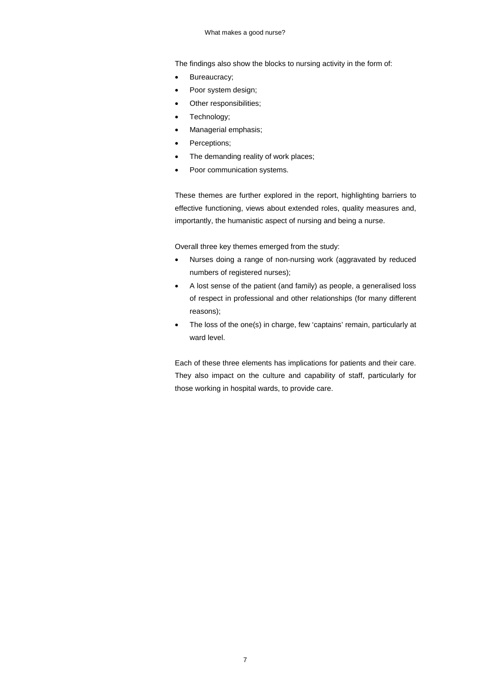#### What makes a good nurse?

The findings also show the blocks to nursing activity in the form of:

- Bureaucracy;
- Poor system design;
- Other responsibilities;
- Technology;
- Managerial emphasis;
- Perceptions:
- The demanding reality of work places;
- Poor communication systems.

These themes are further explored in the report, highlighting barriers to effective functioning, views about extended roles, quality measures and, importantly, the humanistic aspect of nursing and being a nurse.

Overall three key themes emerged from the study:

- Nurses doing a range of non-nursing work (aggravated by reduced numbers of registered nurses);
- A lost sense of the patient (and family) as people, a generalised loss of respect in professional and other relationships (for many different reasons);
- The loss of the one(s) in charge, few 'captains' remain, particularly at ward level.

Each of these three elements has implications for patients and their care. They also impact on the culture and capability of staff, particularly for those working in hospital wards, to provide care.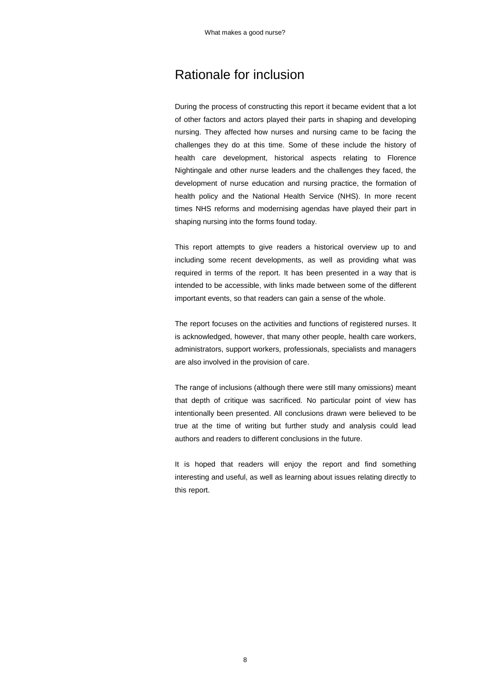## Rationale for inclusion

During the process of constructing this report it became evident that a lot of other factors and actors played their parts in shaping and developing nursing. They affected how nurses and nursing came to be facing the challenges they do at this time. Some of these include the history of health care development, historical aspects relating to Florence Nightingale and other nurse leaders and the challenges they faced, the development of nurse education and nursing practice, the formation of health policy and the National Health Service (NHS). In more recent times NHS reforms and modernising agendas have played their part in shaping nursing into the forms found today.

This report attempts to give readers a historical overview up to and including some recent developments, as well as providing what was required in terms of the report. It has been presented in a way that is intended to be accessible, with links made between some of the different important events, so that readers can gain a sense of the whole.

The report focuses on the activities and functions of registered nurses. It is acknowledged, however, that many other people, health care workers, administrators, support workers, professionals, specialists and managers are also involved in the provision of care.

The range of inclusions (although there were still many omissions) meant that depth of critique was sacrificed. No particular point of view has intentionally been presented. All conclusions drawn were believed to be true at the time of writing but further study and analysis could lead authors and readers to different conclusions in the future.

It is hoped that readers will enjoy the report and find something interesting and useful, as well as learning about issues relating directly to this report.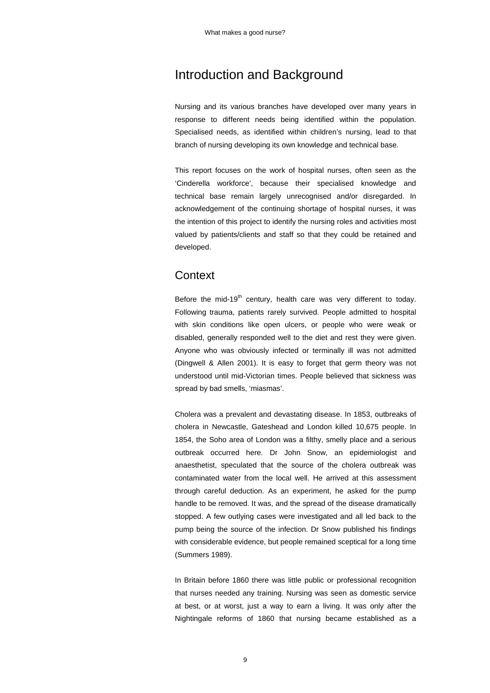## Introduction and Background

Nursing and its various branches have developed over many years in response to different needs being identified within the population. Specialised needs, as identified within children's nursing, lead to that branch of nursing developing its own knowledge and technical base.

This report focuses on the work of hospital nurses, often seen as the 'Cinderella workforce', because their specialised knowledge and technical base remain largely unrecognised and/or disregarded. In acknowledgement of the continuing shortage of hospital nurses, it was the intention of this project to identify the nursing roles and activities most valued by patients/clients and staff so that they could be retained and developed.

#### **Context**

Before the mid-19<sup>th</sup> century, health care was very different to today. Following trauma, patients rarely survived. People admitted to hospital with skin conditions like open ulcers, or people who were weak or disabled, generally responded well to the diet and rest they were given. Anyone who was obviously infected or terminally ill was not admitted (Dingwell & Allen 2001). It is easy to forget that germ theory was not understood until mid-Victorian times. People believed that sickness was spread by bad smells, 'miasmas'.

Cholera was a prevalent and devastating disease. In 1853, outbreaks of cholera in Newcastle, Gateshead and London killed 10,675 people. In 1854, the Soho area of London was a filthy, smelly place and a serious outbreak occurred here. Dr John Snow, an epidemiologist and anaesthetist, speculated that the source of the cholera outbreak was contaminated water from the local well. He arrived at this assessment through careful deduction. As an experiment, he asked for the pump handle to be removed. It was, and the spread of the disease dramatically stopped. A few outlying cases were investigated and all led back to the pump being the source of the infection. Dr Snow published his findings with considerable evidence, but people remained sceptical for a long time (Summers 1989).

In Britain before 1860 there was little public or professional recognition that nurses needed any training. Nursing was seen as domestic service at best, or at worst, just a way to earn a living. It was only after the Nightingale reforms of 1860 that nursing became established as a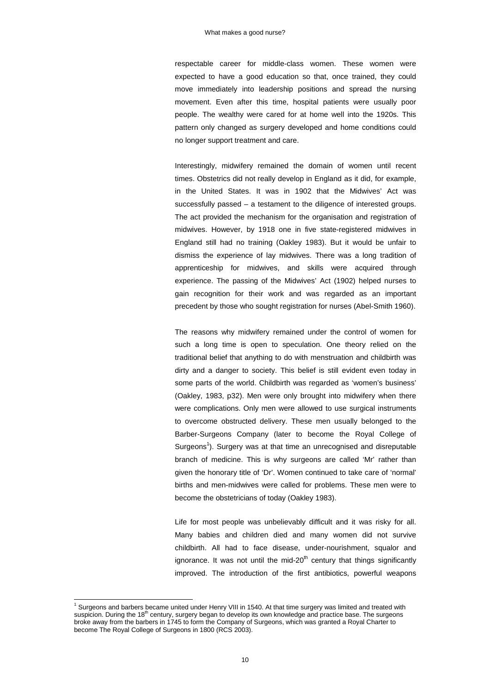respectable career for middle-class women. These women were expected to have a good education so that, once trained, they could move immediately into leadership positions and spread the nursing movement. Even after this time, hospital patients were usually poor people. The wealthy were cared for at home well into the 1920s. This pattern only changed as surgery developed and home conditions could no longer support treatment and care.

Interestingly, midwifery remained the domain of women until recent times. Obstetrics did not really develop in England as it did, for example, in the United States. It was in 1902 that the Midwives' Act was successfully passed – a testament to the diligence of interested groups. The act provided the mechanism for the organisation and registration of midwives. However, by 1918 one in five state-registered midwives in England still had no training (Oakley 1983). But it would be unfair to dismiss the experience of lay midwives. There was a long tradition of apprenticeship for midwives, and skills were acquired through experience. The passing of the Midwives' Act (1902) helped nurses to gain recognition for their work and was regarded as an important precedent by those who sought registration for nurses (Abel-Smith 1960).

The reasons why midwifery remained under the control of women for such a long time is open to speculation. One theory relied on the traditional belief that anything to do with menstruation and childbirth was dirty and a danger to society. This belief is still evident even today in some parts of the world. Childbirth was regarded as 'women's business' (Oakley, 1983, p32). Men were only brought into midwifery when there were complications. Only men were allowed to use surgical instruments to overcome obstructed delivery. These men usually belonged to the Barber-Surgeons Company (later to become the Royal College of Surgeons<sup>1</sup>). Surgery was at that time an unrecognised and disreputable branch of medicine. This is why surgeons are called 'Mr' rather than given the honorary title of 'Dr'. Women continued to take care of 'normal' births and men-midwives were called for problems. These men were to become the obstetricians of today (Oakley 1983).

Life for most people was unbelievably difficult and it was risky for all. Many babies and children died and many women did not survive childbirth. All had to face disease, under-nourishment, squalor and ignorance. It was not until the mid-20<sup>th</sup> century that things significantly improved. The introduction of the first antibiotics, powerful weapons

l

<sup>&</sup>lt;sup>1</sup> Surgeons and barbers became united under Henry VIII in 1540. At that time surgery was limited and treated with suspicion. During the 18<sup>th</sup> century, surgery began to develop its own knowledge and practice base. The surgeons broke away from the barbers in 1745 to form the Company of Surgeons, which was granted a Royal Charter to become The Royal College of Surgeons in 1800 (RCS 2003).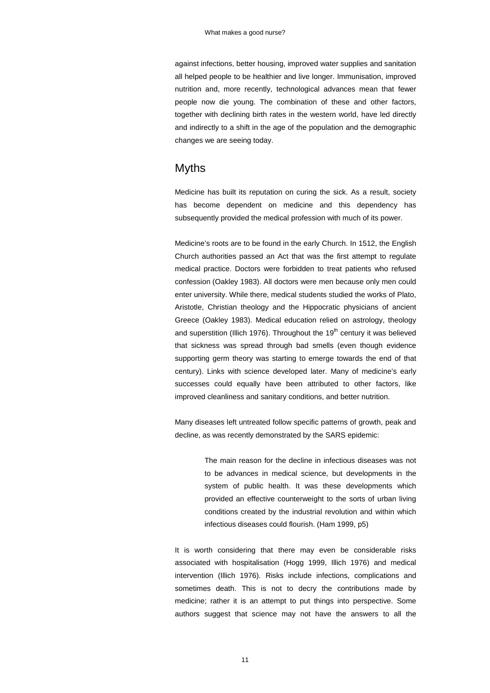against infections, better housing, improved water supplies and sanitation all helped people to be healthier and live longer. Immunisation, improved nutrition and, more recently, technological advances mean that fewer people now die young. The combination of these and other factors, together with declining birth rates in the western world, have led directly and indirectly to a shift in the age of the population and the demographic changes we are seeing today.

#### Myths

Medicine has built its reputation on curing the sick. As a result, society has become dependent on medicine and this dependency has subsequently provided the medical profession with much of its power.

Medicine's roots are to be found in the early Church. In 1512, the English Church authorities passed an Act that was the first attempt to regulate medical practice. Doctors were forbidden to treat patients who refused confession (Oakley 1983). All doctors were men because only men could enter university. While there, medical students studied the works of Plato, Aristotle, Christian theology and the Hippocratic physicians of ancient Greece (Oakley 1983). Medical education relied on astrology, theology and superstition (Illich 1976). Throughout the 19<sup>th</sup> century it was believed that sickness was spread through bad smells (even though evidence supporting germ theory was starting to emerge towards the end of that century). Links with science developed later. Many of medicine's early successes could equally have been attributed to other factors, like improved cleanliness and sanitary conditions, and better nutrition.

Many diseases left untreated follow specific patterns of growth, peak and decline, as was recently demonstrated by the SARS epidemic:

> The main reason for the decline in infectious diseases was not to be advances in medical science, but developments in the system of public health. It was these developments which provided an effective counterweight to the sorts of urban living conditions created by the industrial revolution and within which infectious diseases could flourish. (Ham 1999, p5)

It is worth considering that there may even be considerable risks associated with hospitalisation (Hogg 1999, Illich 1976) and medical intervention (Illich 1976). Risks include infections, complications and sometimes death. This is not to decry the contributions made by medicine; rather it is an attempt to put things into perspective. Some authors suggest that science may not have the answers to all the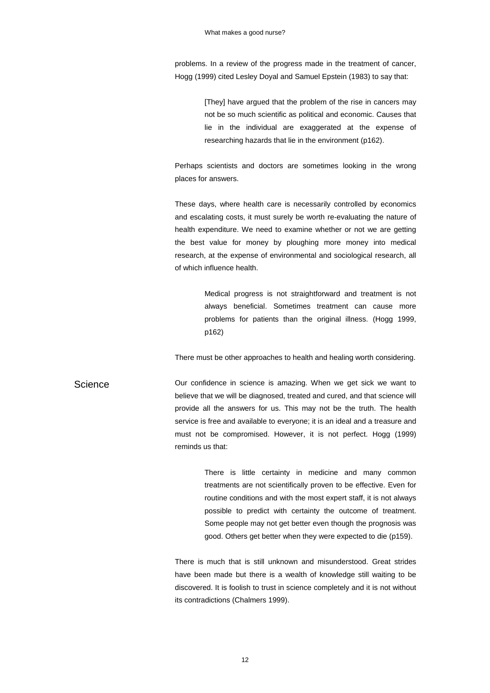problems. In a review of the progress made in the treatment of cancer, Hogg (1999) cited Lesley Doyal and Samuel Epstein (1983) to say that:

> [They] have argued that the problem of the rise in cancers may not be so much scientific as political and economic. Causes that lie in the individual are exaggerated at the expense of researching hazards that lie in the environment (p162).

Perhaps scientists and doctors are sometimes looking in the wrong places for answers.

These days, where health care is necessarily controlled by economics and escalating costs, it must surely be worth re-evaluating the nature of health expenditure. We need to examine whether or not we are getting the best value for money by ploughing more money into medical research, at the expense of environmental and sociological research, all of which influence health.

> Medical progress is not straightforward and treatment is not always beneficial. Sometimes treatment can cause more problems for patients than the original illness. (Hogg 1999, p162)

There must be other approaches to health and healing worth considering.

Science **Science** Our confidence in science is amazing. When we get sick we want to believe that we will be diagnosed, treated and cured, and that science will provide all the answers for us. This may not be the truth. The health service is free and available to everyone; it is an ideal and a treasure and must not be compromised. However, it is not perfect. Hogg (1999) reminds us that:

> There is little certainty in medicine and many common treatments are not scientifically proven to be effective. Even for routine conditions and with the most expert staff, it is not always possible to predict with certainty the outcome of treatment. Some people may not get better even though the prognosis was good. Others get better when they were expected to die (p159).

There is much that is still unknown and misunderstood. Great strides have been made but there is a wealth of knowledge still waiting to be discovered. It is foolish to trust in science completely and it is not without its contradictions (Chalmers 1999).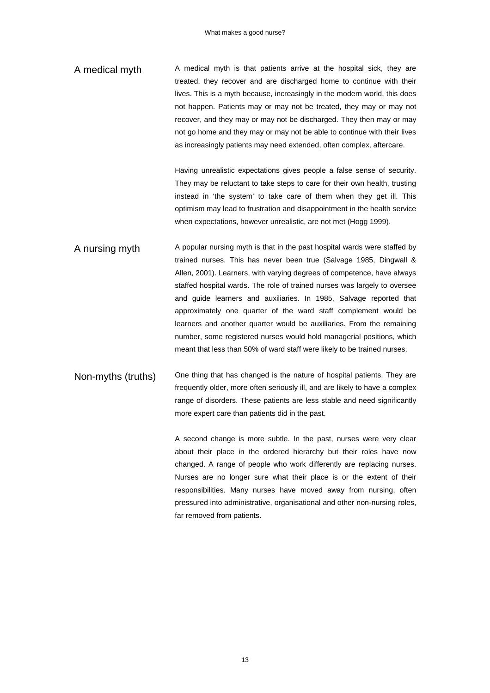A medical myth A medical myth is that patients arrive at the hospital sick, they are treated, they recover and are discharged home to continue with their lives. This is a myth because, increasingly in the modern world, this does not happen. Patients may or may not be treated, they may or may not recover, and they may or may not be discharged. They then may or may not go home and they may or may not be able to continue with their lives as increasingly patients may need extended, often complex, aftercare.

> Having unrealistic expectations gives people a false sense of security. They may be reluctant to take steps to care for their own health, trusting instead in 'the system' to take care of them when they get ill. This optimism may lead to frustration and disappointment in the health service when expectations, however unrealistic, are not met (Hogg 1999).

- A nursing myth A popular nursing myth is that in the past hospital wards were staffed by trained nurses. This has never been true (Salvage 1985, Dingwall & Allen, 2001). Learners, with varying degrees of competence, have always staffed hospital wards. The role of trained nurses was largely to oversee and guide learners and auxiliaries. In 1985, Salvage reported that approximately one quarter of the ward staff complement would be learners and another quarter would be auxiliaries. From the remaining number, some registered nurses would hold managerial positions, which meant that less than 50% of ward staff were likely to be trained nurses.
- Non-myths (truths) One thing that has changed is the nature of hospital patients. They are frequently older, more often seriously ill, and are likely to have a complex range of disorders. These patients are less stable and need significantly more expert care than patients did in the past.

A second change is more subtle. In the past, nurses were very clear about their place in the ordered hierarchy but their roles have now changed. A range of people who work differently are replacing nurses. Nurses are no longer sure what their place is or the extent of their responsibilities. Many nurses have moved away from nursing, often pressured into administrative, organisational and other non-nursing roles, far removed from patients.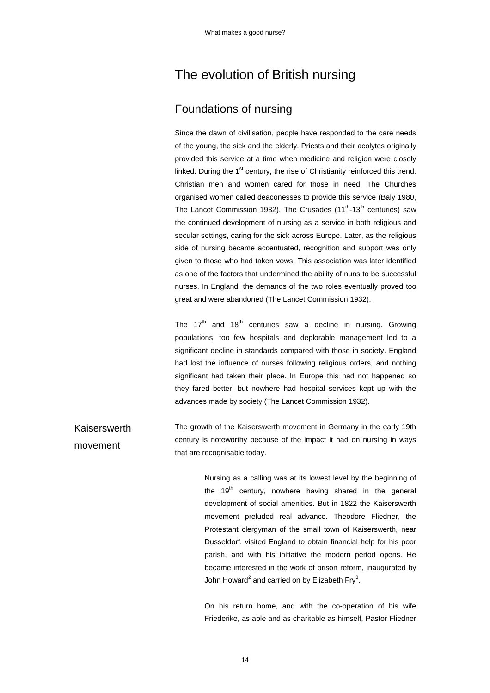## The evolution of British nursing

#### Foundations of nursing

Since the dawn of civilisation, people have responded to the care needs of the young, the sick and the elderly. Priests and their acolytes originally provided this service at a time when medicine and religion were closely linked. During the  $1<sup>st</sup>$  century, the rise of Christianity reinforced this trend. Christian men and women cared for those in need. The Churches organised women called deaconesses to provide this service (Baly 1980, The Lancet Commission 1932). The Crusades  $(11<sup>th</sup>-13<sup>th</sup>$  centuries) saw the continued development of nursing as a service in both religious and secular settings, caring for the sick across Europe. Later, as the religious side of nursing became accentuated, recognition and support was only given to those who had taken vows. This association was later identified as one of the factors that undermined the ability of nuns to be successful nurses. In England, the demands of the two roles eventually proved too great and were abandoned (The Lancet Commission 1932).

The  $17<sup>th</sup>$  and  $18<sup>th</sup>$  centuries saw a decline in nursing. Growing populations, too few hospitals and deplorable management led to a significant decline in standards compared with those in society. England had lost the influence of nurses following religious orders, and nothing significant had taken their place. In Europe this had not happened so they fared better, but nowhere had hospital services kept up with the advances made by society (The Lancet Commission 1932).

Kaiserswerth movement The growth of the Kaiserswerth movement in Germany in the early 19th century is noteworthy because of the impact it had on nursing in ways that are recognisable today.

> Nursing as a calling was at its lowest level by the beginning of the  $19<sup>th</sup>$  century, nowhere having shared in the general development of social amenities. But in 1822 the Kaiserswerth movement preluded real advance. Theodore Fliedner, the Protestant clergyman of the small town of Kaiserswerth, near Dusseldorf, visited England to obtain financial help for his poor parish, and with his initiative the modern period opens. He became interested in the work of prison reform, inaugurated by John Howard<sup>2</sup> and carried on by Elizabeth Fry<sup>3</sup>.

> On his return home, and with the co-operation of his wife Friederike, as able and as charitable as himself, Pastor Fliedner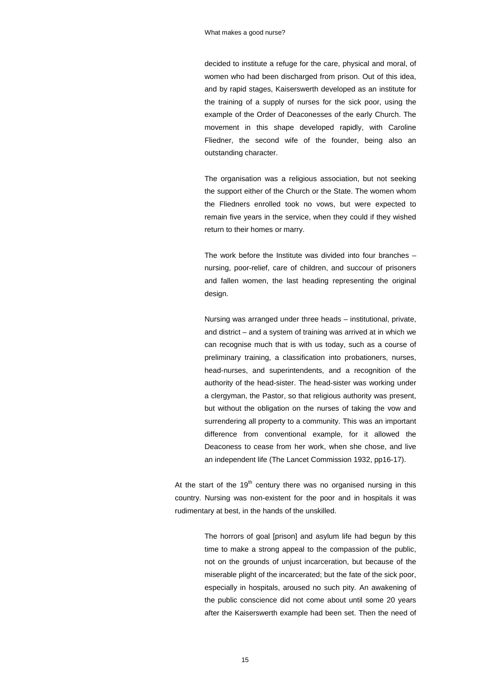decided to institute a refuge for the care, physical and moral, of women who had been discharged from prison. Out of this idea, and by rapid stages, Kaiserswerth developed as an institute for the training of a supply of nurses for the sick poor, using the example of the Order of Deaconesses of the early Church. The movement in this shape developed rapidly, with Caroline Fliedner, the second wife of the founder, being also an outstanding character.

The organisation was a religious association, but not seeking the support either of the Church or the State. The women whom the Fliedners enrolled took no vows, but were expected to remain five years in the service, when they could if they wished return to their homes or marry.

The work before the Institute was divided into four branches – nursing, poor-relief, care of children, and succour of prisoners and fallen women, the last heading representing the original design.

Nursing was arranged under three heads – institutional, private, and district – and a system of training was arrived at in which we can recognise much that is with us today, such as a course of preliminary training, a classification into probationers, nurses, head-nurses, and superintendents, and a recognition of the authority of the head-sister. The head-sister was working under a clergyman, the Pastor, so that religious authority was present, but without the obligation on the nurses of taking the vow and surrendering all property to a community. This was an important difference from conventional example, for it allowed the Deaconess to cease from her work, when she chose, and live an independent life (The Lancet Commission 1932, pp16-17).

At the start of the 19<sup>th</sup> century there was no organised nursing in this country. Nursing was non-existent for the poor and in hospitals it was rudimentary at best, in the hands of the unskilled.

> The horrors of goal [prison] and asylum life had begun by this time to make a strong appeal to the compassion of the public, not on the grounds of unjust incarceration, but because of the miserable plight of the incarcerated; but the fate of the sick poor, especially in hospitals, aroused no such pity. An awakening of the public conscience did not come about until some 20 years after the Kaiserswerth example had been set. Then the need of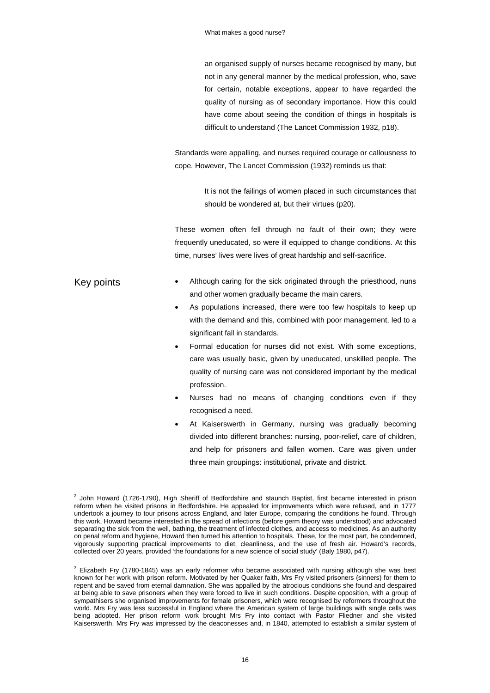an organised supply of nurses became recognised by many, but not in any general manner by the medical profession, who, save for certain, notable exceptions, appear to have regarded the quality of nursing as of secondary importance. How this could have come about seeing the condition of things in hospitals is difficult to understand (The Lancet Commission 1932, p18).

Standards were appalling, and nurses required courage or callousness to cope. However, The Lancet Commission (1932) reminds us that:

> It is not the failings of women placed in such circumstances that should be wondered at, but their virtues (p20).

These women often fell through no fault of their own; they were frequently uneducated, so were ill equipped to change conditions. At this time, nurses' lives were lives of great hardship and self-sacrifice.

- Key points Although caring for the sick originated through the priesthood, nuns and other women gradually became the main carers.
	- As populations increased, there were too few hospitals to keep up with the demand and this, combined with poor management, led to a significant fall in standards.
	- Formal education for nurses did not exist. With some exceptions, care was usually basic, given by uneducated, unskilled people. The quality of nursing care was not considered important by the medical profession.
	- Nurses had no means of changing conditions even if they recognised a need.
	- At Kaiserswerth in Germany, nursing was gradually becoming divided into different branches: nursing, poor-relief, care of children, and help for prisoners and fallen women. Care was given under three main groupings: institutional, private and district.

 $^2$  John Howard (1726-1790), High Sheriff of Bedfordshire and staunch Baptist, first became interested in prison reform when he visited prisons in Bedfordshire. He appealed for improvements which were refused, and in 1777 undertook a journey to tour prisons across England, and later Europe, comparing the conditions he found. Through this work, Howard became interested in the spread of infections (before germ theory was understood) and advocated separating the sick from the well, bathing, the treatment of infected clothes, and access to medicines. As an authority on penal reform and hygiene, Howard then turned his attention to hospitals. These, for the most part, he condemned, vigorously supporting practical improvements to diet, cleanliness, and the use of fresh air. Howard's records, collected over 20 years, provided 'the foundations for a new science of social study' (Baly 1980, p47).

 $3$  Elizabeth Fry (1780-1845) was an early reformer who became associated with nursing although she was best known for her work with prison reform. Motivated by her Quaker faith, Mrs Fry visited prisoners (sinners) for them to repent and be saved from eternal damnation. She was appalled by the atrocious conditions she found and despaired at being able to save prisoners when they were forced to live in such conditions. Despite opposition, with a group of sympathisers she organised improvements for female prisoners, which were recognised by reformers throughout the world. Mrs Fry was less successful in England where the American system of large buildings with single cells was being adopted. Her prison reform work brought Mrs Fry into contact with Pastor Fliedner and she visited Kaiserswerth. Mrs Fry was impressed by the deaconesses and, in 1840, attempted to establish a similar system of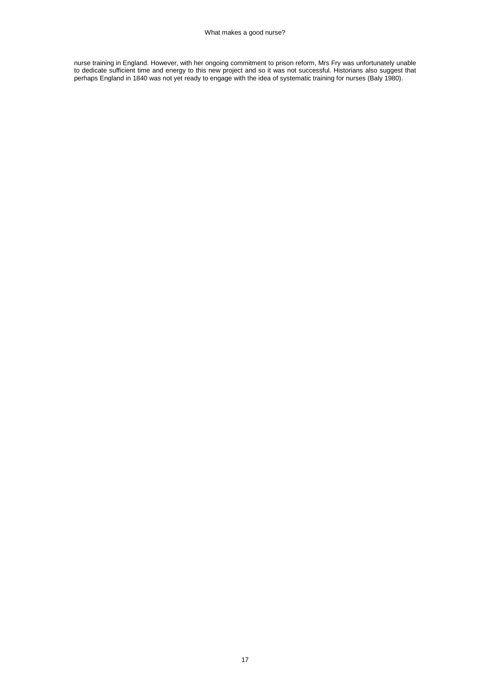nurse training in England. However, with her ongoing commitment to prison reform, Mrs Fry was unfortunately unable to dedicate sufficient time and energy to this new project and so it was not successful. Historians also suggest that perhaps England in 1840 was not yet ready to engage with the idea of systematic training for nurses (Baly 1980).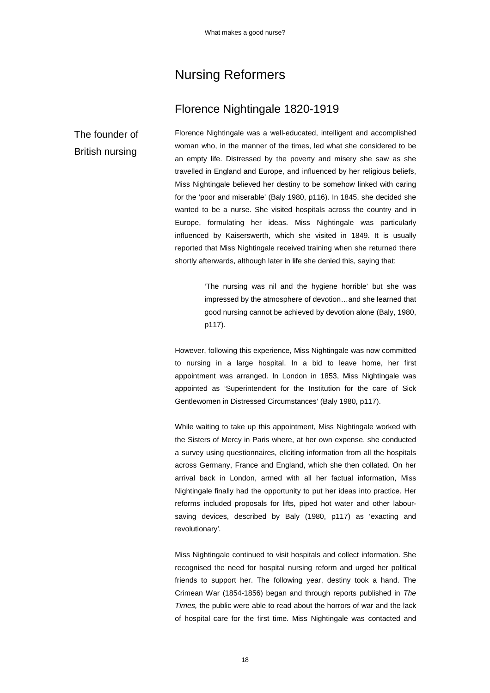## Nursing Reformers

#### Florence Nightingale 1820-1919

The founder of British nursing Florence Nightingale was a well-educated, intelligent and accomplished woman who, in the manner of the times, led what she considered to be an empty life. Distressed by the poverty and misery she saw as she travelled in England and Europe, and influenced by her religious beliefs, Miss Nightingale believed her destiny to be somehow linked with caring for the 'poor and miserable' (Baly 1980, p116). In 1845, she decided she wanted to be a nurse. She visited hospitals across the country and in Europe, formulating her ideas. Miss Nightingale was particularly influenced by Kaiserswerth, which she visited in 1849. It is usually reported that Miss Nightingale received training when she returned there shortly afterwards, although later in life she denied this, saying that:

> 'The nursing was nil and the hygiene horrible' but she was impressed by the atmosphere of devotion…and she learned that good nursing cannot be achieved by devotion alone (Baly, 1980, p117).

However, following this experience, Miss Nightingale was now committed to nursing in a large hospital. In a bid to leave home, her first appointment was arranged. In London in 1853, Miss Nightingale was appointed as 'Superintendent for the Institution for the care of Sick Gentlewomen in Distressed Circumstances' (Baly 1980, p117).

While waiting to take up this appointment, Miss Nightingale worked with the Sisters of Mercy in Paris where, at her own expense, she conducted a survey using questionnaires, eliciting information from all the hospitals across Germany, France and England, which she then collated. On her arrival back in London, armed with all her factual information, Miss Nightingale finally had the opportunity to put her ideas into practice. Her reforms included proposals for lifts, piped hot water and other laboursaving devices, described by Baly (1980, p117) as 'exacting and revolutionary'*.*

Miss Nightingale continued to visit hospitals and collect information. She recognised the need for hospital nursing reform and urged her political friends to support her. The following year, destiny took a hand. The Crimean War (1854-1856) began and through reports published in *The Times,* the public were able to read about the horrors of war and the lack of hospital care for the first time. Miss Nightingale was contacted and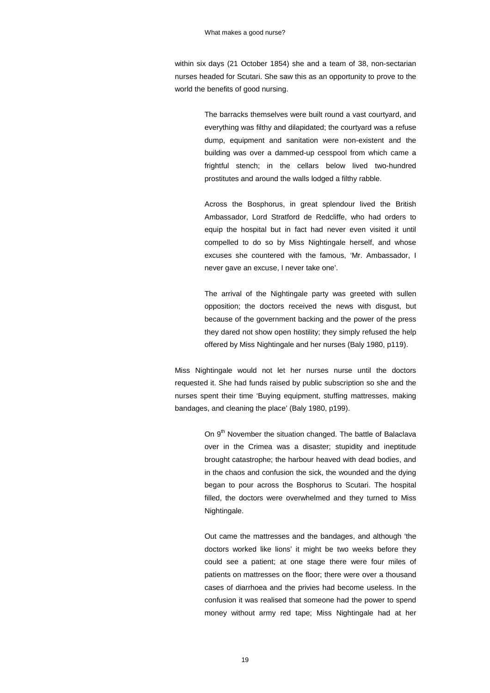within six days (21 October 1854) she and a team of 38, non-sectarian nurses headed for Scutari. She saw this as an opportunity to prove to the world the benefits of good nursing.

> The barracks themselves were built round a vast courtyard, and everything was filthy and dilapidated; the courtyard was a refuse dump, equipment and sanitation were non-existent and the building was over a dammed-up cesspool from which came a frightful stench; in the cellars below lived two-hundred prostitutes and around the walls lodged a filthy rabble.

> Across the Bosphorus, in great splendour lived the British Ambassador, Lord Stratford de Redcliffe, who had orders to equip the hospital but in fact had never even visited it until compelled to do so by Miss Nightingale herself, and whose excuses she countered with the famous, 'Mr. Ambassador, I never gave an excuse, I never take one'.

> The arrival of the Nightingale party was greeted with sullen opposition; the doctors received the news with disgust, but because of the government backing and the power of the press they dared not show open hostility; they simply refused the help offered by Miss Nightingale and her nurses (Baly 1980, p119).

Miss Nightingale would not let her nurses nurse until the doctors requested it. She had funds raised by public subscription so she and the nurses spent their time 'Buying equipment, stuffing mattresses, making bandages, and cleaning the place' (Baly 1980, p199).

> On  $9<sup>th</sup>$  November the situation changed. The battle of Balaclava over in the Crimea was a disaster; stupidity and ineptitude brought catastrophe; the harbour heaved with dead bodies, and in the chaos and confusion the sick, the wounded and the dying began to pour across the Bosphorus to Scutari. The hospital filled, the doctors were overwhelmed and they turned to Miss Nightingale.

> Out came the mattresses and the bandages, and although 'the doctors worked like lions' it might be two weeks before they could see a patient; at one stage there were four miles of patients on mattresses on the floor; there were over a thousand cases of diarrhoea and the privies had become useless. In the confusion it was realised that someone had the power to spend money without army red tape; Miss Nightingale had at her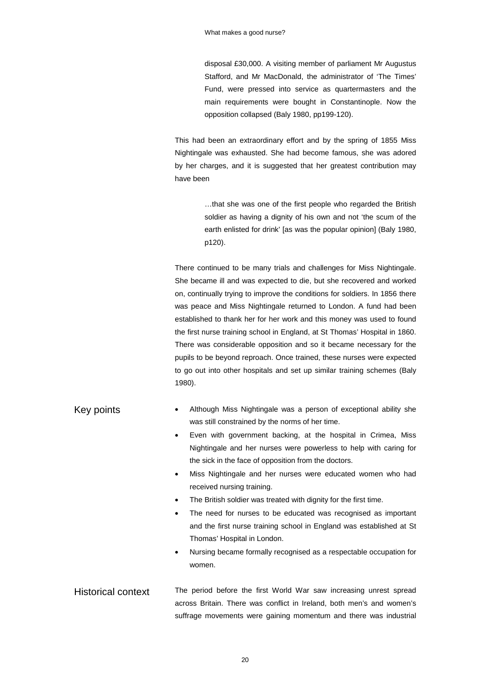disposal £30,000. A visiting member of parliament Mr Augustus Stafford, and Mr MacDonald, the administrator of 'The Times' Fund, were pressed into service as quartermasters and the main requirements were bought in Constantinople. Now the opposition collapsed (Baly 1980, pp199-120).

This had been an extraordinary effort and by the spring of 1855 Miss Nightingale was exhausted. She had become famous, she was adored by her charges, and it is suggested that her greatest contribution may have been

> …that she was one of the first people who regarded the British soldier as having a dignity of his own and not 'the scum of the earth enlisted for drink' [as was the popular opinion] (Baly 1980, p120).

There continued to be many trials and challenges for Miss Nightingale. She became ill and was expected to die, but she recovered and worked on, continually trying to improve the conditions for soldiers. In 1856 there was peace and Miss Nightingale returned to London. A fund had been established to thank her for her work and this money was used to found the first nurse training school in England, at St Thomas' Hospital in 1860. There was considerable opposition and so it became necessary for the pupils to be beyond reproach. Once trained, these nurses were expected to go out into other hospitals and set up similar training schemes (Baly 1980).

| Key points                | ٠         | Although Miss Nightingale was a person of exceptional ability she     |
|---------------------------|-----------|-----------------------------------------------------------------------|
|                           |           | was still constrained by the norms of her time.                       |
|                           | ٠         | Even with government backing, at the hospital in Crimea, Miss         |
|                           |           | Nightingale and her nurses were powerless to help with caring for     |
|                           |           | the sick in the face of opposition from the doctors.                  |
|                           | $\bullet$ | Miss Nightingale and her nurses were educated women who had           |
|                           |           | received nursing training.                                            |
|                           | ٠         | The British soldier was treated with dignity for the first time.      |
|                           | ٠         | The need for nurses to be educated was recognised as important        |
|                           |           | and the first nurse training school in England was established at St  |
|                           |           | Thomas' Hospital in London.                                           |
|                           | ٠         | Nursing became formally recognised as a respectable occupation for    |
|                           |           | women.                                                                |
|                           |           |                                                                       |
| <b>Historical context</b> |           | The period before the first World War saw increasing unrest spread    |
|                           |           | across Britain. There was conflict in Ireland, both men's and women's |
|                           |           | suffrage movements were gaining momentum and there was industrial     |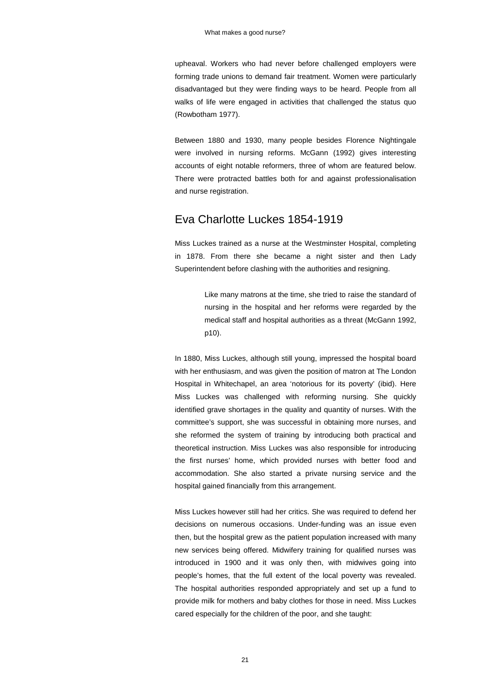upheaval. Workers who had never before challenged employers were forming trade unions to demand fair treatment. Women were particularly disadvantaged but they were finding ways to be heard. People from all walks of life were engaged in activities that challenged the status quo (Rowbotham 1977).

Between 1880 and 1930, many people besides Florence Nightingale were involved in nursing reforms. McGann (1992) gives interesting accounts of eight notable reformers, three of whom are featured below. There were protracted battles both for and against professionalisation and nurse registration.

#### Eva Charlotte Luckes 1854-1919

Miss Luckes trained as a nurse at the Westminster Hospital, completing in 1878. From there she became a night sister and then Lady Superintendent before clashing with the authorities and resigning.

> Like many matrons at the time, she tried to raise the standard of nursing in the hospital and her reforms were regarded by the medical staff and hospital authorities as a threat (McGann 1992, p10).

In 1880, Miss Luckes, although still young, impressed the hospital board with her enthusiasm, and was given the position of matron at The London Hospital in Whitechapel, an area 'notorious for its poverty' (ibid). Here Miss Luckes was challenged with reforming nursing. She quickly identified grave shortages in the quality and quantity of nurses. With the committee's support, she was successful in obtaining more nurses, and she reformed the system of training by introducing both practical and theoretical instruction. Miss Luckes was also responsible for introducing the first nurses' home, which provided nurses with better food and accommodation. She also started a private nursing service and the hospital gained financially from this arrangement.

Miss Luckes however still had her critics. She was required to defend her decisions on numerous occasions. Under-funding was an issue even then, but the hospital grew as the patient population increased with many new services being offered. Midwifery training for qualified nurses was introduced in 1900 and it was only then, with midwives going into people's homes, that the full extent of the local poverty was revealed. The hospital authorities responded appropriately and set up a fund to provide milk for mothers and baby clothes for those in need. Miss Luckes cared especially for the children of the poor, and she taught: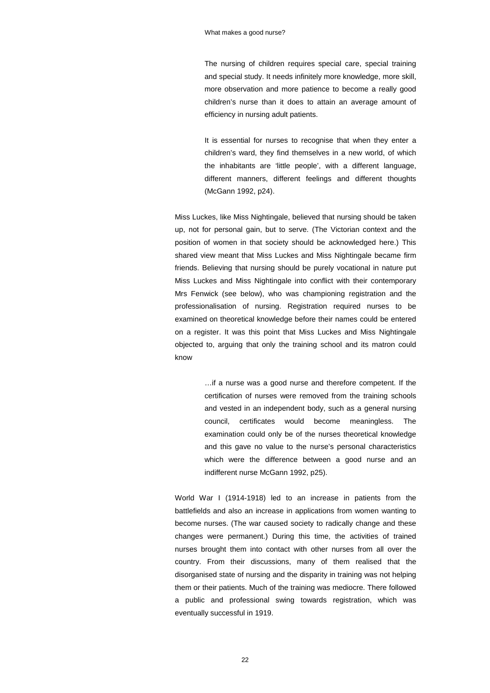The nursing of children requires special care, special training and special study. It needs infinitely more knowledge, more skill, more observation and more patience to become a really good children's nurse than it does to attain an average amount of efficiency in nursing adult patients.

It is essential for nurses to recognise that when they enter a children's ward, they find themselves in a new world, of which the inhabitants are 'little people', with a different language, different manners, different feelings and different thoughts (McGann 1992, p24).

Miss Luckes, like Miss Nightingale, believed that nursing should be taken up, not for personal gain, but to serve. (The Victorian context and the position of women in that society should be acknowledged here.) This shared view meant that Miss Luckes and Miss Nightingale became firm friends. Believing that nursing should be purely vocational in nature put Miss Luckes and Miss Nightingale into conflict with their contemporary Mrs Fenwick (see below), who was championing registration and the professionalisation of nursing. Registration required nurses to be examined on theoretical knowledge before their names could be entered on a register. It was this point that Miss Luckes and Miss Nightingale objected to, arguing that only the training school and its matron could know

> …if a nurse was a good nurse and therefore competent. If the certification of nurses were removed from the training schools and vested in an independent body, such as a general nursing council, certificates would become meaningless. The examination could only be of the nurses theoretical knowledge and this gave no value to the nurse's personal characteristics which were the difference between a good nurse and an indifferent nurse McGann 1992, p25).

World War I (1914-1918) led to an increase in patients from the battlefields and also an increase in applications from women wanting to become nurses. (The war caused society to radically change and these changes were permanent.) During this time, the activities of trained nurses brought them into contact with other nurses from all over the country. From their discussions, many of them realised that the disorganised state of nursing and the disparity in training was not helping them or their patients. Much of the training was mediocre. There followed a public and professional swing towards registration, which was eventually successful in 1919.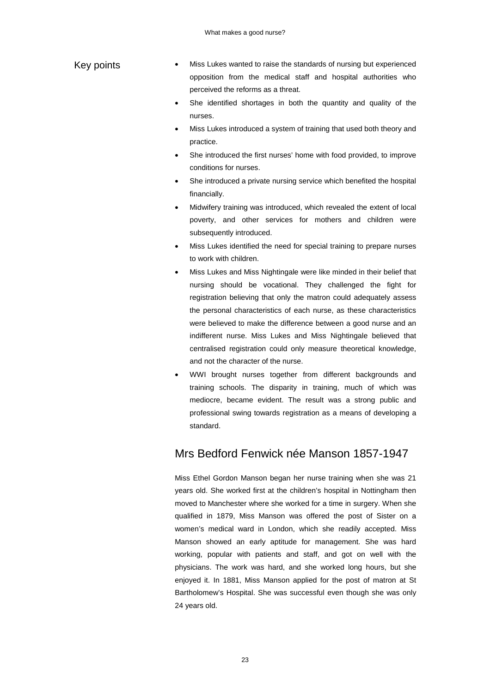| Key points |           | Miss Lukes wanted to raise the standards of nursing but experienced<br>opposition from the medical staff and hospital authorities who<br>perceived the reforms as a threat. |
|------------|-----------|-----------------------------------------------------------------------------------------------------------------------------------------------------------------------------|
|            |           |                                                                                                                                                                             |
|            | $\bullet$ | She identified shortages in both the quantity and quality of the                                                                                                            |
|            |           | nurses.                                                                                                                                                                     |
|            | $\bullet$ | Miss Lukes introduced a system of training that used both theory and                                                                                                        |
|            |           | practice.                                                                                                                                                                   |
|            | $\bullet$ | She introduced the first nurses' home with food provided, to improve                                                                                                        |
|            |           | conditions for nurses.                                                                                                                                                      |
|            | $\bullet$ | She introduced a private nursing service which benefited the hospital                                                                                                       |
|            |           | financially.                                                                                                                                                                |
|            |           | Midwifary training was introduced which revealed the extent of local                                                                                                        |

- Midwifery training was introduced, which revealed the extent of local poverty, and other services for mothers and children were subsequently introduced.
- Miss Lukes identified the need for special training to prepare nurses to work with children.
- Miss Lukes and Miss Nightingale were like minded in their belief that nursing should be vocational. They challenged the fight for registration believing that only the matron could adequately assess the personal characteristics of each nurse, as these characteristics were believed to make the difference between a good nurse and an indifferent nurse. Miss Lukes and Miss Nightingale believed that centralised registration could only measure theoretical knowledge, and not the character of the nurse.
- WWI brought nurses together from different backgrounds and training schools. The disparity in training, much of which was mediocre, became evident. The result was a strong public and professional swing towards registration as a means of developing a standard.

### Mrs Bedford Fenwick née Manson 1857-1947

Miss Ethel Gordon Manson began her nurse training when she was 21 years old. She worked first at the children's hospital in Nottingham then moved to Manchester where she worked for a time in surgery. When she qualified in 1879, Miss Manson was offered the post of Sister on a women's medical ward in London, which she readily accepted. Miss Manson showed an early aptitude for management. She was hard working, popular with patients and staff, and got on well with the physicians. The work was hard, and she worked long hours, but she enjoyed it. In 1881, Miss Manson applied for the post of matron at St Bartholomew's Hospital. She was successful even though she was only 24 years old.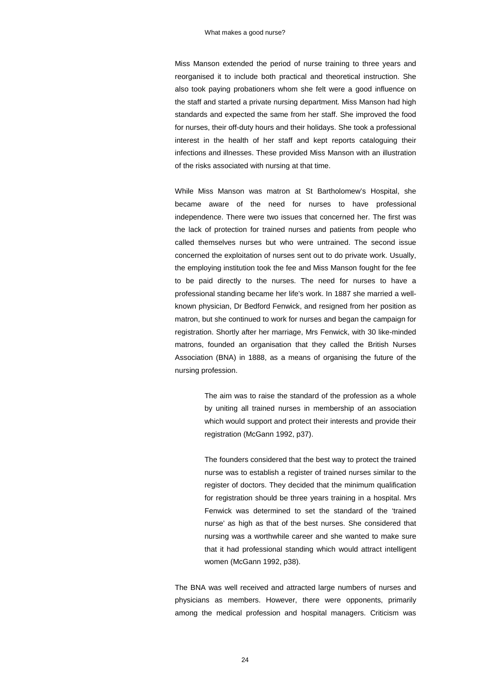Miss Manson extended the period of nurse training to three years and reorganised it to include both practical and theoretical instruction. She also took paying probationers whom she felt were a good influence on the staff and started a private nursing department. Miss Manson had high standards and expected the same from her staff. She improved the food for nurses, their off-duty hours and their holidays. She took a professional interest in the health of her staff and kept reports cataloguing their infections and illnesses. These provided Miss Manson with an illustration of the risks associated with nursing at that time.

While Miss Manson was matron at St Bartholomew's Hospital, she became aware of the need for nurses to have professional independence. There were two issues that concerned her. The first was the lack of protection for trained nurses and patients from people who called themselves nurses but who were untrained. The second issue concerned the exploitation of nurses sent out to do private work. Usually, the employing institution took the fee and Miss Manson fought for the fee to be paid directly to the nurses. The need for nurses to have a professional standing became her life's work. In 1887 she married a wellknown physician, Dr Bedford Fenwick, and resigned from her position as matron, but she continued to work for nurses and began the campaign for registration. Shortly after her marriage, Mrs Fenwick, with 30 like-minded matrons, founded an organisation that they called the British Nurses Association (BNA) in 1888, as a means of organising the future of the nursing profession.

> The aim was to raise the standard of the profession as a whole by uniting all trained nurses in membership of an association which would support and protect their interests and provide their registration (McGann 1992, p37).

> The founders considered that the best way to protect the trained nurse was to establish a register of trained nurses similar to the register of doctors. They decided that the minimum qualification for registration should be three years training in a hospital. Mrs Fenwick was determined to set the standard of the 'trained nurse' as high as that of the best nurses. She considered that nursing was a worthwhile career and she wanted to make sure that it had professional standing which would attract intelligent women (McGann 1992, p38).

The BNA was well received and attracted large numbers of nurses and physicians as members. However, there were opponents, primarily among the medical profession and hospital managers. Criticism was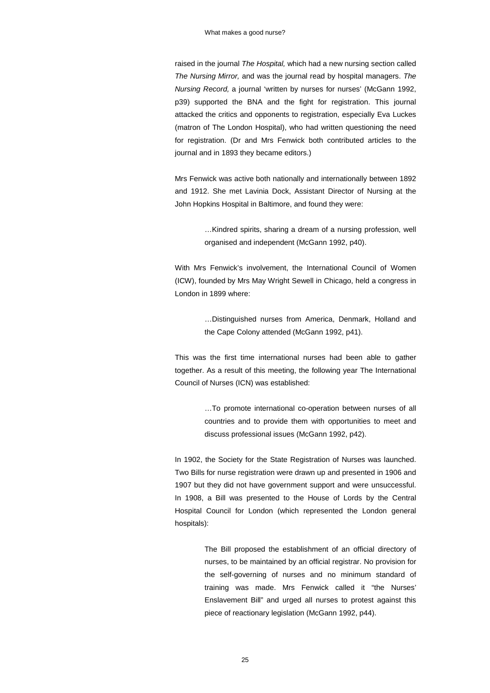raised in the journal *The Hospital,* which had a new nursing section called *The Nursing Mirror,* and was the journal read by hospital managers. *The Nursing Record,* a journal 'written by nurses for nurses' (McGann 1992, p39) supported the BNA and the fight for registration. This journal attacked the critics and opponents to registration, especially Eva Luckes (matron of The London Hospital), who had written questioning the need for registration. (Dr and Mrs Fenwick both contributed articles to the journal and in 1893 they became editors.)

Mrs Fenwick was active both nationally and internationally between 1892 and 1912. She met Lavinia Dock, Assistant Director of Nursing at the John Hopkins Hospital in Baltimore, and found they were:

> …Kindred spirits, sharing a dream of a nursing profession, well organised and independent (McGann 1992, p40).

With Mrs Fenwick's involvement, the International Council of Women (ICW), founded by Mrs May Wright Sewell in Chicago, held a congress in London in 1899 where:

> …Distinguished nurses from America, Denmark, Holland and the Cape Colony attended (McGann 1992, p41).

This was the first time international nurses had been able to gather together. As a result of this meeting, the following year The International Council of Nurses (ICN) was established:

> …To promote international co-operation between nurses of all countries and to provide them with opportunities to meet and discuss professional issues (McGann 1992, p42).

In 1902, the Society for the State Registration of Nurses was launched. Two Bills for nurse registration were drawn up and presented in 1906 and 1907 but they did not have government support and were unsuccessful. In 1908, a Bill was presented to the House of Lords by the Central Hospital Council for London (which represented the London general hospitals):

> The Bill proposed the establishment of an official directory of nurses, to be maintained by an official registrar. No provision for the self-governing of nurses and no minimum standard of training was made. Mrs Fenwick called it "the Nurses' Enslavement Bill" and urged all nurses to protest against this piece of reactionary legislation (McGann 1992, p44).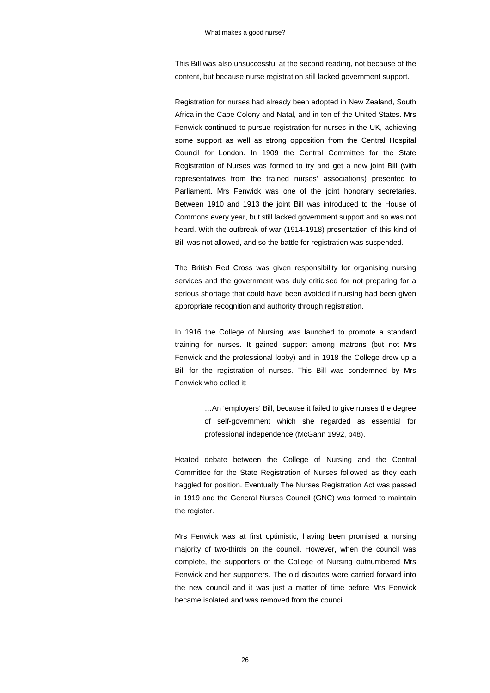This Bill was also unsuccessful at the second reading, not because of the content, but because nurse registration still lacked government support.

Registration for nurses had already been adopted in New Zealand, South Africa in the Cape Colony and Natal, and in ten of the United States. Mrs Fenwick continued to pursue registration for nurses in the UK, achieving some support as well as strong opposition from the Central Hospital Council for London. In 1909 the Central Committee for the State Registration of Nurses was formed to try and get a new joint Bill (with representatives from the trained nurses' associations) presented to Parliament. Mrs Fenwick was one of the joint honorary secretaries. Between 1910 and 1913 the joint Bill was introduced to the House of Commons every year, but still lacked government support and so was not heard. With the outbreak of war (1914-1918) presentation of this kind of Bill was not allowed, and so the battle for registration was suspended.

The British Red Cross was given responsibility for organising nursing services and the government was duly criticised for not preparing for a serious shortage that could have been avoided if nursing had been given appropriate recognition and authority through registration.

In 1916 the College of Nursing was launched to promote a standard training for nurses. It gained support among matrons (but not Mrs Fenwick and the professional lobby) and in 1918 the College drew up a Bill for the registration of nurses. This Bill was condemned by Mrs Fenwick who called it:

> …An 'employers' Bill, because it failed to give nurses the degree of self-government which she regarded as essential for professional independence (McGann 1992, p48).

Heated debate between the College of Nursing and the Central Committee for the State Registration of Nurses followed as they each haggled for position. Eventually The Nurses Registration Act was passed in 1919 and the General Nurses Council (GNC) was formed to maintain the register.

Mrs Fenwick was at first optimistic, having been promised a nursing majority of two-thirds on the council. However, when the council was complete, the supporters of the College of Nursing outnumbered Mrs Fenwick and her supporters. The old disputes were carried forward into the new council and it was just a matter of time before Mrs Fenwick became isolated and was removed from the council.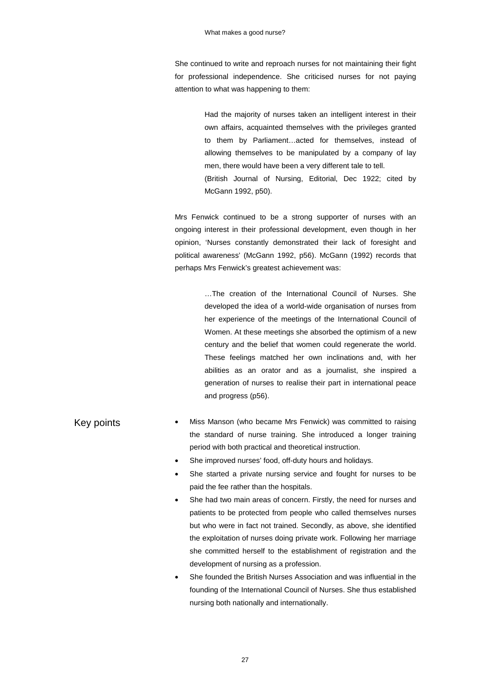She continued to write and reproach nurses for not maintaining their fight for professional independence. She criticised nurses for not paying attention to what was happening to them:

> Had the majority of nurses taken an intelligent interest in their own affairs, acquainted themselves with the privileges granted to them by Parliament…acted for themselves, instead of allowing themselves to be manipulated by a company of lay men, there would have been a very different tale to tell.

> (British Journal of Nursing, Editorial, Dec 1922; cited by McGann 1992, p50).

Mrs Fenwick continued to be a strong supporter of nurses with an ongoing interest in their professional development, even though in her opinion, 'Nurses constantly demonstrated their lack of foresight and political awareness' (McGann 1992, p56). McGann (1992) records that perhaps Mrs Fenwick's greatest achievement was:

> …The creation of the International Council of Nurses. She developed the idea of a world-wide organisation of nurses from her experience of the meetings of the International Council of Women. At these meetings she absorbed the optimism of a new century and the belief that women could regenerate the world. These feelings matched her own inclinations and, with her abilities as an orator and as a journalist, she inspired a generation of nurses to realise their part in international peace and progress (p56).

- Key points Miss Manson (who became Mrs Fenwick) was committed to raising the standard of nurse training. She introduced a longer training period with both practical and theoretical instruction.
	- She improved nurses' food, off-duty hours and holidays.
	- She started a private nursing service and fought for nurses to be paid the fee rather than the hospitals.
	- She had two main areas of concern. Firstly, the need for nurses and patients to be protected from people who called themselves nurses but who were in fact not trained. Secondly, as above, she identified the exploitation of nurses doing private work. Following her marriage she committed herself to the establishment of registration and the development of nursing as a profession.
	- She founded the British Nurses Association and was influential in the founding of the International Council of Nurses. She thus established nursing both nationally and internationally.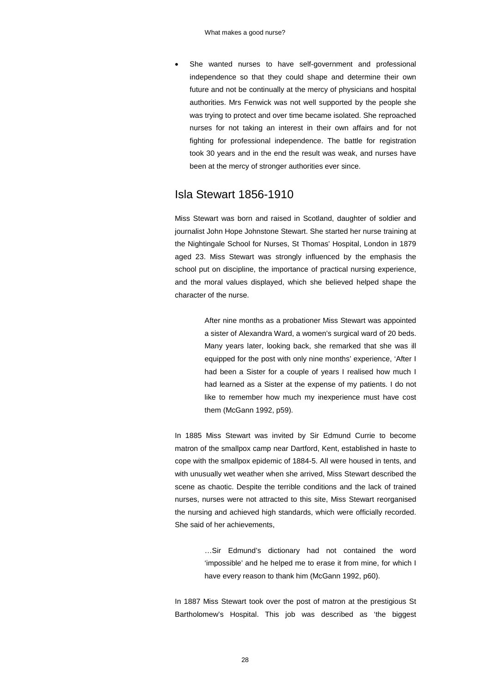She wanted nurses to have self-government and professional independence so that they could shape and determine their own future and not be continually at the mercy of physicians and hospital authorities. Mrs Fenwick was not well supported by the people she was trying to protect and over time became isolated. She reproached nurses for not taking an interest in their own affairs and for not fighting for professional independence. The battle for registration took 30 years and in the end the result was weak, and nurses have been at the mercy of stronger authorities ever since.

#### Isla Stewart 1856-1910

Miss Stewart was born and raised in Scotland, daughter of soldier and journalist John Hope Johnstone Stewart. She started her nurse training at the Nightingale School for Nurses, St Thomas' Hospital, London in 1879 aged 23. Miss Stewart was strongly influenced by the emphasis the school put on discipline, the importance of practical nursing experience, and the moral values displayed, which she believed helped shape the character of the nurse.

> After nine months as a probationer Miss Stewart was appointed a sister of Alexandra Ward, a women's surgical ward of 20 beds. Many years later, looking back, she remarked that she was ill equipped for the post with only nine months' experience, 'After I had been a Sister for a couple of years I realised how much I had learned as a Sister at the expense of my patients. I do not like to remember how much my inexperience must have cost them (McGann 1992, p59).

In 1885 Miss Stewart was invited by Sir Edmund Currie to become matron of the smallpox camp near Dartford, Kent, established in haste to cope with the smallpox epidemic of 1884-5. All were housed in tents, and with unusually wet weather when she arrived, Miss Stewart described the scene as chaotic. Despite the terrible conditions and the lack of trained nurses, nurses were not attracted to this site, Miss Stewart reorganised the nursing and achieved high standards, which were officially recorded. She said of her achievements,

> …Sir Edmund's dictionary had not contained the word 'impossible' and he helped me to erase it from mine, for which I have every reason to thank him (McGann 1992, p60).

In 1887 Miss Stewart took over the post of matron at the prestigious St Bartholomew's Hospital. This job was described as 'the biggest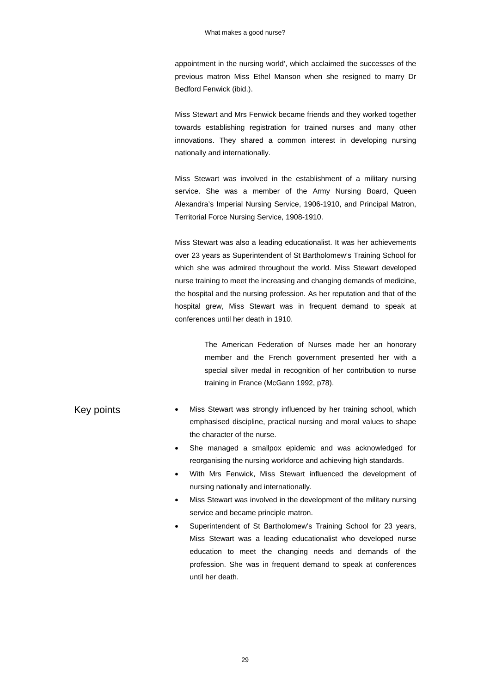appointment in the nursing world', which acclaimed the successes of the previous matron Miss Ethel Manson when she resigned to marry Dr Bedford Fenwick (ibid.).

Miss Stewart and Mrs Fenwick became friends and they worked together towards establishing registration for trained nurses and many other innovations. They shared a common interest in developing nursing nationally and internationally.

Miss Stewart was involved in the establishment of a military nursing service. She was a member of the Army Nursing Board, Queen Alexandra's Imperial Nursing Service, 1906-1910, and Principal Matron, Territorial Force Nursing Service, 1908-1910.

Miss Stewart was also a leading educationalist. It was her achievements over 23 years as Superintendent of St Bartholomew's Training School for which she was admired throughout the world. Miss Stewart developed nurse training to meet the increasing and changing demands of medicine, the hospital and the nursing profession. As her reputation and that of the hospital grew, Miss Stewart was in frequent demand to speak at conferences until her death in 1910.

> The American Federation of Nurses made her an honorary member and the French government presented her with a special silver medal in recognition of her contribution to nurse training in France (McGann 1992, p78).

- Key points Miss Stewart was strongly influenced by her training school, which emphasised discipline, practical nursing and moral values to shape the character of the nurse.
	- She managed a smallpox epidemic and was acknowledged for reorganising the nursing workforce and achieving high standards.
	- With Mrs Fenwick, Miss Stewart influenced the development of nursing nationally and internationally.
	- Miss Stewart was involved in the development of the military nursing service and became principle matron.
	- Superintendent of St Bartholomew's Training School for 23 years, Miss Stewart was a leading educationalist who developed nurse education to meet the changing needs and demands of the profession. She was in frequent demand to speak at conferences until her death.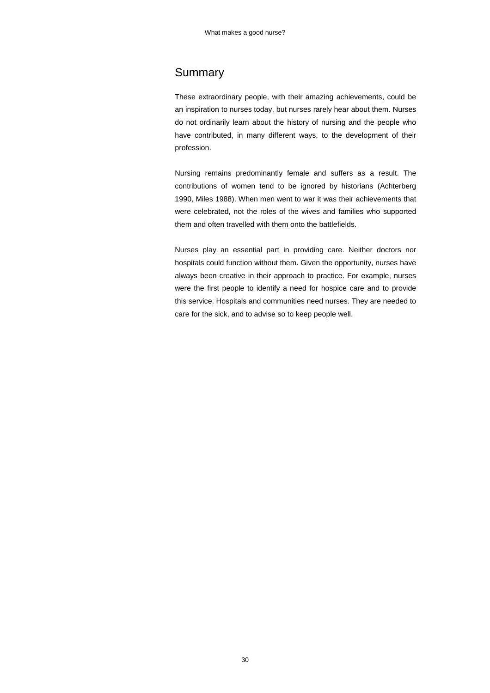### Summary

These extraordinary people, with their amazing achievements, could be an inspiration to nurses today, but nurses rarely hear about them. Nurses do not ordinarily learn about the history of nursing and the people who have contributed, in many different ways, to the development of their profession.

Nursing remains predominantly female and suffers as a result. The contributions of women tend to be ignored by historians (Achterberg 1990, Miles 1988). When men went to war it was their achievements that were celebrated, not the roles of the wives and families who supported them and often travelled with them onto the battlefields.

Nurses play an essential part in providing care. Neither doctors nor hospitals could function without them. Given the opportunity, nurses have always been creative in their approach to practice. For example, nurses were the first people to identify a need for hospice care and to provide this service. Hospitals and communities need nurses. They are needed to care for the sick, and to advise so to keep people well.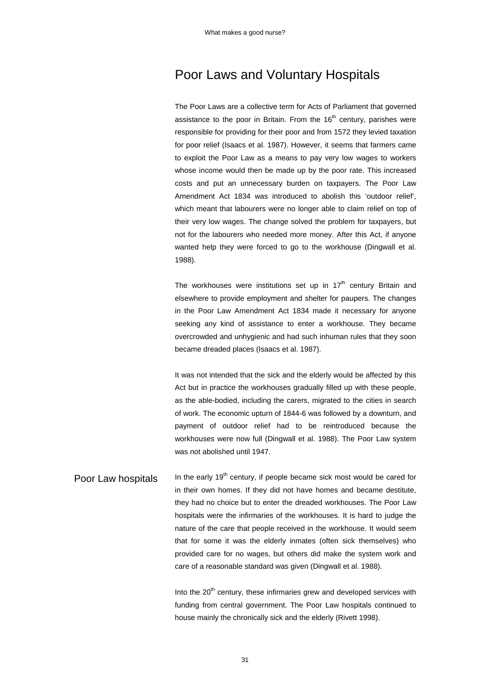## Poor Laws and Voluntary Hospitals

The Poor Laws are a collective term for Acts of Parliament that governed assistance to the poor in Britain. From the  $16<sup>th</sup>$  century, parishes were responsible for providing for their poor and from 1572 they levied taxation for poor relief (Isaacs et al. 1987). However, it seems that farmers came to exploit the Poor Law as a means to pay very low wages to workers whose income would then be made up by the poor rate. This increased costs and put an unnecessary burden on taxpayers. The Poor Law Amendment Act 1834 was introduced to abolish this 'outdoor relief', which meant that labourers were no longer able to claim relief on top of their very low wages. The change solved the problem for taxpayers, but not for the labourers who needed more money. After this Act, if anyone wanted help they were forced to go to the workhouse (Dingwall et al. 1988).

The workhouses were institutions set up in  $17<sup>th</sup>$  century Britain and elsewhere to provide employment and shelter for paupers. The changes in the Poor Law Amendment Act 1834 made it necessary for anyone seeking any kind of assistance to enter a workhouse. They became overcrowded and unhygienic and had such inhuman rules that they soon became dreaded places (Isaacs et al. 1987).

It was not intended that the sick and the elderly would be affected by this Act but in practice the workhouses gradually filled up with these people, as the able-bodied, including the carers, migrated to the cities in search of work. The economic upturn of 1844-6 was followed by a downturn, and payment of outdoor relief had to be reintroduced because the workhouses were now full (Dingwall et al. 1988). The Poor Law system was not abolished until 1947.

Poor Law hospitals In the early  $19<sup>th</sup>$  century, if people became sick most would be cared for in their own homes. If they did not have homes and became destitute, they had no choice but to enter the dreaded workhouses. The Poor Law hospitals were the infirmaries of the workhouses. It is hard to judge the nature of the care that people received in the workhouse. It would seem that for some it was the elderly inmates (often sick themselves) who provided care for no wages, but others did make the system work and care of a reasonable standard was given (Dingwall et al. 1988).

> Into the  $20<sup>th</sup>$  century, these infirmaries grew and developed services with funding from central government. The Poor Law hospitals continued to house mainly the chronically sick and the elderly (Rivett 1998).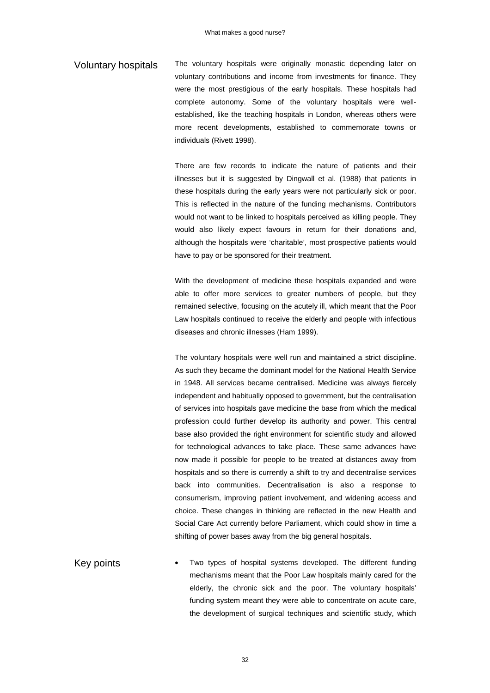### Voluntary hospitals The voluntary hospitals were originally monastic depending later on voluntary contributions and income from investments for finance. They were the most prestigious of the early hospitals. These hospitals had complete autonomy. Some of the voluntary hospitals were wellestablished, like the teaching hospitals in London, whereas others were more recent developments, established to commemorate towns or individuals (Rivett 1998).

There are few records to indicate the nature of patients and their illnesses but it is suggested by Dingwall et al. (1988) that patients in these hospitals during the early years were not particularly sick or poor. This is reflected in the nature of the funding mechanisms. Contributors would not want to be linked to hospitals perceived as killing people. They would also likely expect favours in return for their donations and, although the hospitals were 'charitable', most prospective patients would have to pay or be sponsored for their treatment.

With the development of medicine these hospitals expanded and were able to offer more services to greater numbers of people, but they remained selective, focusing on the acutely ill, which meant that the Poor Law hospitals continued to receive the elderly and people with infectious diseases and chronic illnesses (Ham 1999).

The voluntary hospitals were well run and maintained a strict discipline. As such they became the dominant model for the National Health Service in 1948. All services became centralised. Medicine was always fiercely independent and habitually opposed to government, but the centralisation of services into hospitals gave medicine the base from which the medical profession could further develop its authority and power. This central base also provided the right environment for scientific study and allowed for technological advances to take place. These same advances have now made it possible for people to be treated at distances away from hospitals and so there is currently a shift to try and decentralise services back into communities. Decentralisation is also a response to consumerism, improving patient involvement, and widening access and choice. These changes in thinking are reflected in the new Health and Social Care Act currently before Parliament, which could show in time a shifting of power bases away from the big general hospitals.

Key points • Two types of hospital systems developed. The different funding mechanisms meant that the Poor Law hospitals mainly cared for the elderly, the chronic sick and the poor. The voluntary hospitals' funding system meant they were able to concentrate on acute care, the development of surgical techniques and scientific study, which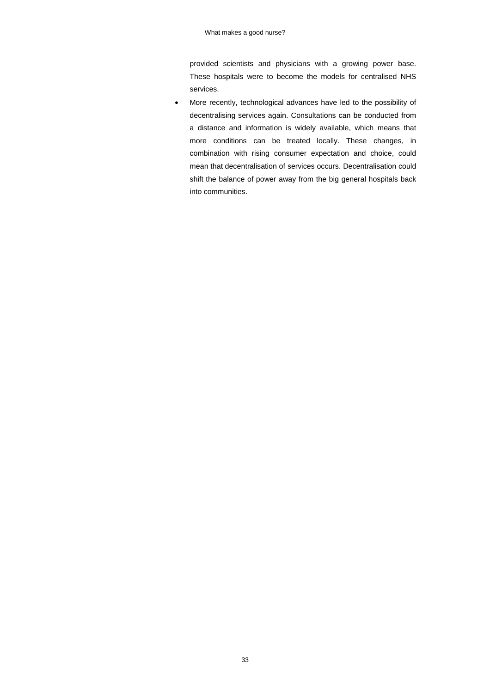provided scientists and physicians with a growing power base. These hospitals were to become the models for centralised NHS services.

• More recently, technological advances have led to the possibility of decentralising services again. Consultations can be conducted from a distance and information is widely available, which means that more conditions can be treated locally. These changes, in combination with rising consumer expectation and choice, could mean that decentralisation of services occurs. Decentralisation could shift the balance of power away from the big general hospitals back into communities.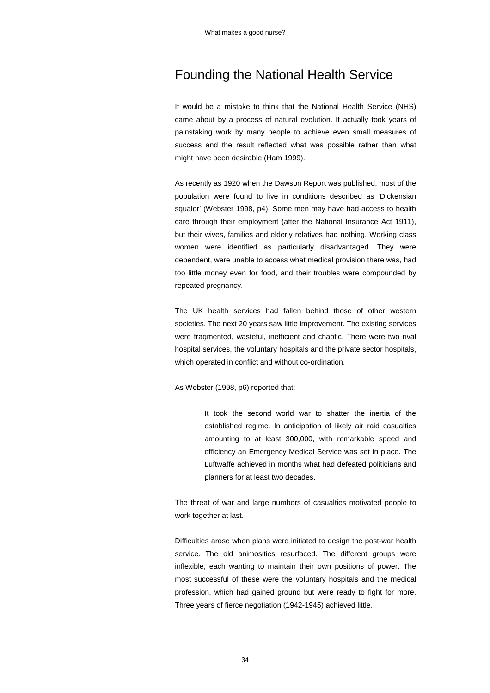## Founding the National Health Service

It would be a mistake to think that the National Health Service (NHS) came about by a process of natural evolution. It actually took years of painstaking work by many people to achieve even small measures of success and the result reflected what was possible rather than what might have been desirable (Ham 1999).

As recently as 1920 when the Dawson Report was published, most of the population were found to live in conditions described as 'Dickensian squalor' (Webster 1998, p4). Some men may have had access to health care through their employment (after the National Insurance Act 1911), but their wives, families and elderly relatives had nothing. Working class women were identified as particularly disadvantaged. They were dependent, were unable to access what medical provision there was, had too little money even for food, and their troubles were compounded by repeated pregnancy.

The UK health services had fallen behind those of other western societies. The next 20 years saw little improvement. The existing services were fragmented, wasteful, inefficient and chaotic. There were two rival hospital services, the voluntary hospitals and the private sector hospitals, which operated in conflict and without co-ordination.

As Webster (1998, p6) reported that:

It took the second world war to shatter the inertia of the established regime. In anticipation of likely air raid casualties amounting to at least 300,000, with remarkable speed and efficiency an Emergency Medical Service was set in place. The Luftwaffe achieved in months what had defeated politicians and planners for at least two decades.

The threat of war and large numbers of casualties motivated people to work together at last.

Difficulties arose when plans were initiated to design the post-war health service. The old animosities resurfaced. The different groups were inflexible, each wanting to maintain their own positions of power. The most successful of these were the voluntary hospitals and the medical profession, which had gained ground but were ready to fight for more. Three years of fierce negotiation (1942-1945) achieved little.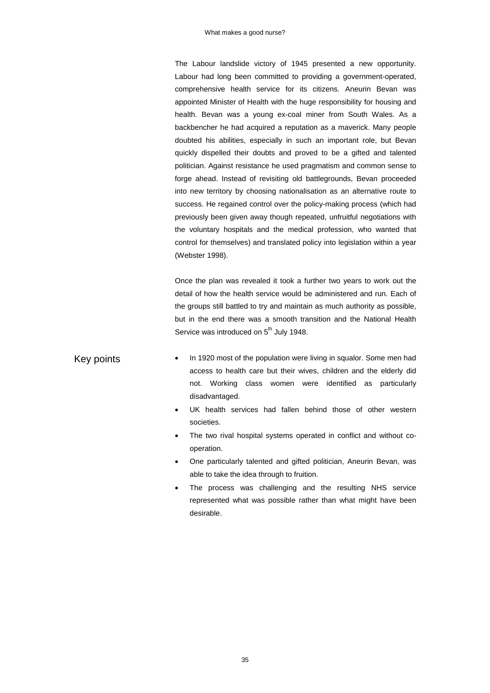The Labour landslide victory of 1945 presented a new opportunity. Labour had long been committed to providing a government-operated, comprehensive health service for its citizens. Aneurin Bevan was appointed Minister of Health with the huge responsibility for housing and health. Bevan was a young ex-coal miner from South Wales. As a backbencher he had acquired a reputation as a maverick. Many people doubted his abilities, especially in such an important role, but Bevan quickly dispelled their doubts and proved to be a gifted and talented politician. Against resistance he used pragmatism and common sense to forge ahead. Instead of revisiting old battlegrounds, Bevan proceeded into new territory by choosing nationalisation as an alternative route to success. He regained control over the policy-making process (which had previously been given away though repeated, unfruitful negotiations with the voluntary hospitals and the medical profession, who wanted that control for themselves) and translated policy into legislation within a year (Webster 1998).

Once the plan was revealed it took a further two years to work out the detail of how the health service would be administered and run. Each of the groups still battled to try and maintain as much authority as possible, but in the end there was a smooth transition and the National Health Service was introduced on 5<sup>th</sup> July 1948.

- Key points In 1920 most of the population were living in squalor. Some men had access to health care but their wives, children and the elderly did not. Working class women were identified as particularly disadvantaged.
	- UK health services had fallen behind those of other western societies.
	- The two rival hospital systems operated in conflict and without cooperation.
	- One particularly talented and gifted politician, Aneurin Bevan, was able to take the idea through to fruition.
	- The process was challenging and the resulting NHS service represented what was possible rather than what might have been desirable.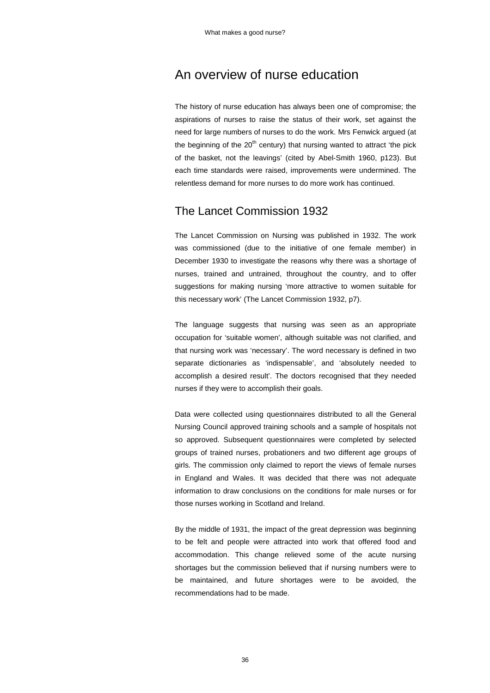## An overview of nurse education

The history of nurse education has always been one of compromise; the aspirations of nurses to raise the status of their work, set against the need for large numbers of nurses to do the work. Mrs Fenwick argued (at the beginning of the  $20<sup>th</sup>$  century) that nursing wanted to attract 'the pick of the basket, not the leavings' (cited by Abel-Smith 1960, p123). But each time standards were raised, improvements were undermined. The relentless demand for more nurses to do more work has continued.

### The Lancet Commission 1932

The Lancet Commission on Nursing was published in 1932. The work was commissioned (due to the initiative of one female member) in December 1930 to investigate the reasons why there was a shortage of nurses, trained and untrained, throughout the country, and to offer suggestions for making nursing 'more attractive to women suitable for this necessary work' (The Lancet Commission 1932, p7).

The language suggests that nursing was seen as an appropriate occupation for 'suitable women', although suitable was not clarified, and that nursing work was 'necessary'. The word necessary is defined in two separate dictionaries as 'indispensable', and 'absolutely needed to accomplish a desired result'. The doctors recognised that they needed nurses if they were to accomplish their goals.

Data were collected using questionnaires distributed to all the General Nursing Council approved training schools and a sample of hospitals not so approved. Subsequent questionnaires were completed by selected groups of trained nurses, probationers and two different age groups of girls. The commission only claimed to report the views of female nurses in England and Wales. It was decided that there was not adequate information to draw conclusions on the conditions for male nurses or for those nurses working in Scotland and Ireland.

By the middle of 1931, the impact of the great depression was beginning to be felt and people were attracted into work that offered food and accommodation. This change relieved some of the acute nursing shortages but the commission believed that if nursing numbers were to be maintained, and future shortages were to be avoided, the recommendations had to be made.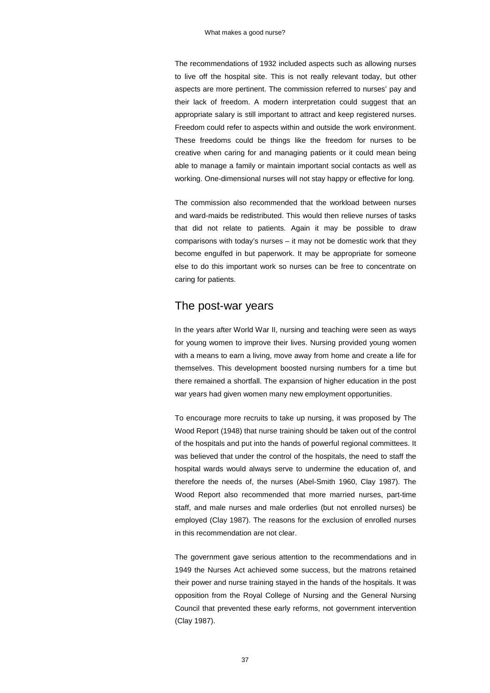The recommendations of 1932 included aspects such as allowing nurses to live off the hospital site. This is not really relevant today, but other aspects are more pertinent. The commission referred to nurses' pay and their lack of freedom. A modern interpretation could suggest that an appropriate salary is still important to attract and keep registered nurses. Freedom could refer to aspects within and outside the work environment. These freedoms could be things like the freedom for nurses to be creative when caring for and managing patients or it could mean being able to manage a family or maintain important social contacts as well as working. One-dimensional nurses will not stay happy or effective for long.

The commission also recommended that the workload between nurses and ward-maids be redistributed. This would then relieve nurses of tasks that did not relate to patients. Again it may be possible to draw comparisons with today's nurses – it may not be domestic work that they become engulfed in but paperwork. It may be appropriate for someone else to do this important work so nurses can be free to concentrate on caring for patients.

### The post-war years

In the years after World War II, nursing and teaching were seen as ways for young women to improve their lives. Nursing provided young women with a means to earn a living, move away from home and create a life for themselves. This development boosted nursing numbers for a time but there remained a shortfall. The expansion of higher education in the post war years had given women many new employment opportunities.

To encourage more recruits to take up nursing, it was proposed by The Wood Report (1948) that nurse training should be taken out of the control of the hospitals and put into the hands of powerful regional committees. It was believed that under the control of the hospitals, the need to staff the hospital wards would always serve to undermine the education of, and therefore the needs of, the nurses (Abel-Smith 1960, Clay 1987). The Wood Report also recommended that more married nurses, part-time staff, and male nurses and male orderlies (but not enrolled nurses) be employed (Clay 1987). The reasons for the exclusion of enrolled nurses in this recommendation are not clear.

The government gave serious attention to the recommendations and in 1949 the Nurses Act achieved some success, but the matrons retained their power and nurse training stayed in the hands of the hospitals. It was opposition from the Royal College of Nursing and the General Nursing Council that prevented these early reforms, not government intervention (Clay 1987).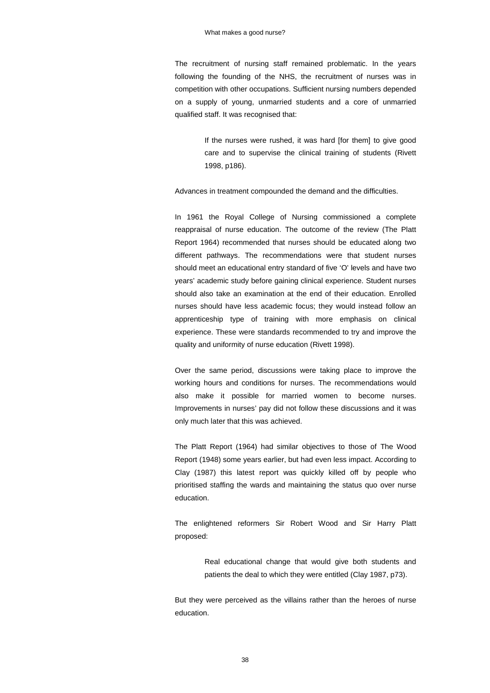The recruitment of nursing staff remained problematic. In the years following the founding of the NHS, the recruitment of nurses was in competition with other occupations. Sufficient nursing numbers depended on a supply of young, unmarried students and a core of unmarried qualified staff. It was recognised that:

> If the nurses were rushed, it was hard [for them] to give good care and to supervise the clinical training of students (Rivett 1998, p186).

Advances in treatment compounded the demand and the difficulties.

In 1961 the Royal College of Nursing commissioned a complete reappraisal of nurse education. The outcome of the review (The Platt Report 1964) recommended that nurses should be educated along two different pathways. The recommendations were that student nurses should meet an educational entry standard of five 'O' levels and have two years' academic study before gaining clinical experience. Student nurses should also take an examination at the end of their education. Enrolled nurses should have less academic focus; they would instead follow an apprenticeship type of training with more emphasis on clinical experience. These were standards recommended to try and improve the quality and uniformity of nurse education (Rivett 1998).

Over the same period, discussions were taking place to improve the working hours and conditions for nurses. The recommendations would also make it possible for married women to become nurses. Improvements in nurses' pay did not follow these discussions and it was only much later that this was achieved.

The Platt Report (1964) had similar objectives to those of The Wood Report (1948) some years earlier, but had even less impact. According to Clay (1987) this latest report was quickly killed off by people who prioritised staffing the wards and maintaining the status quo over nurse education.

The enlightened reformers Sir Robert Wood and Sir Harry Platt proposed:

> Real educational change that would give both students and patients the deal to which they were entitled (Clay 1987, p73).

But they were perceived as the villains rather than the heroes of nurse education.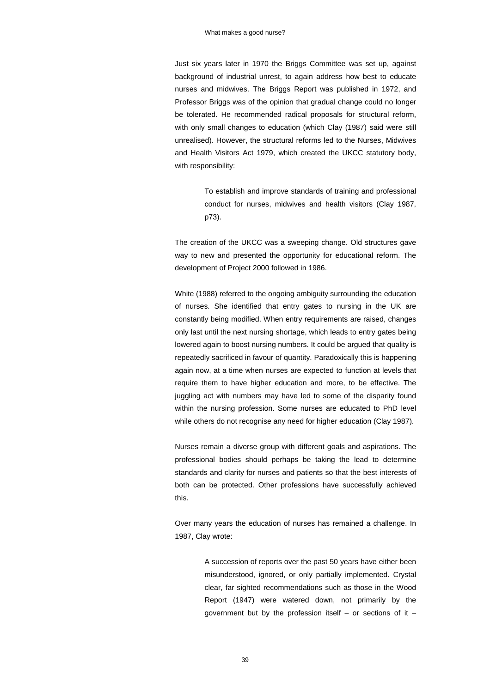Just six years later in 1970 the Briggs Committee was set up, against background of industrial unrest, to again address how best to educate nurses and midwives. The Briggs Report was published in 1972, and Professor Briggs was of the opinion that gradual change could no longer be tolerated. He recommended radical proposals for structural reform, with only small changes to education (which Clay (1987) said were still unrealised). However, the structural reforms led to the Nurses, Midwives and Health Visitors Act 1979, which created the UKCC statutory body, with responsibility:

> To establish and improve standards of training and professional conduct for nurses, midwives and health visitors (Clay 1987, p73).

The creation of the UKCC was a sweeping change. Old structures gave way to new and presented the opportunity for educational reform. The development of Project 2000 followed in 1986.

White (1988) referred to the ongoing ambiguity surrounding the education of nurses. She identified that entry gates to nursing in the UK are constantly being modified. When entry requirements are raised, changes only last until the next nursing shortage, which leads to entry gates being lowered again to boost nursing numbers. It could be argued that quality is repeatedly sacrificed in favour of quantity. Paradoxically this is happening again now, at a time when nurses are expected to function at levels that require them to have higher education and more, to be effective. The juggling act with numbers may have led to some of the disparity found within the nursing profession. Some nurses are educated to PhD level while others do not recognise any need for higher education (Clay 1987).

Nurses remain a diverse group with different goals and aspirations. The professional bodies should perhaps be taking the lead to determine standards and clarity for nurses and patients so that the best interests of both can be protected. Other professions have successfully achieved this.

Over many years the education of nurses has remained a challenge. In 1987, Clay wrote:

> A succession of reports over the past 50 years have either been misunderstood, ignored, or only partially implemented. Crystal clear, far sighted recommendations such as those in the Wood Report (1947) were watered down, not primarily by the government but by the profession itself  $-$  or sections of it  $-$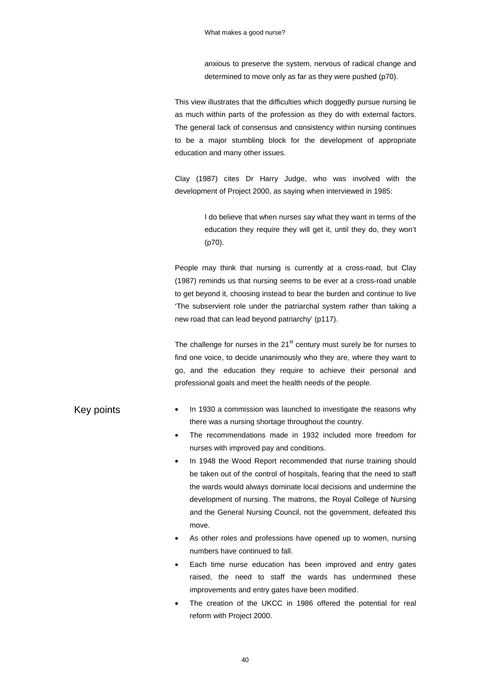anxious to preserve the system, nervous of radical change and determined to move only as far as they were pushed (p70).

This view illustrates that the difficulties which doggedly pursue nursing lie as much within parts of the profession as they do with external factors. The general lack of consensus and consistency within nursing continues to be a major stumbling block for the development of appropriate education and many other issues.

Clay (1987) cites Dr Harry Judge, who was involved with the development of Project 2000, as saying when interviewed in 1985:

> I do believe that when nurses say what they want in terms of the education they require they will get it, until they do, they won't (p70).

People may think that nursing is currently at a cross-road, but Clay (1987) reminds us that nursing seems to be ever at a cross-road unable to get beyond it, choosing instead to bear the burden and continue to live 'The subservient role under the patriarchal system rather than taking a new road that can lead beyond patriarchy' (p117).

The challenge for nurses in the 21<sup>st</sup> century must surely be for nurses to find one voice, to decide unanimously who they are, where they want to go, and the education they require to achieve their personal and professional goals and meet the health needs of the people.

- Key points In 1930 a commission was launched to investigate the reasons why there was a nursing shortage throughout the country.
	- The recommendations made in 1932 included more freedom for nurses with improved pay and conditions.
	- In 1948 the Wood Report recommended that nurse training should be taken out of the control of hospitals, fearing that the need to staff the wards would always dominate local decisions and undermine the development of nursing. The matrons, the Royal College of Nursing and the General Nursing Council, not the government, defeated this move.
	- As other roles and professions have opened up to women, nursing numbers have continued to fall.
	- Each time nurse education has been improved and entry gates raised, the need to staff the wards has undermined these improvements and entry gates have been modified.
	- The creation of the UKCC in 1986 offered the potential for real reform with Project 2000.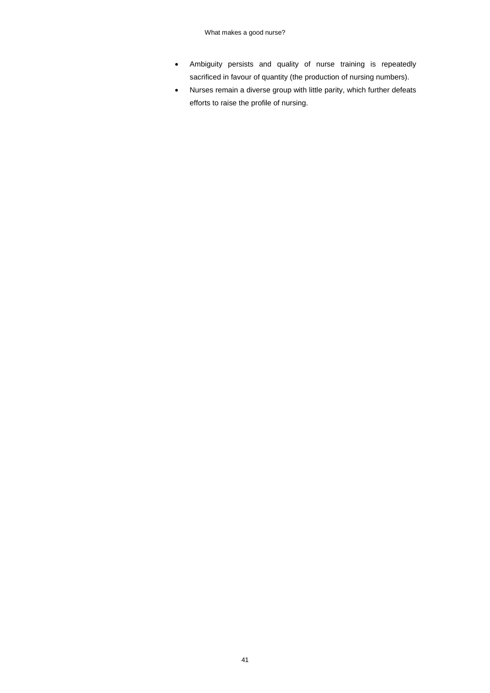- Ambiguity persists and quality of nurse training is repeatedly sacrificed in favour of quantity (the production of nursing numbers).
- Nurses remain a diverse group with little parity, which further defeats efforts to raise the profile of nursing.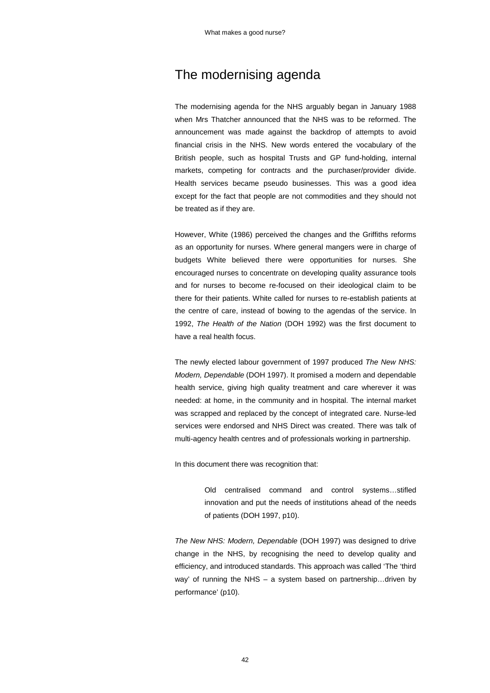# The modernising agenda

The modernising agenda for the NHS arguably began in January 1988 when Mrs Thatcher announced that the NHS was to be reformed. The announcement was made against the backdrop of attempts to avoid financial crisis in the NHS. New words entered the vocabulary of the British people, such as hospital Trusts and GP fund-holding, internal markets, competing for contracts and the purchaser/provider divide. Health services became pseudo businesses. This was a good idea except for the fact that people are not commodities and they should not be treated as if they are.

However, White (1986) perceived the changes and the Griffiths reforms as an opportunity for nurses. Where general mangers were in charge of budgets White believed there were opportunities for nurses. She encouraged nurses to concentrate on developing quality assurance tools and for nurses to become re-focused on their ideological claim to be there for their patients. White called for nurses to re-establish patients at the centre of care, instead of bowing to the agendas of the service. In 1992, *The Health of the Nation* (DOH 1992) was the first document to have a real health focus.

The newly elected labour government of 1997 produced *The New NHS: Modern, Dependable* (DOH 1997). It promised a modern and dependable health service, giving high quality treatment and care wherever it was needed: at home, in the community and in hospital. The internal market was scrapped and replaced by the concept of integrated care. Nurse-led services were endorsed and NHS Direct was created. There was talk of multi-agency health centres and of professionals working in partnership.

In this document there was recognition that:

Old centralised command and control systems…stifled innovation and put the needs of institutions ahead of the needs of patients (DOH 1997, p10).

*The New NHS: Modern, Dependable* (DOH 1997) was designed to drive change in the NHS, by recognising the need to develop quality and efficiency, and introduced standards. This approach was called 'The 'third way' of running the NHS – a system based on partnership…driven by performance' (p10).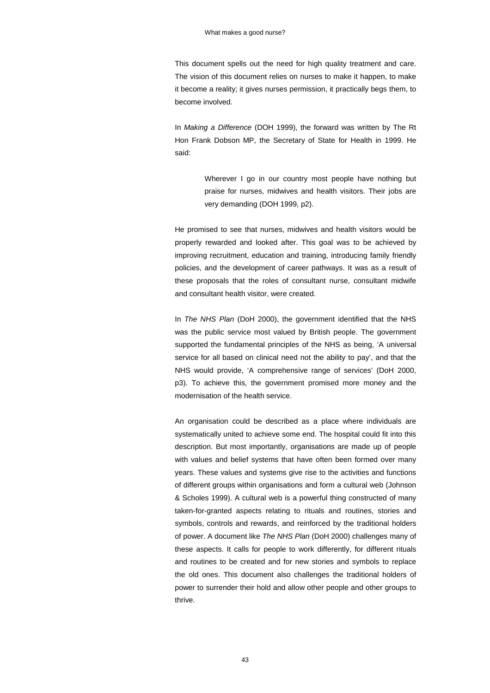This document spells out the need for high quality treatment and care. The vision of this document relies on nurses to make it happen, to make it become a reality; it gives nurses permission, it practically begs them, to become involved.

In *Making a Difference* (DOH 1999), the forward was written by The Rt Hon Frank Dobson MP, the Secretary of State for Health in 1999. He said:

> Wherever I go in our country most people have nothing but praise for nurses, midwives and health visitors. Their jobs are very demanding (DOH 1999, p2).

He promised to see that nurses, midwives and health visitors would be properly rewarded and looked after. This goal was to be achieved by improving recruitment, education and training, introducing family friendly policies, and the development of career pathways. It was as a result of these proposals that the roles of consultant nurse, consultant midwife and consultant health visitor, were created.

In *The NHS Plan* (DoH 2000), the government identified that the NHS was the public service most valued by British people. The government supported the fundamental principles of the NHS as being, 'A universal service for all based on clinical need not the ability to pay', and that the NHS would provide, 'A comprehensive range of services' (DoH 2000, p3). To achieve this, the government promised more money and the modernisation of the health service.

An organisation could be described as a place where individuals are systematically united to achieve some end. The hospital could fit into this description. But most importantly, organisations are made up of people with values and belief systems that have often been formed over many years. These values and systems give rise to the activities and functions of different groups within organisations and form a cultural web (Johnson & Scholes 1999). A cultural web is a powerful thing constructed of many taken-for-granted aspects relating to rituals and routines, stories and symbols, controls and rewards, and reinforced by the traditional holders of power. A document like *The NHS Plan* (DoH 2000) challenges many of these aspects. It calls for people to work differently, for different rituals and routines to be created and for new stories and symbols to replace the old ones. This document also challenges the traditional holders of power to surrender their hold and allow other people and other groups to thrive.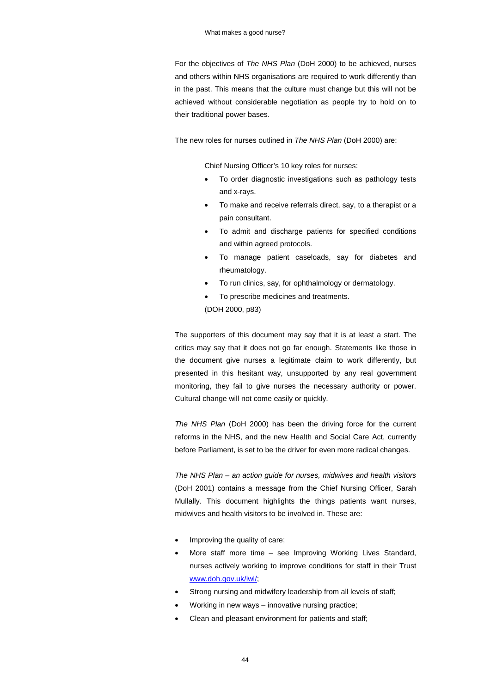For the objectives of *The NHS Plan* (DoH 2000) to be achieved, nurses and others within NHS organisations are required to work differently than in the past. This means that the culture must change but this will not be achieved without considerable negotiation as people try to hold on to their traditional power bases.

The new roles for nurses outlined in *The NHS Plan* (DoH 2000) are:

Chief Nursing Officer's 10 key roles for nurses:

- To order diagnostic investigations such as pathology tests and x-rays.
- To make and receive referrals direct, say, to a therapist or a pain consultant.
- To admit and discharge patients for specified conditions and within agreed protocols.
- To manage patient caseloads, say for diabetes and rheumatology.
- To run clinics, say, for ophthalmology or dermatology.
- To prescribe medicines and treatments. (DOH 2000, p83)

The supporters of this document may say that it is at least a start. The critics may say that it does not go far enough. Statements like those in the document give nurses a legitimate claim to work differently, but presented in this hesitant way, unsupported by any real government monitoring, they fail to give nurses the necessary authority or power. Cultural change will not come easily or quickly.

*The NHS Plan* (DoH 2000) has been the driving force for the current reforms in the NHS, and the new Health and Social Care Act, currently before Parliament, is set to be the driver for even more radical changes.

*The NHS Plan – an action guide for nurses, midwives and health visitors* (DoH 2001) contains a message from the Chief Nursing Officer, Sarah Mullally. This document highlights the things patients want nurses, midwives and health visitors to be involved in. These are:

- Improving the quality of care;
- More staff more time see Improving Working Lives Standard, nurses actively working to improve conditions for staff in their Trust www.doh.gov.uk/iwl/;
- Strong nursing and midwifery leadership from all levels of staff:
- Working in new ways innovative nursing practice;
- Clean and pleasant environment for patients and staff;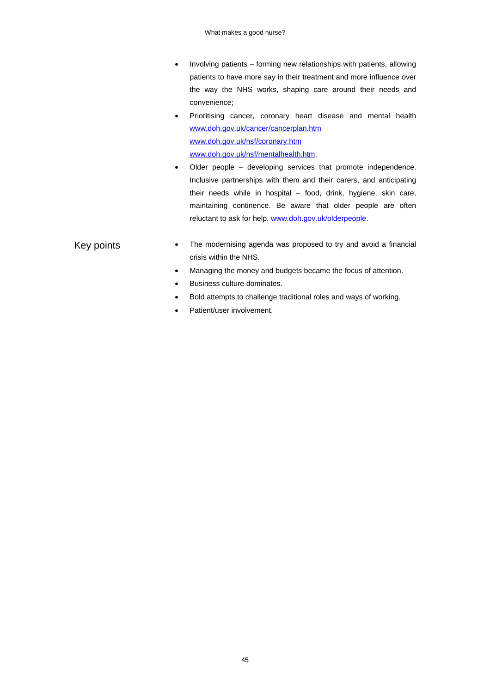- Involving patients forming new relationships with patients, allowing patients to have more say in their treatment and more influence over the way the NHS works, shaping care around their needs and convenience;
- Prioritising cancer, coronary heart disease and mental health www.doh.gov.uk/cancer/cancerplan.htm www.doh.gov.uk/nsf/coronary.htm www.doh.gov.uk/nsf/mentalhealth.htm;
- Older people developing services that promote independence. Inclusive partnerships with them and their carers, and anticipating their needs while in hospital – food, drink, hygiene, skin care, maintaining continence. Be aware that older people are often reluctant to ask for help. www.doh.gov.uk/olderpeople.

- Key points The modernising agenda was proposed to try and avoid a financial crisis within the NHS.
	- Managing the money and budgets became the focus of attention.
	- Business culture dominates.
	- Bold attempts to challenge traditional roles and ways of working.
	- Patient/user involvement.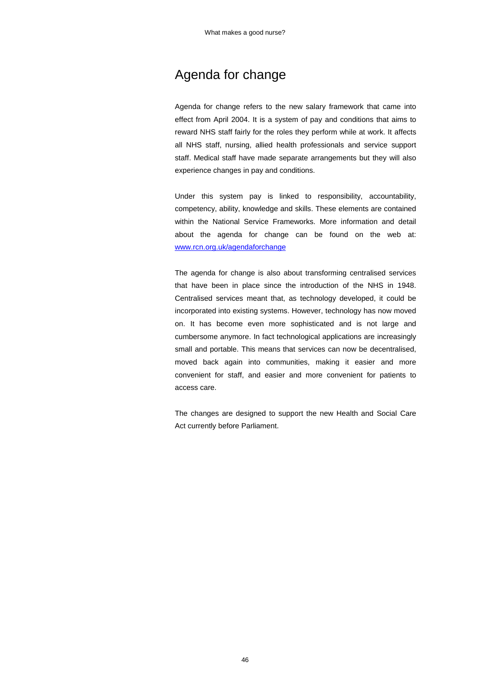# Agenda for change

Agenda for change refers to the new salary framework that came into effect from April 2004. It is a system of pay and conditions that aims to reward NHS staff fairly for the roles they perform while at work. It affects all NHS staff, nursing, allied health professionals and service support staff. Medical staff have made separate arrangements but they will also experience changes in pay and conditions.

Under this system pay is linked to responsibility, accountability, competency, ability, knowledge and skills. These elements are contained within the National Service Frameworks. More information and detail about the agenda for change can be found on the web at: www.rcn.org.uk/agendaforchange

The agenda for change is also about transforming centralised services that have been in place since the introduction of the NHS in 1948. Centralised services meant that, as technology developed, it could be incorporated into existing systems. However, technology has now moved on. It has become even more sophisticated and is not large and cumbersome anymore. In fact technological applications are increasingly small and portable. This means that services can now be decentralised, moved back again into communities, making it easier and more convenient for staff, and easier and more convenient for patients to access care.

The changes are designed to support the new Health and Social Care Act currently before Parliament.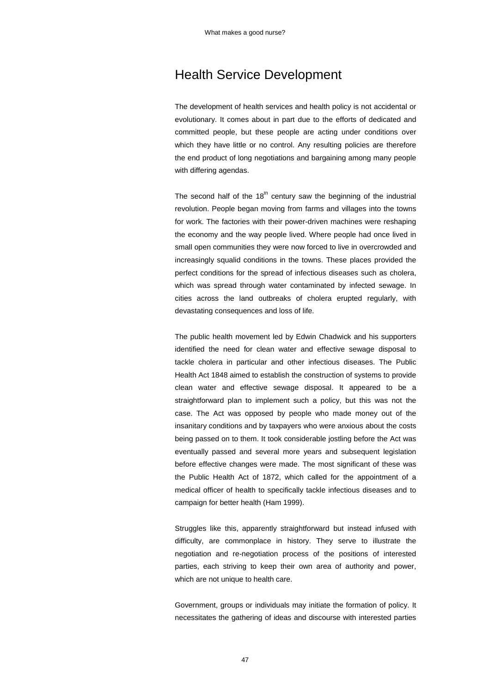# Health Service Development

The development of health services and health policy is not accidental or evolutionary. It comes about in part due to the efforts of dedicated and committed people, but these people are acting under conditions over which they have little or no control. Any resulting policies are therefore the end product of long negotiations and bargaining among many people with differing agendas.

The second half of the  $18<sup>th</sup>$  century saw the beginning of the industrial revolution. People began moving from farms and villages into the towns for work. The factories with their power-driven machines were reshaping the economy and the way people lived. Where people had once lived in small open communities they were now forced to live in overcrowded and increasingly squalid conditions in the towns. These places provided the perfect conditions for the spread of infectious diseases such as cholera, which was spread through water contaminated by infected sewage. In cities across the land outbreaks of cholera erupted regularly, with devastating consequences and loss of life.

The public health movement led by Edwin Chadwick and his supporters identified the need for clean water and effective sewage disposal to tackle cholera in particular and other infectious diseases. The Public Health Act 1848 aimed to establish the construction of systems to provide clean water and effective sewage disposal. It appeared to be a straightforward plan to implement such a policy, but this was not the case. The Act was opposed by people who made money out of the insanitary conditions and by taxpayers who were anxious about the costs being passed on to them. It took considerable jostling before the Act was eventually passed and several more years and subsequent legislation before effective changes were made. The most significant of these was the Public Health Act of 1872, which called for the appointment of a medical officer of health to specifically tackle infectious diseases and to campaign for better health (Ham 1999).

Struggles like this, apparently straightforward but instead infused with difficulty, are commonplace in history. They serve to illustrate the negotiation and re-negotiation process of the positions of interested parties, each striving to keep their own area of authority and power, which are not unique to health care.

Government, groups or individuals may initiate the formation of policy. It necessitates the gathering of ideas and discourse with interested parties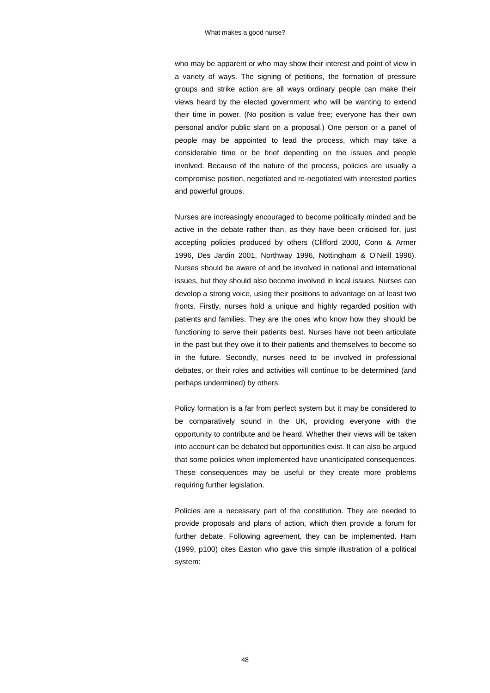who may be apparent or who may show their interest and point of view in a variety of ways. The signing of petitions, the formation of pressure groups and strike action are all ways ordinary people can make their views heard by the elected government who will be wanting to extend their time in power. (No position is value free; everyone has their own personal and/or public slant on a proposal.) One person or a panel of people may be appointed to lead the process, which may take a considerable time or be brief depending on the issues and people involved. Because of the nature of the process, policies are usually a compromise position, negotiated and re-negotiated with interested parties and powerful groups.

Nurses are increasingly encouraged to become politically minded and be active in the debate rather than, as they have been criticised for, just accepting policies produced by others (Clifford 2000, Conn & Armer 1996, Des Jardin 2001, Northway 1996, Nottingham & O'Neill 1996). Nurses should be aware of and be involved in national and international issues, but they should also become involved in local issues. Nurses can develop a strong voice, using their positions to advantage on at least two fronts. Firstly, nurses hold a unique and highly regarded position with patients and families. They are the ones who know how they should be functioning to serve their patients best. Nurses have not been articulate in the past but they owe it to their patients and themselves to become so in the future. Secondly, nurses need to be involved in professional debates, or their roles and activities will continue to be determined (and perhaps undermined) by others.

Policy formation is a far from perfect system but it may be considered to be comparatively sound in the UK, providing everyone with the opportunity to contribute and be heard. Whether their views will be taken into account can be debated but opportunities exist. It can also be argued that some policies when implemented have unanticipated consequences. These consequences may be useful or they create more problems requiring further legislation.

Policies are a necessary part of the constitution. They are needed to provide proposals and plans of action, which then provide a forum for further debate. Following agreement, they can be implemented. Ham (1999, p100) cites Easton who gave this simple illustration of a political system: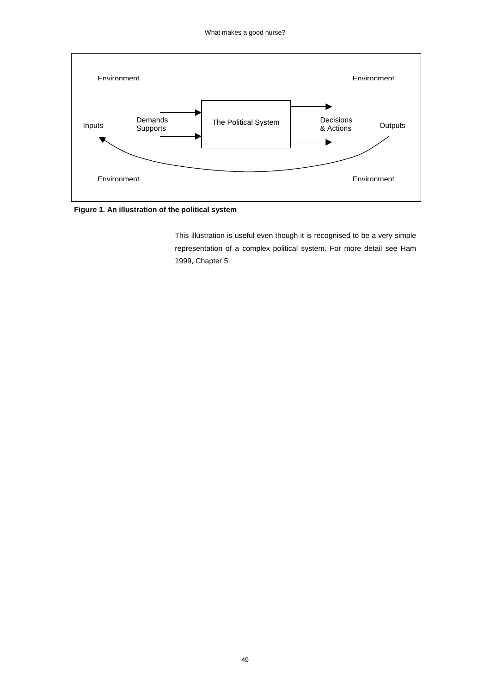

**Figure 1. An illustration of the political system**

This illustration is useful even though it is recognised to be a very simple representation of a complex political system. For more detail see Ham 1999, Chapter 5.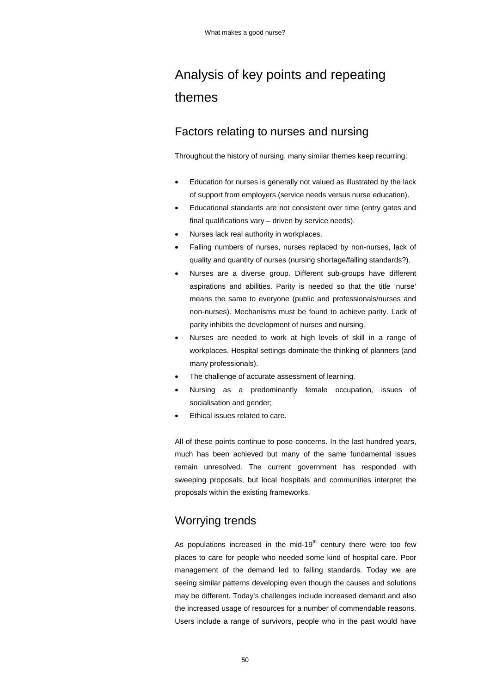# Analysis of key points and repeating themes

## Factors relating to nurses and nursing

Throughout the history of nursing, many similar themes keep recurring:

- Education for nurses is generally not valued as illustrated by the lack of support from employers (service needs versus nurse education).
- Educational standards are not consistent over time (entry gates and final qualifications vary – driven by service needs).
- Nurses lack real authority in workplaces.
- Falling numbers of nurses, nurses replaced by non-nurses, lack of quality and quantity of nurses (nursing shortage/falling standards?).
- Nurses are a diverse group. Different sub-groups have different aspirations and abilities. Parity is needed so that the title 'nurse' means the same to everyone (public and professionals/nurses and non-nurses). Mechanisms must be found to achieve parity. Lack of parity inhibits the development of nurses and nursing.
- Nurses are needed to work at high levels of skill in a range of workplaces. Hospital settings dominate the thinking of planners (and many professionals).
- The challenge of accurate assessment of learning.
- Nursing as a predominantly female occupation, issues of socialisation and gender;
- Ethical issues related to care.

All of these points continue to pose concerns. In the last hundred years, much has been achieved but many of the same fundamental issues remain unresolved. The current government has responded with sweeping proposals, but local hospitals and communities interpret the proposals within the existing frameworks.

### Worrying trends

As populations increased in the mid-19 $<sup>th</sup>$  century there were too few</sup> places to care for people who needed some kind of hospital care. Poor management of the demand led to falling standards. Today we are seeing similar patterns developing even though the causes and solutions may be different. Today's challenges include increased demand and also the increased usage of resources for a number of commendable reasons. Users include a range of survivors, people who in the past would have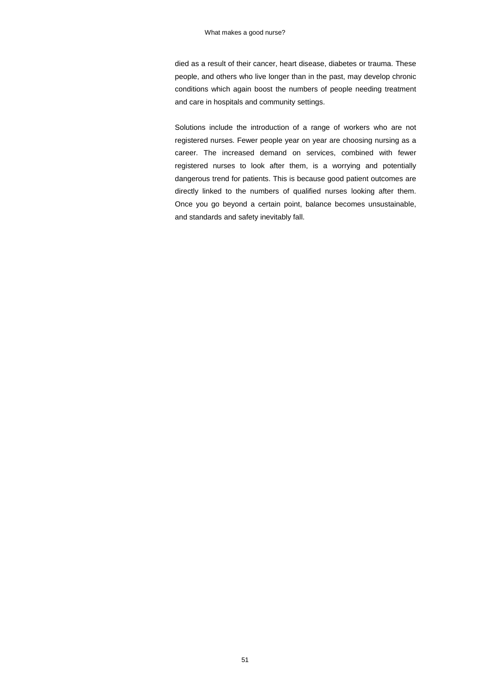died as a result of their cancer, heart disease, diabetes or trauma. These people, and others who live longer than in the past, may develop chronic conditions which again boost the numbers of people needing treatment and care in hospitals and community settings.

Solutions include the introduction of a range of workers who are not registered nurses. Fewer people year on year are choosing nursing as a career. The increased demand on services, combined with fewer registered nurses to look after them, is a worrying and potentially dangerous trend for patients. This is because good patient outcomes are directly linked to the numbers of qualified nurses looking after them. Once you go beyond a certain point, balance becomes unsustainable, and standards and safety inevitably fall.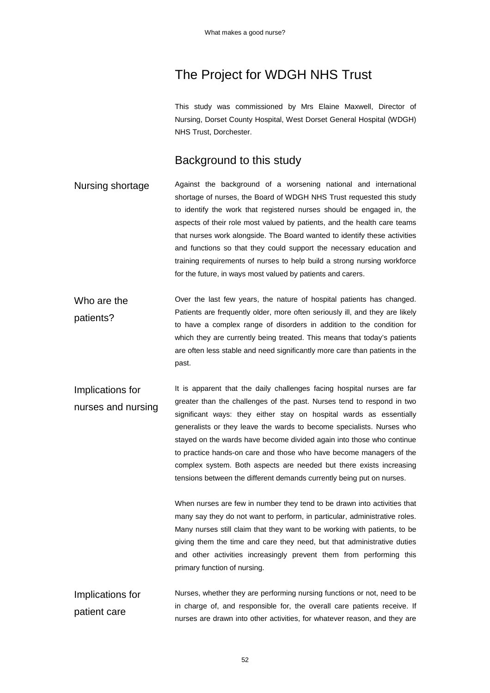# The Project for WDGH NHS Trust

This study was commissioned by Mrs Elaine Maxwell, Director of Nursing, Dorset County Hospital, West Dorset General Hospital (WDGH) NHS Trust, Dorchester.

### Background to this study

- Nursing shortage Against the background of a worsening national and international shortage of nurses, the Board of WDGH NHS Trust requested this study to identify the work that registered nurses should be engaged in, the aspects of their role most valued by patients, and the health care teams that nurses work alongside. The Board wanted to identify these activities and functions so that they could support the necessary education and training requirements of nurses to help build a strong nursing workforce for the future, in ways most valued by patients and carers.
- Who are the patients? Over the last few years, the nature of hospital patients has changed. Patients are frequently older, more often seriously ill, and they are likely to have a complex range of disorders in addition to the condition for which they are currently being treated. This means that today's patients are often less stable and need significantly more care than patients in the past.
- Implications for nurses and nursing It is apparent that the daily challenges facing hospital nurses are far greater than the challenges of the past. Nurses tend to respond in two significant ways: they either stay on hospital wards as essentially generalists or they leave the wards to become specialists. Nurses who stayed on the wards have become divided again into those who continue to practice hands-on care and those who have become managers of the complex system. Both aspects are needed but there exists increasing tensions between the different demands currently being put on nurses.

When nurses are few in number they tend to be drawn into activities that many say they do not want to perform, in particular, administrative roles. Many nurses still claim that they want to be working with patients, to be giving them the time and care they need, but that administrative duties and other activities increasingly prevent them from performing this primary function of nursing.

Implications for patient care Nurses, whether they are performing nursing functions or not, need to be in charge of, and responsible for, the overall care patients receive. If nurses are drawn into other activities, for whatever reason, and they are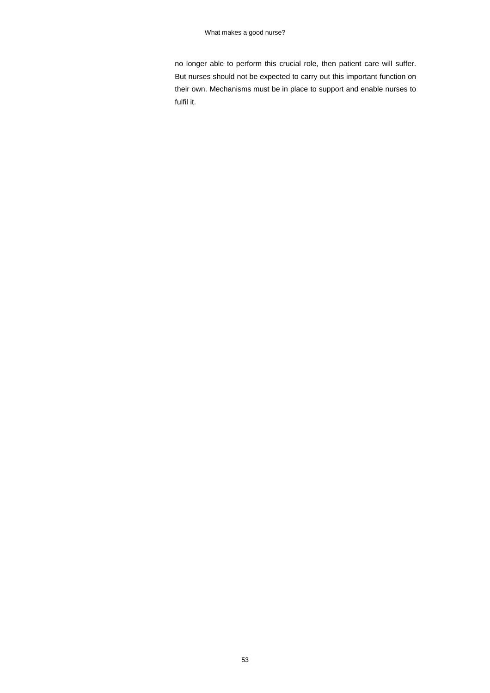no longer able to perform this crucial role, then patient care will suffer. But nurses should not be expected to carry out this important function on their own. Mechanisms must be in place to support and enable nurses to fulfil it.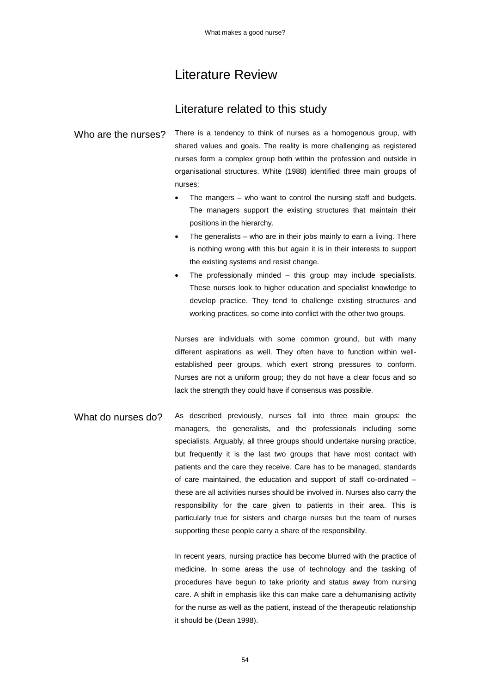# Literature Review

### Literature related to this study

Who are the nurses? There is a tendency to think of nurses as a homogenous group, with shared values and goals. The reality is more challenging as registered nurses form a complex group both within the profession and outside in organisational structures. White (1988) identified three main groups of nurses:

- The mangers  $-$  who want to control the nursing staff and budgets. The managers support the existing structures that maintain their positions in the hierarchy.
- The generalists  $-$  who are in their jobs mainly to earn a living. There is nothing wrong with this but again it is in their interests to support the existing systems and resist change.
- The professionally minded  $-$  this group may include specialists. These nurses look to higher education and specialist knowledge to develop practice. They tend to challenge existing structures and working practices, so come into conflict with the other two groups.

Nurses are individuals with some common ground, but with many different aspirations as well. They often have to function within wellestablished peer groups, which exert strong pressures to conform. Nurses are not a uniform group; they do not have a clear focus and so lack the strength they could have if consensus was possible.

What do nurses do? As described previously, nurses fall into three main groups: the managers, the generalists, and the professionals including some specialists. Arguably, all three groups should undertake nursing practice, but frequently it is the last two groups that have most contact with patients and the care they receive. Care has to be managed, standards of care maintained, the education and support of staff co-ordinated – these are all activities nurses should be involved in. Nurses also carry the responsibility for the care given to patients in their area. This is particularly true for sisters and charge nurses but the team of nurses supporting these people carry a share of the responsibility.

> In recent years, nursing practice has become blurred with the practice of medicine. In some areas the use of technology and the tasking of procedures have begun to take priority and status away from nursing care. A shift in emphasis like this can make care a dehumanising activity for the nurse as well as the patient, instead of the therapeutic relationship it should be (Dean 1998).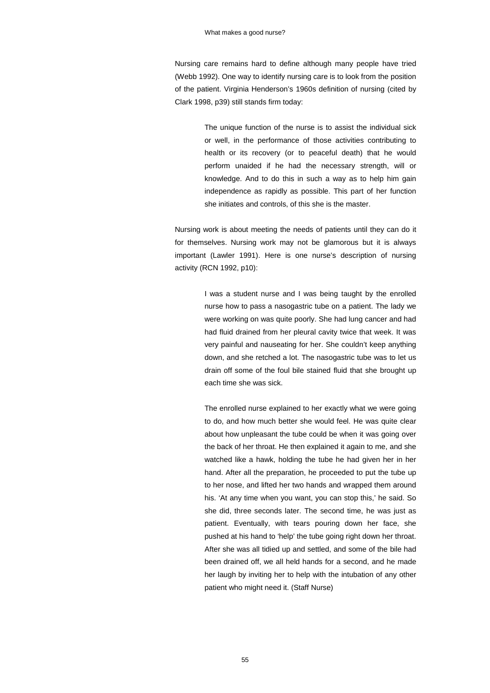Nursing care remains hard to define although many people have tried (Webb 1992). One way to identify nursing care is to look from the position of the patient. Virginia Henderson's 1960s definition of nursing (cited by Clark 1998, p39) still stands firm today:

> The unique function of the nurse is to assist the individual sick or well, in the performance of those activities contributing to health or its recovery (or to peaceful death) that he would perform unaided if he had the necessary strength, will or knowledge. And to do this in such a way as to help him gain independence as rapidly as possible. This part of her function she initiates and controls, of this she is the master.

Nursing work is about meeting the needs of patients until they can do it for themselves. Nursing work may not be glamorous but it is always important (Lawler 1991). Here is one nurse's description of nursing activity (RCN 1992, p10):

> I was a student nurse and I was being taught by the enrolled nurse how to pass a nasogastric tube on a patient. The lady we were working on was quite poorly. She had lung cancer and had had fluid drained from her pleural cavity twice that week. It was very painful and nauseating for her. She couldn't keep anything down, and she retched a lot. The nasogastric tube was to let us drain off some of the foul bile stained fluid that she brought up each time she was sick.

> The enrolled nurse explained to her exactly what we were going to do, and how much better she would feel. He was quite clear about how unpleasant the tube could be when it was going over the back of her throat. He then explained it again to me, and she watched like a hawk, holding the tube he had given her in her hand. After all the preparation, he proceeded to put the tube up to her nose, and lifted her two hands and wrapped them around his. 'At any time when you want, you can stop this,' he said. So she did, three seconds later. The second time, he was just as patient. Eventually, with tears pouring down her face, she pushed at his hand to 'help' the tube going right down her throat. After she was all tidied up and settled, and some of the bile had been drained off, we all held hands for a second, and he made her laugh by inviting her to help with the intubation of any other patient who might need it. (Staff Nurse)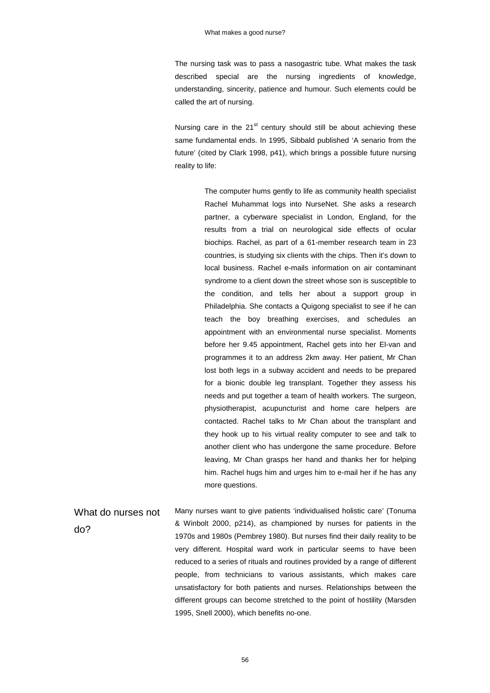The nursing task was to pass a nasogastric tube. What makes the task described special are the nursing ingredients of knowledge, understanding, sincerity, patience and humour. Such elements could be called the art of nursing.

Nursing care in the 21<sup>st</sup> century should still be about achieving these same fundamental ends. In 1995, Sibbald published 'A senario from the future' (cited by Clark 1998, p41), which brings a possible future nursing reality to life:

> The computer hums gently to life as community health specialist Rachel Muhammat logs into NurseNet. She asks a research partner, a cyberware specialist in London, England, for the results from a trial on neurological side effects of ocular biochips. Rachel, as part of a 61-member research team in 23 countries, is studying six clients with the chips. Then it's down to local business. Rachel e-mails information on air contaminant syndrome to a client down the street whose son is susceptible to the condition, and tells her about a support group in Philadelphia. She contacts a Quigong specialist to see if he can teach the boy breathing exercises, and schedules an appointment with an environmental nurse specialist. Moments before her 9.45 appointment, Rachel gets into her El-van and programmes it to an address 2km away. Her patient, Mr Chan lost both legs in a subway accident and needs to be prepared for a bionic double leg transplant. Together they assess his needs and put together a team of health workers. The surgeon, physiotherapist, acupuncturist and home care helpers are contacted. Rachel talks to Mr Chan about the transplant and they hook up to his virtual reality computer to see and talk to another client who has undergone the same procedure. Before leaving, Mr Chan grasps her hand and thanks her for helping him. Rachel hugs him and urges him to e-mail her if he has any more questions.

What do nurses not do? Many nurses want to give patients 'individualised holistic care' (Tonuma & Winbolt 2000, p214), as championed by nurses for patients in the 1970s and 1980s (Pembrey 1980). But nurses find their daily reality to be very different. Hospital ward work in particular seems to have been reduced to a series of rituals and routines provided by a range of different people, from technicians to various assistants, which makes care unsatisfactory for both patients and nurses. Relationships between the different groups can become stretched to the point of hostility (Marsden 1995, Snell 2000), which benefits no-one.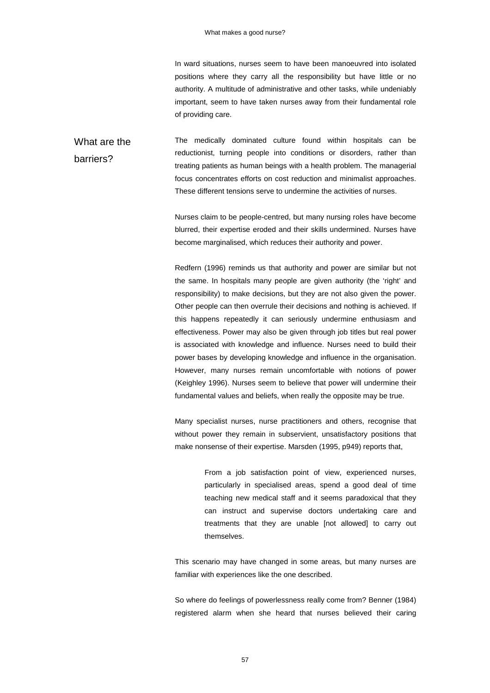In ward situations, nurses seem to have been manoeuvred into isolated positions where they carry all the responsibility but have little or no authority. A multitude of administrative and other tasks, while undeniably important, seem to have taken nurses away from their fundamental role of providing care.

What are the barriers? The medically dominated culture found within hospitals can be reductionist, turning people into conditions or disorders, rather than treating patients as human beings with a health problem. The managerial focus concentrates efforts on cost reduction and minimalist approaches. These different tensions serve to undermine the activities of nurses.

> Nurses claim to be people-centred, but many nursing roles have become blurred, their expertise eroded and their skills undermined. Nurses have become marginalised, which reduces their authority and power.

> Redfern (1996) reminds us that authority and power are similar but not the same. In hospitals many people are given authority (the 'right' and responsibility) to make decisions, but they are not also given the power. Other people can then overrule their decisions and nothing is achieved. If this happens repeatedly it can seriously undermine enthusiasm and effectiveness. Power may also be given through job titles but real power is associated with knowledge and influence. Nurses need to build their power bases by developing knowledge and influence in the organisation. However, many nurses remain uncomfortable with notions of power (Keighley 1996). Nurses seem to believe that power will undermine their fundamental values and beliefs, when really the opposite may be true.

> Many specialist nurses, nurse practitioners and others, recognise that without power they remain in subservient, unsatisfactory positions that make nonsense of their expertise. Marsden (1995, p949) reports that,

> > From a job satisfaction point of view, experienced nurses, particularly in specialised areas, spend a good deal of time teaching new medical staff and it seems paradoxical that they can instruct and supervise doctors undertaking care and treatments that they are unable [not allowed] to carry out themselves.

This scenario may have changed in some areas, but many nurses are familiar with experiences like the one described.

So where do feelings of powerlessness really come from? Benner (1984) registered alarm when she heard that nurses believed their caring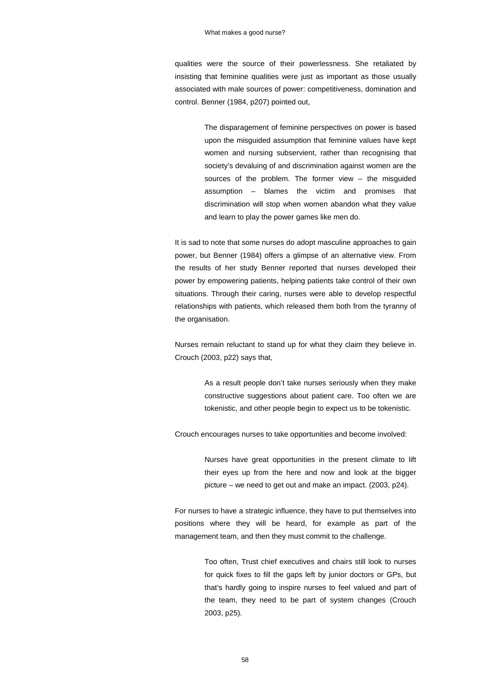qualities were the source of their powerlessness. She retaliated by insisting that feminine qualities were just as important as those usually associated with male sources of power: competitiveness, domination and control. Benner (1984, p207) pointed out,

> The disparagement of feminine perspectives on power is based upon the misguided assumption that feminine values have kept women and nursing subservient, rather than recognising that society's devaluing of and discrimination against women are the sources of the problem. The former view – the misguided assumption – blames the victim and promises that discrimination will stop when women abandon what they value and learn to play the power games like men do.

It is sad to note that some nurses do adopt masculine approaches to gain power, but Benner (1984) offers a glimpse of an alternative view. From the results of her study Benner reported that nurses developed their power by empowering patients, helping patients take control of their own situations. Through their caring, nurses were able to develop respectful relationships with patients, which released them both from the tyranny of the organisation.

Nurses remain reluctant to stand up for what they claim they believe in. Crouch (2003, p22) says that,

> As a result people don't take nurses seriously when they make constructive suggestions about patient care. Too often we are tokenistic, and other people begin to expect us to be tokenistic.

Crouch encourages nurses to take opportunities and become involved:

Nurses have great opportunities in the present climate to lift their eyes up from the here and now and look at the bigger picture – we need to get out and make an impact. (2003, p24).

For nurses to have a strategic influence, they have to put themselves into positions where they will be heard, for example as part of the management team, and then they must commit to the challenge.

> Too often, Trust chief executives and chairs still look to nurses for quick fixes to fill the gaps left by junior doctors or GPs, but that's hardly going to inspire nurses to feel valued and part of the team, they need to be part of system changes (Crouch 2003, p25).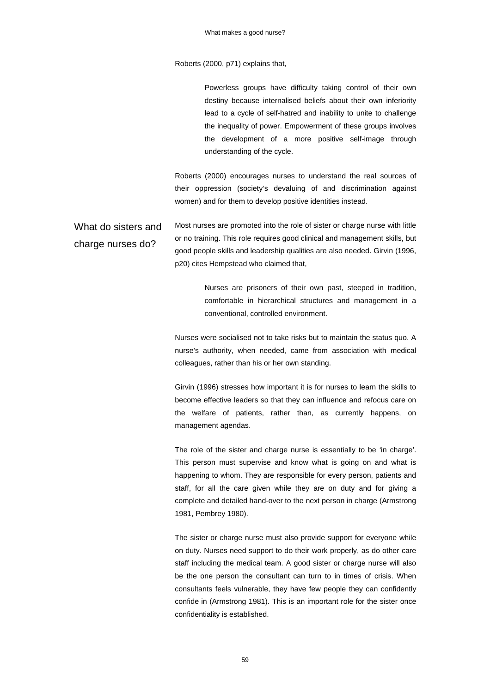Roberts (2000, p71) explains that,

Powerless groups have difficulty taking control of their own destiny because internalised beliefs about their own inferiority lead to a cycle of self-hatred and inability to unite to challenge the inequality of power. Empowerment of these groups involves the development of a more positive self-image through understanding of the cycle.

Roberts (2000) encourages nurses to understand the real sources of their oppression (society's devaluing of and discrimination against women) and for them to develop positive identities instead.

What do sisters and charge nurses do? Most nurses are promoted into the role of sister or charge nurse with little or no training. This role requires good clinical and management skills, but good people skills and leadership qualities are also needed. Girvin (1996, p20) cites Hempstead who claimed that,

> Nurses are prisoners of their own past, steeped in tradition, comfortable in hierarchical structures and management in a conventional, controlled environment.

Nurses were socialised not to take risks but to maintain the status quo. A nurse's authority, when needed, came from association with medical colleagues, rather than his or her own standing.

Girvin (1996) stresses how important it is for nurses to learn the skills to become effective leaders so that they can influence and refocus care on the welfare of patients, rather than, as currently happens, on management agendas.

The role of the sister and charge nurse is essentially to be 'in charge'. This person must supervise and know what is going on and what is happening to whom. They are responsible for every person, patients and staff, for all the care given while they are on duty and for giving a complete and detailed hand-over to the next person in charge (Armstrong 1981, Pembrey 1980).

The sister or charge nurse must also provide support for everyone while on duty. Nurses need support to do their work properly, as do other care staff including the medical team. A good sister or charge nurse will also be the one person the consultant can turn to in times of crisis. When consultants feels vulnerable, they have few people they can confidently confide in (Armstrong 1981). This is an important role for the sister once confidentiality is established.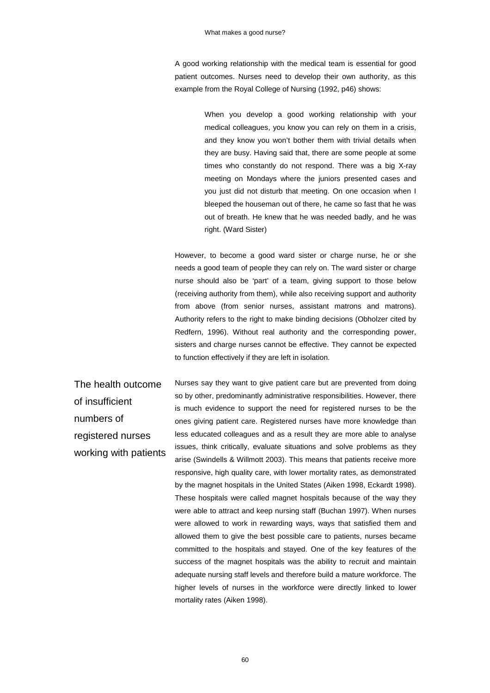A good working relationship with the medical team is essential for good patient outcomes. Nurses need to develop their own authority, as this example from the Royal College of Nursing (1992, p46) shows:

> When you develop a good working relationship with your medical colleagues, you know you can rely on them in a crisis, and they know you won't bother them with trivial details when they are busy. Having said that, there are some people at some times who constantly do not respond. There was a big X-ray meeting on Mondays where the juniors presented cases and you just did not disturb that meeting. On one occasion when I bleeped the houseman out of there, he came so fast that he was out of breath. He knew that he was needed badly, and he was right. (Ward Sister)

However, to become a good ward sister or charge nurse, he or she needs a good team of people they can rely on. The ward sister or charge nurse should also be 'part' of a team, giving support to those below (receiving authority from them), while also receiving support and authority from above (from senior nurses, assistant matrons and matrons). Authority refers to the right to make binding decisions (Obholzer cited by Redfern, 1996). Without real authority and the corresponding power, sisters and charge nurses cannot be effective. They cannot be expected to function effectively if they are left in isolation.

The health outcome of insufficient numbers of registered nurses working with patients Nurses say they want to give patient care but are prevented from doing so by other, predominantly administrative responsibilities. However, there is much evidence to support the need for registered nurses to be the ones giving patient care. Registered nurses have more knowledge than less educated colleagues and as a result they are more able to analyse issues, think critically, evaluate situations and solve problems as they arise (Swindells & Willmott 2003). This means that patients receive more responsive, high quality care, with lower mortality rates, as demonstrated by the magnet hospitals in the United States (Aiken 1998, Eckardt 1998). These hospitals were called magnet hospitals because of the way they were able to attract and keep nursing staff (Buchan 1997). When nurses were allowed to work in rewarding ways, ways that satisfied them and allowed them to give the best possible care to patients, nurses became committed to the hospitals and stayed. One of the key features of the success of the magnet hospitals was the ability to recruit and maintain adequate nursing staff levels and therefore build a mature workforce. The higher levels of nurses in the workforce were directly linked to lower mortality rates (Aiken 1998).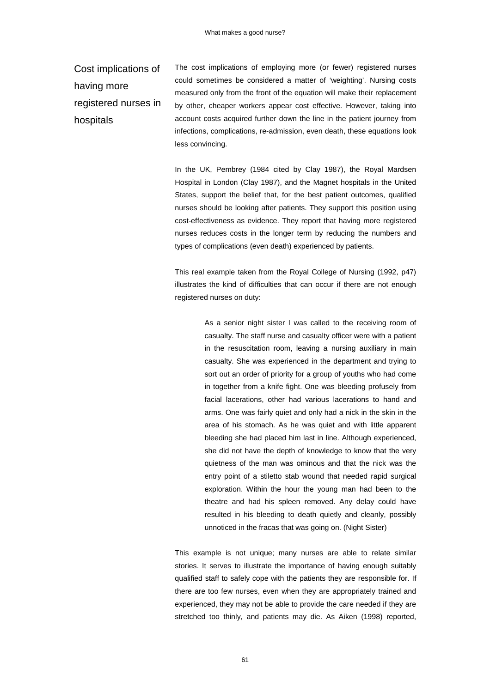Cost implications of having more registered nurses in hospitals

The cost implications of employing more (or fewer) registered nurses could sometimes be considered a matter of 'weighting'. Nursing costs measured only from the front of the equation will make their replacement by other, cheaper workers appear cost effective. However, taking into account costs acquired further down the line in the patient journey from infections, complications, re-admission, even death, these equations look less convincing.

In the UK, Pembrey (1984 cited by Clay 1987), the Royal Mardsen Hospital in London (Clay 1987), and the Magnet hospitals in the United States, support the belief that, for the best patient outcomes, qualified nurses should be looking after patients. They support this position using cost-effectiveness as evidence. They report that having more registered nurses reduces costs in the longer term by reducing the numbers and types of complications (even death) experienced by patients.

This real example taken from the Royal College of Nursing (1992, p47) illustrates the kind of difficulties that can occur if there are not enough registered nurses on duty:

> As a senior night sister I was called to the receiving room of casualty. The staff nurse and casualty officer were with a patient in the resuscitation room, leaving a nursing auxiliary in main casualty. She was experienced in the department and trying to sort out an order of priority for a group of youths who had come in together from a knife fight. One was bleeding profusely from facial lacerations, other had various lacerations to hand and arms. One was fairly quiet and only had a nick in the skin in the area of his stomach. As he was quiet and with little apparent bleeding she had placed him last in line. Although experienced, she did not have the depth of knowledge to know that the very quietness of the man was ominous and that the nick was the entry point of a stiletto stab wound that needed rapid surgical exploration. Within the hour the young man had been to the theatre and had his spleen removed. Any delay could have resulted in his bleeding to death quietly and cleanly, possibly unnoticed in the fracas that was going on. (Night Sister)

This example is not unique; many nurses are able to relate similar stories. It serves to illustrate the importance of having enough suitably qualified staff to safely cope with the patients they are responsible for. If there are too few nurses, even when they are appropriately trained and experienced, they may not be able to provide the care needed if they are stretched too thinly, and patients may die. As Aiken (1998) reported,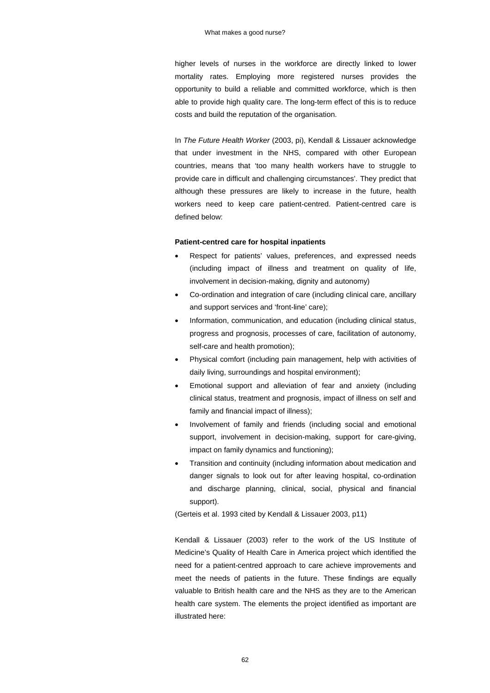higher levels of nurses in the workforce are directly linked to lower mortality rates. Employing more registered nurses provides the opportunity to build a reliable and committed workforce, which is then able to provide high quality care. The long-term effect of this is to reduce costs and build the reputation of the organisation.

In *The Future Health Worker* (2003, pi), Kendall & Lissauer acknowledge that under investment in the NHS, compared with other European countries, means that 'too many health workers have to struggle to provide care in difficult and challenging circumstances'. They predict that although these pressures are likely to increase in the future, health workers need to keep care patient-centred. Patient-centred care is defined below:

#### **Patient-centred care for hospital inpatients**

- Respect for patients' values, preferences, and expressed needs (including impact of illness and treatment on quality of life, involvement in decision-making, dignity and autonomy)
- Co-ordination and integration of care (including clinical care, ancillary and support services and 'front-line' care);
- Information, communication, and education (including clinical status, progress and prognosis, processes of care, facilitation of autonomy, self-care and health promotion);
- Physical comfort (including pain management, help with activities of daily living, surroundings and hospital environment);
- Emotional support and alleviation of fear and anxiety (including clinical status, treatment and prognosis, impact of illness on self and family and financial impact of illness):
- Involvement of family and friends (including social and emotional support, involvement in decision-making, support for care-giving, impact on family dynamics and functioning);
- Transition and continuity (including information about medication and danger signals to look out for after leaving hospital, co-ordination and discharge planning, clinical, social, physical and financial support).

(Gerteis et al. 1993 cited by Kendall & Lissauer 2003, p11)

Kendall & Lissauer (2003) refer to the work of the US Institute of Medicine's Quality of Health Care in America project which identified the need for a patient-centred approach to care achieve improvements and meet the needs of patients in the future. These findings are equally valuable to British health care and the NHS as they are to the American health care system. The elements the project identified as important are illustrated here: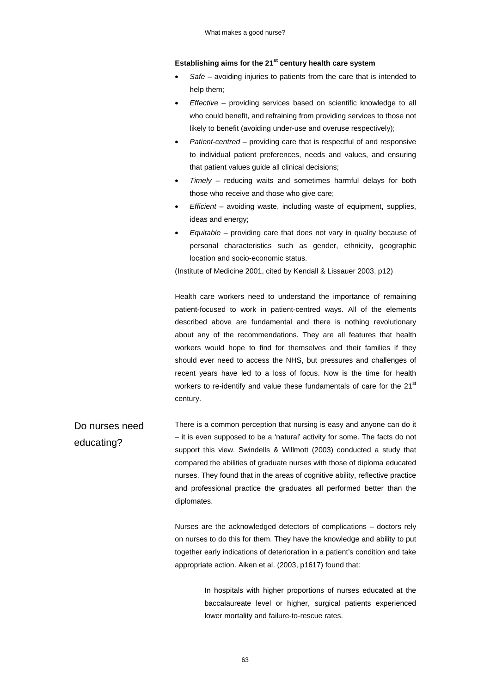### **Establishing aims for the 21st century health care system**

- Safe avoiding injuries to patients from the care that is intended to help them:
- *Effective* providing services based on scientific knowledge to all who could benefit, and refraining from providing services to those not likely to benefit (avoiding under-use and overuse respectively);
- *Patient-centred* providing care that is respectful of and responsive to individual patient preferences, needs and values, and ensuring that patient values guide all clinical decisions;
- *Timely* reducing waits and sometimes harmful delays for both those who receive and those who give care;
- *Efficient* avoiding waste, including waste of equipment, supplies, ideas and energy;
- *Equitable* providing care that does not vary in quality because of personal characteristics such as gender, ethnicity, geographic location and socio-economic status.

(Institute of Medicine 2001, cited by Kendall & Lissauer 2003, p12)

Health care workers need to understand the importance of remaining patient-focused to work in patient-centred ways. All of the elements described above are fundamental and there is nothing revolutionary about any of the recommendations. They are all features that health workers would hope to find for themselves and their families if they should ever need to access the NHS, but pressures and challenges of recent years have led to a loss of focus. Now is the time for health workers to re-identify and value these fundamentals of care for the 21<sup>st</sup> century.

Do nurses need educating? There is a common perception that nursing is easy and anyone can do it – it is even supposed to be a 'natural' activity for some. The facts do not support this view. Swindells & Willmott (2003) conducted a study that compared the abilities of graduate nurses with those of diploma educated nurses. They found that in the areas of cognitive ability, reflective practice and professional practice the graduates all performed better than the diplomates.

> Nurses are the acknowledged detectors of complications – doctors rely on nurses to do this for them. They have the knowledge and ability to put together early indications of deterioration in a patient's condition and take appropriate action. Aiken et al. (2003, p1617) found that:

> > In hospitals with higher proportions of nurses educated at the baccalaureate level or higher, surgical patients experienced lower mortality and failure-to-rescue rates.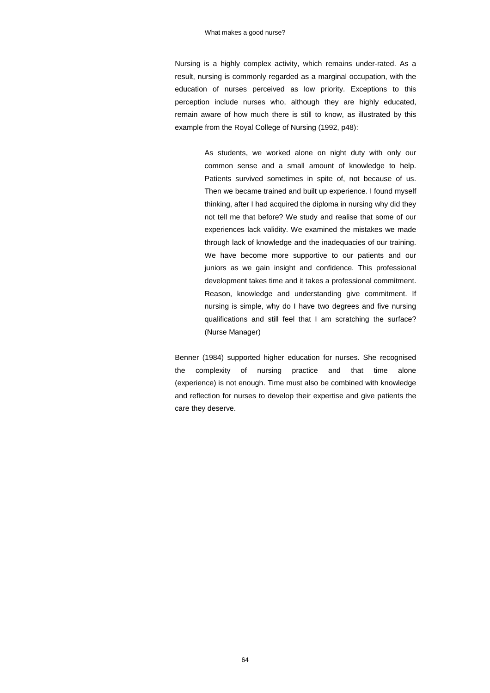Nursing is a highly complex activity, which remains under-rated. As a result, nursing is commonly regarded as a marginal occupation, with the education of nurses perceived as low priority. Exceptions to this perception include nurses who, although they are highly educated, remain aware of how much there is still to know, as illustrated by this example from the Royal College of Nursing (1992, p48):

> As students, we worked alone on night duty with only our common sense and a small amount of knowledge to help. Patients survived sometimes in spite of, not because of us. Then we became trained and built up experience. I found myself thinking, after I had acquired the diploma in nursing why did they not tell me that before? We study and realise that some of our experiences lack validity. We examined the mistakes we made through lack of knowledge and the inadequacies of our training. We have become more supportive to our patients and our juniors as we gain insight and confidence. This professional development takes time and it takes a professional commitment. Reason, knowledge and understanding give commitment. If nursing is simple, why do I have two degrees and five nursing qualifications and still feel that I am scratching the surface? (Nurse Manager)

Benner (1984) supported higher education for nurses. She recognised the complexity of nursing practice and that time alone (experience) is not enough. Time must also be combined with knowledge and reflection for nurses to develop their expertise and give patients the care they deserve.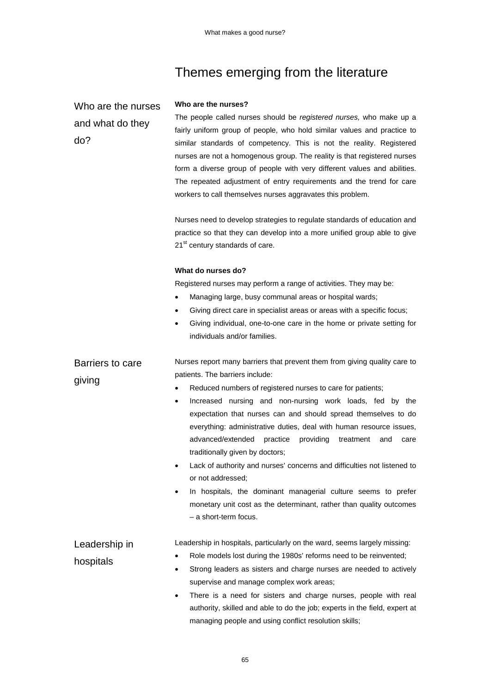# Themes emerging from the literature

| Who are the nurses         | Who are the nurses?                                                                                                                                                                                                                                                                                                                                                                                                                                                                                                                                                                                                                                                                                                                                                                     |  |  |
|----------------------------|-----------------------------------------------------------------------------------------------------------------------------------------------------------------------------------------------------------------------------------------------------------------------------------------------------------------------------------------------------------------------------------------------------------------------------------------------------------------------------------------------------------------------------------------------------------------------------------------------------------------------------------------------------------------------------------------------------------------------------------------------------------------------------------------|--|--|
| and what do they<br>do?    | The people called nurses should be registered nurses, who make up a<br>fairly uniform group of people, who hold similar values and practice to<br>similar standards of competency. This is not the reality. Registered<br>nurses are not a homogenous group. The reality is that registered nurses<br>form a diverse group of people with very different values and abilities.<br>The repeated adjustment of entry requirements and the trend for care<br>workers to call themselves nurses aggravates this problem.<br>Nurses need to develop strategies to regulate standards of education and<br>practice so that they can develop into a more unified group able to give                                                                                                            |  |  |
|                            | 21 <sup>st</sup> century standards of care.<br>What do nurses do?<br>Registered nurses may perform a range of activities. They may be:<br>Managing large, busy communal areas or hospital wards;<br>$\bullet$<br>Giving direct care in specialist areas or areas with a specific focus;<br>$\bullet$<br>Giving individual, one-to-one care in the home or private setting for<br>٠<br>individuals and/or families.                                                                                                                                                                                                                                                                                                                                                                      |  |  |
| Barriers to care<br>giving | Nurses report many barriers that prevent them from giving quality care to<br>patients. The barriers include:<br>Reduced numbers of registered nurses to care for patients;<br>$\bullet$<br>Increased nursing and non-nursing work loads, fed by the<br>$\bullet$<br>expectation that nurses can and should spread themselves to do<br>everything: administrative duties, deal with human resource issues,<br>advanced/extended<br>practice<br>providing<br>treatment<br>and<br>care<br>traditionally given by doctors;<br>Lack of authority and nurses' concerns and difficulties not listened to<br>or not addressed;<br>In hospitals, the dominant managerial culture seems to prefer<br>monetary unit cost as the determinant, rather than quality outcomes<br>- a short-term focus. |  |  |
| Leadership in<br>hospitals | Leadership in hospitals, particularly on the ward, seems largely missing:<br>Role models lost during the 1980s' reforms need to be reinvented;<br>Strong leaders as sisters and charge nurses are needed to actively<br>$\bullet$<br>supervise and manage complex work areas;<br>There is a need for sisters and charge nurses, people with real<br>$\bullet$<br>authority, skilled and able to do the job; experts in the field, expert at<br>managing people and using conflict resolution skills;                                                                                                                                                                                                                                                                                    |  |  |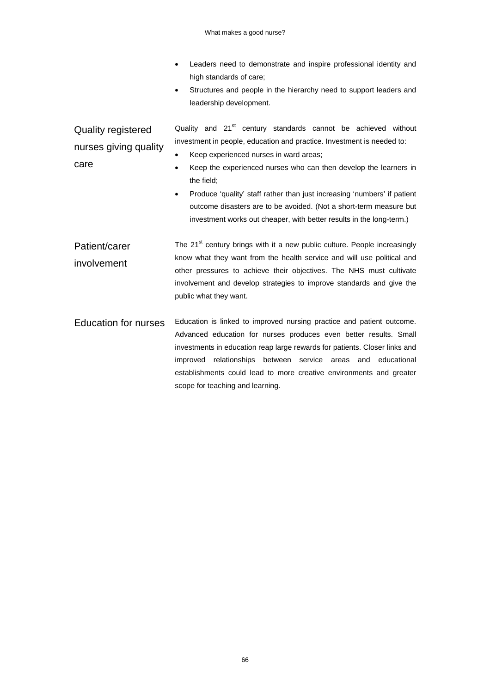|                                                            | Leaders need to demonstrate and inspire professional identity and<br>$\bullet$<br>high standards of care;<br>Structures and people in the hierarchy need to support leaders and<br>$\bullet$<br>leadership development.                                                                                                                                                                                                                                                                                                                          |
|------------------------------------------------------------|--------------------------------------------------------------------------------------------------------------------------------------------------------------------------------------------------------------------------------------------------------------------------------------------------------------------------------------------------------------------------------------------------------------------------------------------------------------------------------------------------------------------------------------------------|
| <b>Quality registered</b><br>nurses giving quality<br>care | Quality and 21 <sup>st</sup> century standards cannot be achieved without<br>investment in people, education and practice. Investment is needed to:<br>Keep experienced nurses in ward areas;<br>$\bullet$<br>Keep the experienced nurses who can then develop the learners in<br>$\bullet$<br>the field;<br>Produce 'quality' staff rather than just increasing 'numbers' if patient<br>$\bullet$<br>outcome disasters are to be avoided. (Not a short-term measure but<br>investment works out cheaper, with better results in the long-term.) |
| Patient/carer<br>involvement                               | The 21 <sup>st</sup> century brings with it a new public culture. People increasingly<br>know what they want from the health service and will use political and<br>other pressures to achieve their objectives. The NHS must cultivate<br>involvement and develop strategies to improve standards and give the<br>public what they want.                                                                                                                                                                                                         |
| <b>Education for nurses</b>                                | Education is linked to improved nursing practice and patient outcome.<br>Advanced education for nurses produces even better results. Small<br>investments in education reap large rewards for patients. Closer links and<br>relationships between service areas<br>improved<br>and educational<br>establishments could lead to more creative environments and greater<br>scope for teaching and learning.                                                                                                                                        |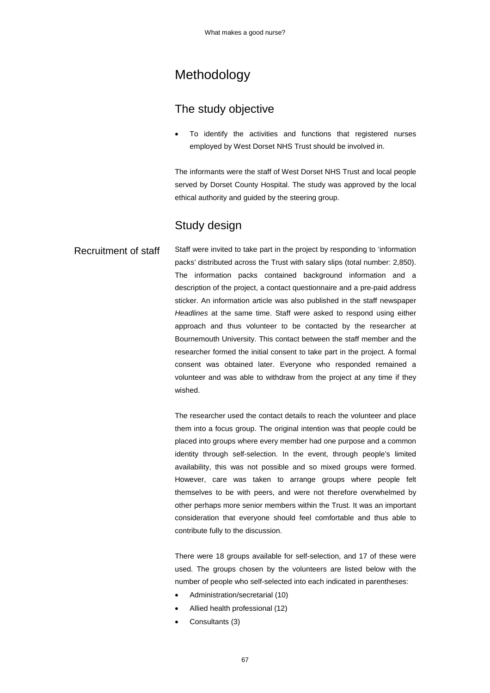# Methodology

### The study objective

• To identify the activities and functions that registered nurses employed by West Dorset NHS Trust should be involved in.

The informants were the staff of West Dorset NHS Trust and local people served by Dorset County Hospital. The study was approved by the local ethical authority and guided by the steering group.

## Study design

Recruitment of staff Staff were invited to take part in the project by responding to 'information packs' distributed across the Trust with salary slips (total number: 2,850). The information packs contained background information and a description of the project, a contact questionnaire and a pre-paid address sticker. An information article was also published in the staff newspaper *Headlines* at the same time. Staff were asked to respond using either approach and thus volunteer to be contacted by the researcher at Bournemouth University. This contact between the staff member and the researcher formed the initial consent to take part in the project. A formal consent was obtained later. Everyone who responded remained a volunteer and was able to withdraw from the project at any time if they wished.

> The researcher used the contact details to reach the volunteer and place them into a focus group. The original intention was that people could be placed into groups where every member had one purpose and a common identity through self-selection. In the event, through people's limited availability, this was not possible and so mixed groups were formed. However, care was taken to arrange groups where people felt themselves to be with peers, and were not therefore overwhelmed by other perhaps more senior members within the Trust. It was an important consideration that everyone should feel comfortable and thus able to contribute fully to the discussion.

> There were 18 groups available for self-selection, and 17 of these were used. The groups chosen by the volunteers are listed below with the number of people who self-selected into each indicated in parentheses:

- Administration/secretarial (10)
- Allied health professional (12)
- Consultants (3)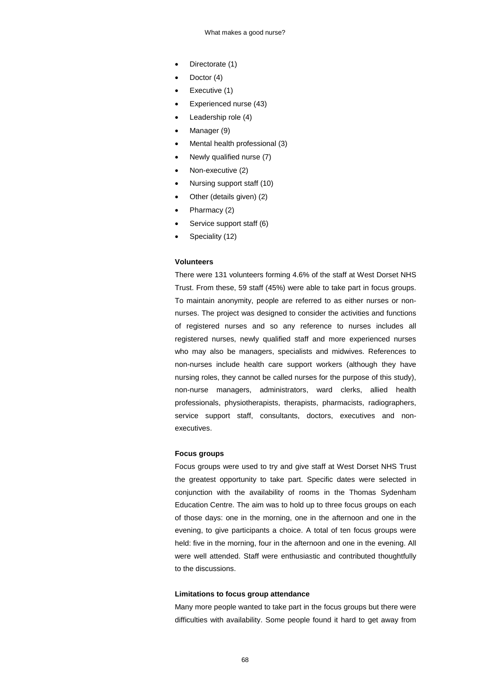- Directorate (1)
- Doctor (4)
- Executive (1)
- Experienced nurse (43)
- Leadership role (4)
- Manager (9)
- Mental health professional (3)
- Newly qualified nurse (7)
- Non-executive (2)
- Nursing support staff (10)
- Other (details given) (2)
- Pharmacy (2)
- Service support staff (6)
- Speciality (12)

#### **Volunteers**

There were 131 volunteers forming 4.6% of the staff at West Dorset NHS Trust. From these, 59 staff (45%) were able to take part in focus groups. To maintain anonymity, people are referred to as either nurses or nonnurses. The project was designed to consider the activities and functions of registered nurses and so any reference to nurses includes all registered nurses, newly qualified staff and more experienced nurses who may also be managers, specialists and midwives. References to non-nurses include health care support workers (although they have nursing roles, they cannot be called nurses for the purpose of this study), non-nurse managers, administrators, ward clerks, allied health professionals, physiotherapists, therapists, pharmacists, radiographers, service support staff, consultants, doctors, executives and nonexecutives.

#### **Focus groups**

Focus groups were used to try and give staff at West Dorset NHS Trust the greatest opportunity to take part. Specific dates were selected in conjunction with the availability of rooms in the Thomas Sydenham Education Centre. The aim was to hold up to three focus groups on each of those days: one in the morning, one in the afternoon and one in the evening, to give participants a choice. A total of ten focus groups were held: five in the morning, four in the afternoon and one in the evening. All were well attended. Staff were enthusiastic and contributed thoughtfully to the discussions.

#### **Limitations to focus group attendance**

Many more people wanted to take part in the focus groups but there were difficulties with availability. Some people found it hard to get away from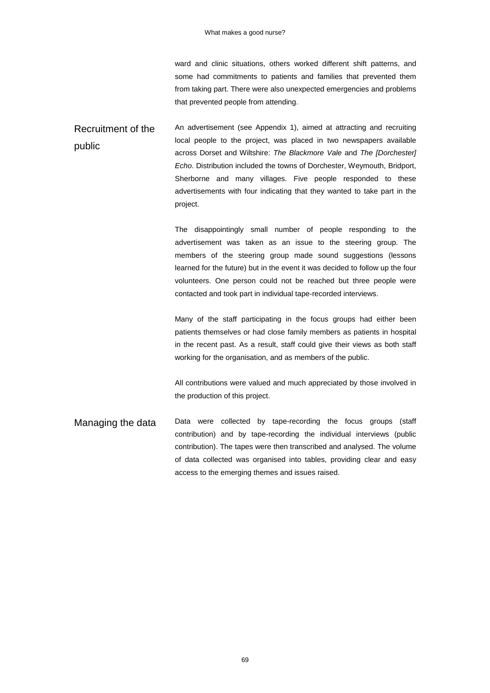ward and clinic situations, others worked different shift patterns, and some had commitments to patients and families that prevented them from taking part. There were also unexpected emergencies and problems that prevented people from attending.

Recruitment of the public An advertisement (see Appendix 1), aimed at attracting and recruiting local people to the project, was placed in two newspapers available across Dorset and Wiltshire: *The Blackmore Vale* and *The [Dorchester] Echo*. Distribution included the towns of Dorchester, Weymouth, Bridport, Sherborne and many villages. Five people responded to these advertisements with four indicating that they wanted to take part in the project.

> The disappointingly small number of people responding to the advertisement was taken as an issue to the steering group. The members of the steering group made sound suggestions (lessons learned for the future) but in the event it was decided to follow up the four volunteers. One person could not be reached but three people were contacted and took part in individual tape-recorded interviews.

> Many of the staff participating in the focus groups had either been patients themselves or had close family members as patients in hospital in the recent past. As a result, staff could give their views as both staff working for the organisation, and as members of the public.

> All contributions were valued and much appreciated by those involved in the production of this project.

Managing the data Data were collected by tape-recording the focus groups (staff contribution) and by tape-recording the individual interviews (public contribution). The tapes were then transcribed and analysed. The volume of data collected was organised into tables, providing clear and easy access to the emerging themes and issues raised.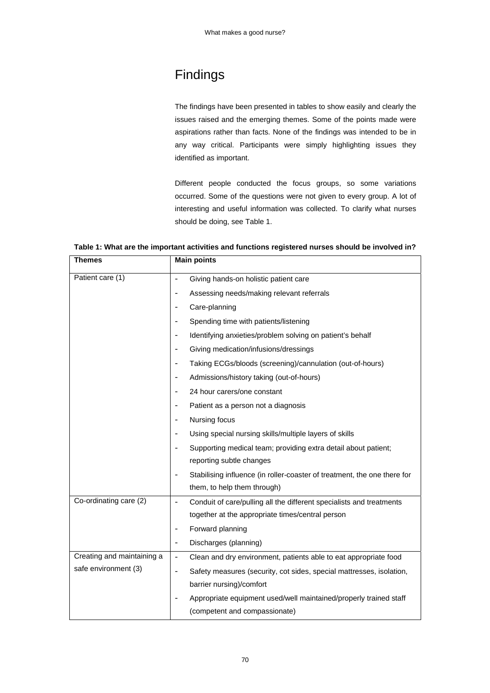# Findings

The findings have been presented in tables to show easily and clearly the issues raised and the emerging themes. Some of the points made were aspirations rather than facts. None of the findings was intended to be in any way critical. Participants were simply highlighting issues they identified as important.

Different people conducted the focus groups, so some variations occurred. Some of the questions were not given to every group. A lot of interesting and useful information was collected. To clarify what nurses should be doing, see Table 1.

**Table 1: What are the important activities and functions registered nurses should be involved in?**

| <b>Themes</b>              | <b>Main points</b>                                                                           |  |
|----------------------------|----------------------------------------------------------------------------------------------|--|
| Patient care (1)           | Giving hands-on holistic patient care<br>$\overline{a}$                                      |  |
|                            | Assessing needs/making relevant referrals                                                    |  |
|                            | Care-planning                                                                                |  |
|                            | Spending time with patients/listening                                                        |  |
|                            | Identifying anxieties/problem solving on patient's behalf                                    |  |
|                            | Giving medication/infusions/dressings                                                        |  |
|                            | Taking ECGs/bloods (screening)/cannulation (out-of-hours)                                    |  |
|                            | Admissions/history taking (out-of-hours)                                                     |  |
|                            | 24 hour carers/one constant                                                                  |  |
|                            | Patient as a person not a diagnosis                                                          |  |
|                            | Nursing focus                                                                                |  |
|                            | Using special nursing skills/multiple layers of skills                                       |  |
|                            | Supporting medical team; providing extra detail about patient;                               |  |
|                            | reporting subtle changes                                                                     |  |
|                            | Stabilising influence (in roller-coaster of treatment, the one there for                     |  |
|                            | them, to help them through)                                                                  |  |
| Co-ordinating care (2)     | Conduit of care/pulling all the different specialists and treatments<br>$\overline{a}$       |  |
|                            | together at the appropriate times/central person                                             |  |
|                            | Forward planning                                                                             |  |
|                            | Discharges (planning)<br>$\overline{\phantom{0}}$                                            |  |
| Creating and maintaining a | Clean and dry environment, patients able to eat appropriate food<br>$\overline{\phantom{a}}$ |  |
| safe environment (3)       | Safety measures (security, cot sides, special mattresses, isolation,<br>$\overline{a}$       |  |
|                            | barrier nursing)/comfort                                                                     |  |
|                            | Appropriate equipment used/well maintained/properly trained staff                            |  |
|                            | (competent and compassionate)                                                                |  |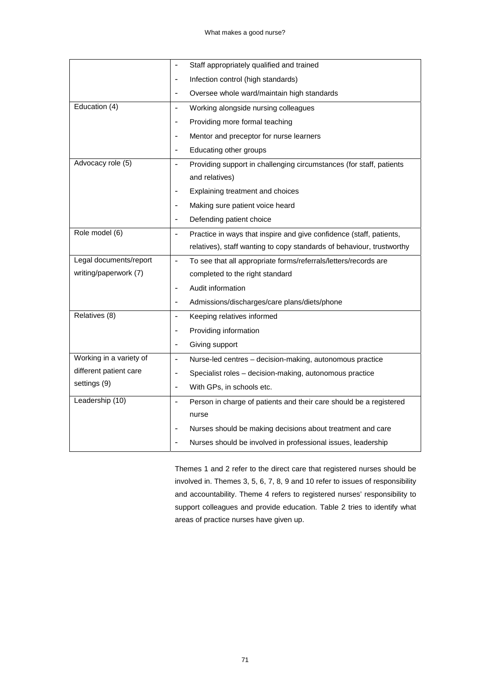|                         |                              | Staff appropriately qualified and trained                             |
|-------------------------|------------------------------|-----------------------------------------------------------------------|
|                         |                              | Infection control (high standards)                                    |
|                         | $\overline{a}$               | Oversee whole ward/maintain high standards                            |
| Education (4)           | $\overline{\phantom{a}}$     | Working alongside nursing colleagues                                  |
|                         |                              | Providing more formal teaching                                        |
|                         | $\blacksquare$               | Mentor and preceptor for nurse learners                               |
|                         | $\blacksquare$               | Educating other groups                                                |
| Advocacy role (5)       |                              | Providing support in challenging circumstances (for staff, patients   |
|                         |                              | and relatives)                                                        |
|                         |                              | Explaining treatment and choices                                      |
|                         |                              | Making sure patient voice heard                                       |
|                         | $\overline{a}$               | Defending patient choice                                              |
| Role model (6)          | $\blacksquare$               | Practice in ways that inspire and give confidence (staff, patients,   |
|                         |                              | relatives), staff wanting to copy standards of behaviour, trustworthy |
| Legal documents/report  | $\blacksquare$               | To see that all appropriate forms/referrals/letters/records are       |
| writing/paperwork (7)   |                              | completed to the right standard                                       |
|                         |                              | Audit information                                                     |
|                         | $\qquad \qquad \blacksquare$ | Admissions/discharges/care plans/diets/phone                          |
| Relatives (8)           | $\frac{1}{2}$                | Keeping relatives informed                                            |
|                         |                              | Providing information                                                 |
|                         | $\overline{a}$               | Giving support                                                        |
| Working in a variety of | $\overline{\phantom{a}}$     | Nurse-led centres - decision-making, autonomous practice              |
| different patient care  | $\overline{a}$               | Specialist roles - decision-making, autonomous practice               |
| settings (9)            | $\qquad \qquad \blacksquare$ | With GPs, in schools etc.                                             |
| Leadership (10)         | $\overline{a}$               | Person in charge of patients and their care should be a registered    |
|                         |                              | nurse                                                                 |
|                         |                              | Nurses should be making decisions about treatment and care            |
|                         |                              | Nurses should be involved in professional issues, leadership          |

Themes 1 and 2 refer to the direct care that registered nurses should be involved in. Themes 3, 5, 6, 7, 8, 9 and 10 refer to issues of responsibility and accountability. Theme 4 refers to registered nurses' responsibility to support colleagues and provide education. Table 2 tries to identify what areas of practice nurses have given up.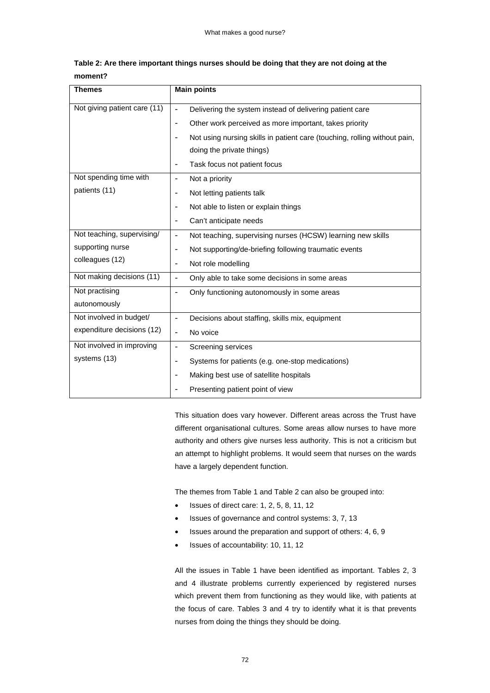| Themes                       | <b>Main points</b>                                                                      |
|------------------------------|-----------------------------------------------------------------------------------------|
| Not giving patient care (11) | Delivering the system instead of delivering patient care                                |
|                              | Other work perceived as more important, takes priority                                  |
|                              | Not using nursing skills in patient care (touching, rolling without pain,               |
|                              | doing the private things)                                                               |
|                              | Task focus not patient focus                                                            |
| Not spending time with       | Not a priority                                                                          |
| patients (11)                | Not letting patients talk                                                               |
|                              | Not able to listen or explain things                                                    |
|                              | Can't anticipate needs                                                                  |
| Not teaching, supervising/   | Not teaching, supervising nurses (HCSW) learning new skills<br>$\overline{\phantom{a}}$ |
| supporting nurse             | Not supporting/de-briefing following traumatic events                                   |
| colleagues (12)              | Not role modelling<br>$\overline{\phantom{a}}$                                          |
| Not making decisions (11)    | Only able to take some decisions in some areas<br>$\blacksquare$                        |
| Not practising               | Only functioning autonomously in some areas                                             |
| autonomously                 |                                                                                         |
| Not involved in budget/      | Decisions about staffing, skills mix, equipment                                         |
| expenditure decisions (12)   | No voice<br>$\blacksquare$                                                              |
| Not involved in improving    | Screening services                                                                      |
| systems (13)                 | Systems for patients (e.g. one-stop medications)                                        |
|                              | Making best use of satellite hospitals                                                  |
|                              | Presenting patient point of view                                                        |

| Table 2: Are there important things nurses should be doing that they are not doing at the |
|-------------------------------------------------------------------------------------------|
| moment?                                                                                   |

This situation does vary however. Different areas across the Trust have different organisational cultures. Some areas allow nurses to have more authority and others give nurses less authority. This is not a criticism but an attempt to highlight problems. It would seem that nurses on the wards have a largely dependent function.

The themes from Table 1 and Table 2 can also be grouped into:

- Issues of direct care: 1, 2, 5, 8, 11, 12
- Issues of governance and control systems: 3, 7, 13
- Issues around the preparation and support of others: 4, 6, 9
- Issues of accountability: 10, 11, 12

All the issues in Table 1 have been identified as important. Tables 2, 3 and 4 illustrate problems currently experienced by registered nurses which prevent them from functioning as they would like, with patients at the focus of care. Tables 3 and 4 try to identify what it is that prevents nurses from doing the things they should be doing.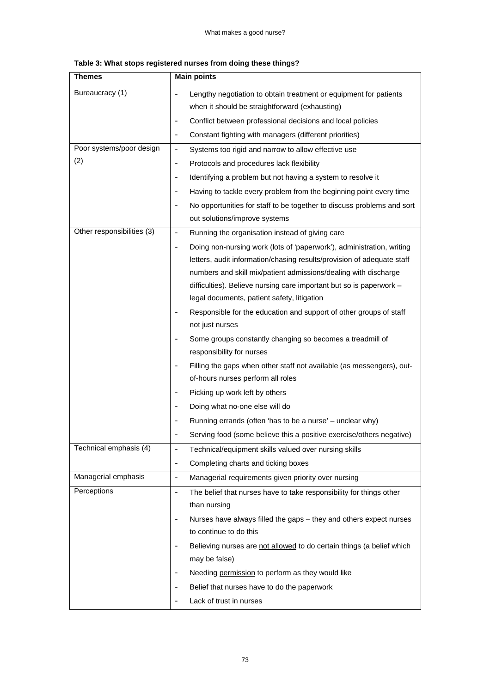| <b>Themes</b>              | <b>Main points</b>                                                                                  |  |
|----------------------------|-----------------------------------------------------------------------------------------------------|--|
| Bureaucracy (1)            | Lengthy negotiation to obtain treatment or equipment for patients                                   |  |
|                            | when it should be straightforward (exhausting)                                                      |  |
|                            | Conflict between professional decisions and local policies                                          |  |
|                            | Constant fighting with managers (different priorities)                                              |  |
| Poor systems/poor design   | Systems too rigid and narrow to allow effective use<br>$\qquad \qquad \blacksquare$                 |  |
| (2)                        | Protocols and procedures lack flexibility<br>$\overline{\phantom{0}}$                               |  |
|                            | Identifying a problem but not having a system to resolve it                                         |  |
|                            | Having to tackle every problem from the beginning point every time                                  |  |
|                            | No opportunities for staff to be together to discuss problems and sort                              |  |
|                            | out solutions/improve systems                                                                       |  |
| Other responsibilities (3) | Running the organisation instead of giving care<br>$\qquad \qquad \blacksquare$                     |  |
|                            | Doing non-nursing work (lots of 'paperwork'), administration, writing                               |  |
|                            | letters, audit information/chasing results/provision of adequate staff                              |  |
|                            | numbers and skill mix/patient admissions/dealing with discharge                                     |  |
|                            | difficulties). Believe nursing care important but so is paperwork -                                 |  |
|                            | legal documents, patient safety, litigation                                                         |  |
|                            | Responsible for the education and support of other groups of staff                                  |  |
|                            | not just nurses                                                                                     |  |
|                            | Some groups constantly changing so becomes a treadmill of                                           |  |
|                            | responsibility for nurses                                                                           |  |
|                            | Filling the gaps when other staff not available (as messengers), out-                               |  |
|                            | of-hours nurses perform all roles                                                                   |  |
|                            | Picking up work left by others                                                                      |  |
|                            | Doing what no-one else will do                                                                      |  |
|                            | Running errands (often 'has to be a nurse' - unclear why)                                           |  |
|                            | Serving food (some believe this a positive exercise/others negative)                                |  |
| Technical emphasis (4)     | Technical/equipment skills valued over nursing skills<br>$\qquad \qquad \blacksquare$               |  |
|                            | Completing charts and ticking boxes<br>$\overline{\phantom{a}}$                                     |  |
| Managerial emphasis        | Managerial requirements given priority over nursing<br>$\qquad \qquad \blacksquare$                 |  |
| Perceptions                | The belief that nurses have to take responsibility for things other<br>$\qquad \qquad \blacksquare$ |  |
|                            | than nursing                                                                                        |  |
|                            | Nurses have always filled the gaps - they and others expect nurses                                  |  |
|                            | to continue to do this                                                                              |  |
|                            | Believing nurses are not allowed to do certain things (a belief which                               |  |
|                            | may be false)                                                                                       |  |
|                            | Needing permission to perform as they would like                                                    |  |
|                            | Belief that nurses have to do the paperwork                                                         |  |
|                            | Lack of trust in nurses                                                                             |  |

**Table 3: What stops registered nurses from doing these things?**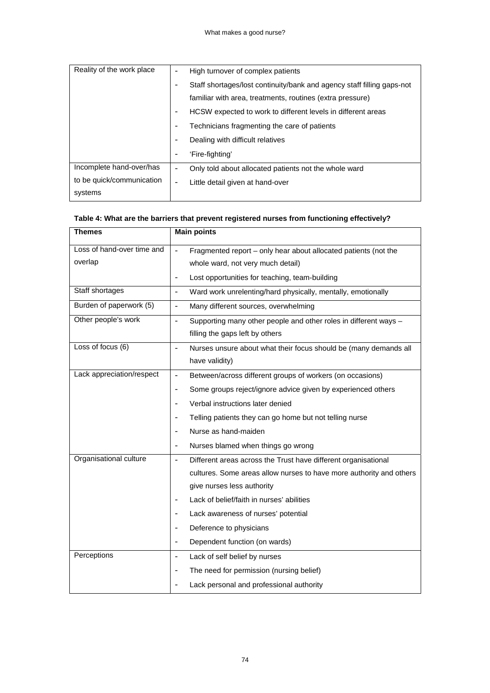| Reality of the work place | High turnover of complex patients                                      |
|---------------------------|------------------------------------------------------------------------|
|                           | Staff shortages/lost continuity/bank and agency staff filling gaps-not |
|                           | familiar with area, treatments, routines (extra pressure)              |
|                           | HCSW expected to work to different levels in different areas           |
|                           | Technicians fragmenting the care of patients                           |
|                           | Dealing with difficult relatives                                       |
|                           | 'Fire-fighting'                                                        |
| Incomplete hand-over/has  | Only told about allocated patients not the whole ward                  |
| to be quick/communication | Little detail given at hand-over                                       |
| systems                   |                                                                        |

# **Table 4: What are the barriers that prevent registered nurses from functioning effectively?**

| Themes                     | <b>Main points</b>                                                                    |  |
|----------------------------|---------------------------------------------------------------------------------------|--|
| Loss of hand-over time and | Fragmented report - only hear about allocated patients (not the<br>$\overline{a}$     |  |
| overlap                    | whole ward, not very much detail)                                                     |  |
|                            | Lost opportunities for teaching, team-building                                        |  |
| Staff shortages            | Ward work unrelenting/hard physically, mentally, emotionally<br>$\blacksquare$        |  |
| Burden of paperwork (5)    | Many different sources, overwhelming<br>$\overline{\phantom{0}}$                      |  |
| Other people's work        | Supporting many other people and other roles in different ways -<br>$\overline{a}$    |  |
|                            | filling the gaps left by others                                                       |  |
| Loss of focus (6)          | Nurses unsure about what their focus should be (many demands all<br>$\overline{a}$    |  |
|                            | have validity)                                                                        |  |
| Lack appreciation/respect  | Between/across different groups of workers (on occasions)<br>$\overline{\phantom{a}}$ |  |
|                            | Some groups reject/ignore advice given by experienced others                          |  |
|                            | Verbal instructions later denied                                                      |  |
|                            | Telling patients they can go home but not telling nurse                               |  |
|                            | Nurse as hand-maiden                                                                  |  |
|                            | Nurses blamed when things go wrong<br>$\overline{\phantom{0}}$                        |  |
| Organisational culture     | Different areas across the Trust have different organisational<br>$\overline{a}$      |  |
|                            | cultures. Some areas allow nurses to have more authority and others                   |  |
|                            | give nurses less authority                                                            |  |
|                            | Lack of belief/faith in nurses' abilities                                             |  |
|                            | Lack awareness of nurses' potential                                                   |  |
|                            | Deference to physicians<br>$\overline{\phantom{a}}$                                   |  |
|                            | Dependent function (on wards)<br>$\overline{\phantom{a}}$                             |  |
| Perceptions                | Lack of self belief by nurses<br>$\overline{\phantom{a}}$                             |  |
|                            | The need for permission (nursing belief)                                              |  |
|                            | Lack personal and professional authority                                              |  |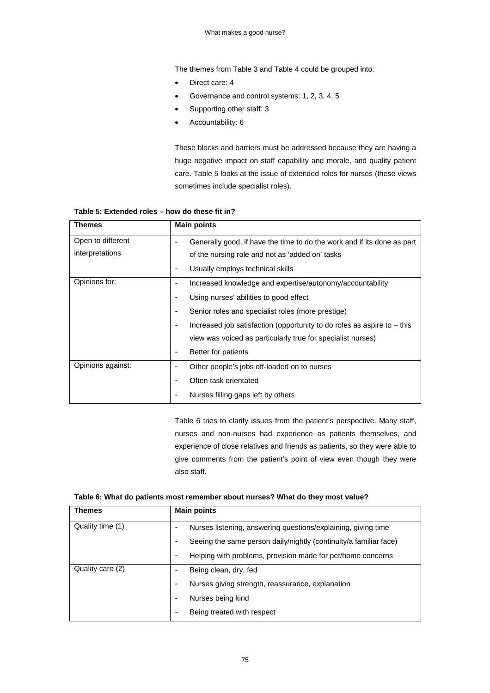The themes from Table 3 and Table 4 could be grouped into:

- Direct care: 4
- Governance and control systems: 1, 2, 3, 4, 5
- Supporting other staff: 3
- Accountability: 6

These blocks and barriers must be addressed because they are having a huge negative impact on staff capability and morale, and quality patient care. Table 5 looks at the issue of extended roles for nurses (these views sometimes include specialist roles).

| Themes            | <b>Main points</b>                                                                                  |  |
|-------------------|-----------------------------------------------------------------------------------------------------|--|
| Open to different | Generally good, if have the time to do the work and if its done as part<br>$\overline{\phantom{a}}$ |  |
| interpretations   | of the nursing role and not as 'added on' tasks                                                     |  |
|                   | Usually employs technical skills<br>$\overline{\phantom{a}}$                                        |  |
| Opinions for:     | Increased knowledge and expertise/autonomy/accountability<br>$\overline{\phantom{a}}$               |  |
|                   | Using nurses' abilities to good effect                                                              |  |
|                   | Senior roles and specialist roles (more prestige)                                                   |  |
|                   | Increased job satisfaction (opportunity to do roles as aspire to – this<br>$\overline{\phantom{a}}$ |  |
|                   | view was voiced as particularly true for specialist nurses)                                         |  |
|                   | Better for patients<br>$\overline{\phantom{a}}$                                                     |  |
| Opinions against: | Other people's jobs off-loaded on to nurses                                                         |  |
|                   | Often task orientated<br>$\overline{\phantom{a}}$                                                   |  |
|                   | Nurses filling gaps left by others<br>$\overline{\phantom{a}}$                                      |  |

Table 6 tries to clarify issues from the patient's perspective. Many staff, nurses and non-nurses had experience as patients themselves, and experience of close relatives and friends as patients, so they were able to give comments from the patient's point of view even though they were also staff.

|  | Table 6: What do patients most remember about nurses? What do they most value? |  |  |
|--|--------------------------------------------------------------------------------|--|--|
|--|--------------------------------------------------------------------------------|--|--|

| <b>Themes</b>    | <b>Main points</b>                                                |  |
|------------------|-------------------------------------------------------------------|--|
| Quality time (1) | Nurses listening, answering questions/explaining, giving time     |  |
|                  | Seeing the same person daily/nightly (continuity/a familiar face) |  |
|                  | Helping with problems, provision made for pet/home concerns       |  |
| Quality care (2) | Being clean, dry, fed                                             |  |
|                  | Nurses giving strength, reassurance, explanation                  |  |
|                  | Nurses being kind                                                 |  |
|                  | Being treated with respect                                        |  |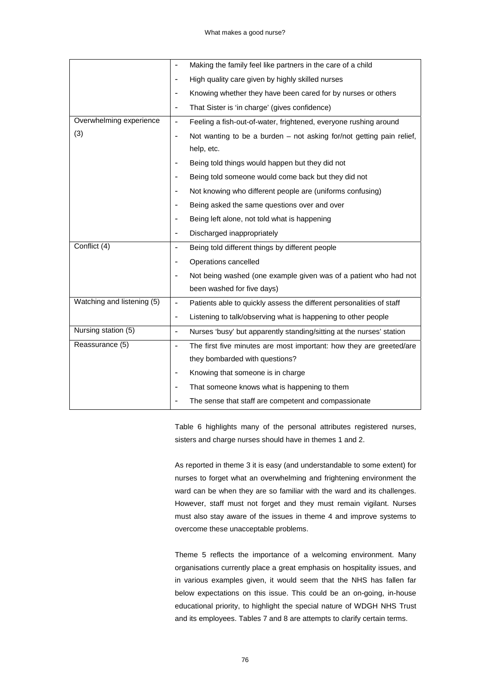|                            |                              | Making the family feel like partners in the care of a child          |
|----------------------------|------------------------------|----------------------------------------------------------------------|
|                            |                              | High quality care given by highly skilled nurses                     |
|                            |                              | Knowing whether they have been cared for by nurses or others         |
|                            | $\overline{a}$               | That Sister is 'in charge' (gives confidence)                        |
| Overwhelming experience    |                              | Feeling a fish-out-of-water, frightened, everyone rushing around     |
| (3)                        |                              | Not wanting to be a burden – not asking for/not getting pain relief, |
|                            |                              | help, etc.                                                           |
|                            |                              | Being told things would happen but they did not                      |
|                            |                              | Being told someone would come back but they did not                  |
|                            |                              | Not knowing who different people are (uniforms confusing)            |
|                            |                              | Being asked the same questions over and over                         |
|                            |                              | Being left alone, not told what is happening                         |
|                            | $\overline{\phantom{a}}$     | Discharged inappropriately                                           |
| Conflict (4)               | $\overline{\phantom{a}}$     | Being told different things by different people                      |
|                            |                              | Operations cancelled                                                 |
|                            |                              | Not being washed (one example given was of a patient who had not     |
|                            |                              | been washed for five days)                                           |
| Watching and listening (5) | $\qquad \qquad \blacksquare$ | Patients able to quickly assess the different personalities of staff |
|                            | $\overline{\phantom{a}}$     | Listening to talk/observing what is happening to other people        |
| Nursing station (5)        | $\overline{\phantom{a}}$     | Nurses 'busy' but apparently standing/sitting at the nurses' station |
| Reassurance (5)            | $\overline{a}$               | The first five minutes are most important: how they are greeted/are  |
|                            |                              | they bombarded with questions?                                       |
|                            |                              | Knowing that someone is in charge                                    |
|                            |                              | That someone knows what is happening to them                         |
|                            |                              | The sense that staff are competent and compassionate                 |

Table 6 highlights many of the personal attributes registered nurses, sisters and charge nurses should have in themes 1 and 2.

As reported in theme 3 it is easy (and understandable to some extent) for nurses to forget what an overwhelming and frightening environment the ward can be when they are so familiar with the ward and its challenges. However, staff must not forget and they must remain vigilant. Nurses must also stay aware of the issues in theme 4 and improve systems to overcome these unacceptable problems.

Theme 5 reflects the importance of a welcoming environment. Many organisations currently place a great emphasis on hospitality issues, and in various examples given, it would seem that the NHS has fallen far below expectations on this issue. This could be an on-going, in-house educational priority, to highlight the special nature of WDGH NHS Trust and its employees. Tables 7 and 8 are attempts to clarify certain terms.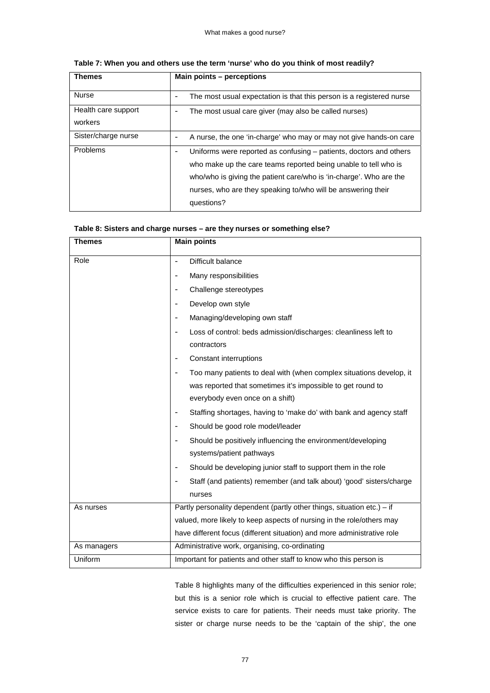| <b>Themes</b>                  | Main points - perceptions                                                                                                                                                                                                                                                                 |  |
|--------------------------------|-------------------------------------------------------------------------------------------------------------------------------------------------------------------------------------------------------------------------------------------------------------------------------------------|--|
| Nurse                          | The most usual expectation is that this person is a registered nurse<br>$\overline{\phantom{0}}$                                                                                                                                                                                          |  |
| Health care support<br>workers | The most usual care giver (may also be called nurses)                                                                                                                                                                                                                                     |  |
| Sister/charge nurse            | A nurse, the one 'in-charge' who may or may not give hands-on care                                                                                                                                                                                                                        |  |
| Problems                       | Uniforms were reported as confusing – patients, doctors and others<br>who make up the care teams reported being unable to tell who is<br>who/who is giving the patient care/who is 'in-charge'. Who are the<br>nurses, who are they speaking to/who will be answering their<br>questions? |  |

| Table 7: When you and others use the term 'nurse' who do you think of most readily? |
|-------------------------------------------------------------------------------------|
|-------------------------------------------------------------------------------------|

#### **Table 8: Sisters and charge nurses – are they nurses or something else?**

| <b>Themes</b> | <b>Main points</b>                                                        |
|---------------|---------------------------------------------------------------------------|
| Role          | Difficult balance<br>$\overline{\phantom{a}}$                             |
|               | Many responsibilities                                                     |
|               | Challenge stereotypes                                                     |
|               | Develop own style                                                         |
|               | Managing/developing own staff                                             |
|               | Loss of control: beds admission/discharges: cleanliness left to           |
|               | contractors                                                               |
|               | Constant interruptions                                                    |
|               | Too many patients to deal with (when complex situations develop, it       |
|               | was reported that sometimes it's impossible to get round to               |
|               | everybody even once on a shift)                                           |
|               | Staffing shortages, having to 'make do' with bank and agency staff        |
|               | Should be good role model/leader                                          |
|               | Should be positively influencing the environment/developing               |
|               | systems/patient pathways                                                  |
|               | Should be developing junior staff to support them in the role             |
|               | Staff (and patients) remember (and talk about) 'good' sisters/charge      |
|               | nurses                                                                    |
| As nurses     | Partly personality dependent (partly other things, situation etc.) $-$ if |
|               | valued, more likely to keep aspects of nursing in the role/others may     |
|               | have different focus (different situation) and more administrative role   |
| As managers   | Administrative work, organising, co-ordinating                            |
| Uniform       | Important for patients and other staff to know who this person is         |

Table 8 highlights many of the difficulties experienced in this senior role; but this is a senior role which is crucial to effective patient care. The service exists to care for patients. Their needs must take priority. The sister or charge nurse needs to be the 'captain of the ship', the one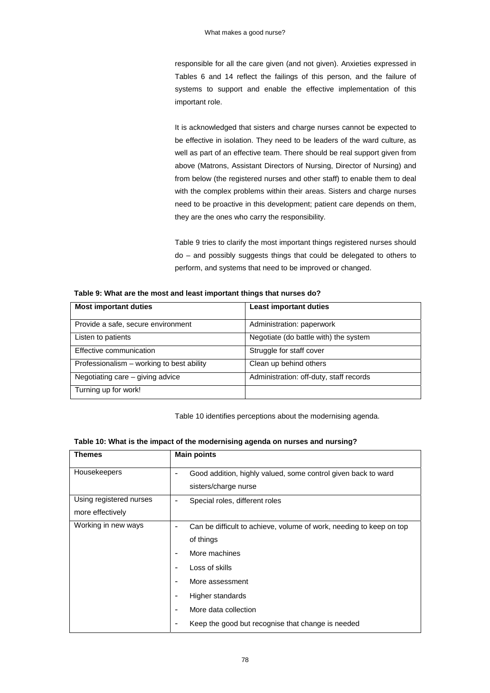responsible for all the care given (and not given). Anxieties expressed in Tables 6 and 14 reflect the failings of this person, and the failure of systems to support and enable the effective implementation of this important role.

It is acknowledged that sisters and charge nurses cannot be expected to be effective in isolation. They need to be leaders of the ward culture, as well as part of an effective team. There should be real support given from above (Matrons, Assistant Directors of Nursing, Director of Nursing) and from below (the registered nurses and other staff) to enable them to deal with the complex problems within their areas. Sisters and charge nurses need to be proactive in this development; patient care depends on them, they are the ones who carry the responsibility.

Table 9 tries to clarify the most important things registered nurses should do – and possibly suggests things that could be delegated to others to perform, and systems that need to be improved or changed.

| <b>Most important duties</b>              | <b>Least important duties</b>           |
|-------------------------------------------|-----------------------------------------|
| Provide a safe, secure environment        | Administration: paperwork               |
| Listen to patients                        | Negotiate (do battle with) the system   |
| Effective communication                   | Struggle for staff cover                |
| Professionalism - working to best ability | Clean up behind others                  |
| Negotiating care - giving advice          | Administration: off-duty, staff records |
| Turning up for work!                      |                                         |

**Table 9: What are the most and least important things that nurses do?**

Table 10 identifies perceptions about the modernising agenda.

| Themes                                      | <b>Main points</b>                                                                                                                                                                                                                                                  |  |
|---------------------------------------------|---------------------------------------------------------------------------------------------------------------------------------------------------------------------------------------------------------------------------------------------------------------------|--|
| <b>Housekeepers</b>                         | Good addition, highly valued, some control given back to ward<br>sisters/charge nurse                                                                                                                                                                               |  |
| Using registered nurses<br>more effectively | Special roles, different roles                                                                                                                                                                                                                                      |  |
| Working in new ways                         | Can be difficult to achieve, volume of work, needing to keep on top<br>of things<br>More machines<br>Loss of skills<br>More assessment<br>$\overline{\phantom{a}}$<br>Higher standards<br>More data collection<br>Keep the good but recognise that change is needed |  |

**Table 10: What is the impact of the modernising agenda on nurses and nursing?**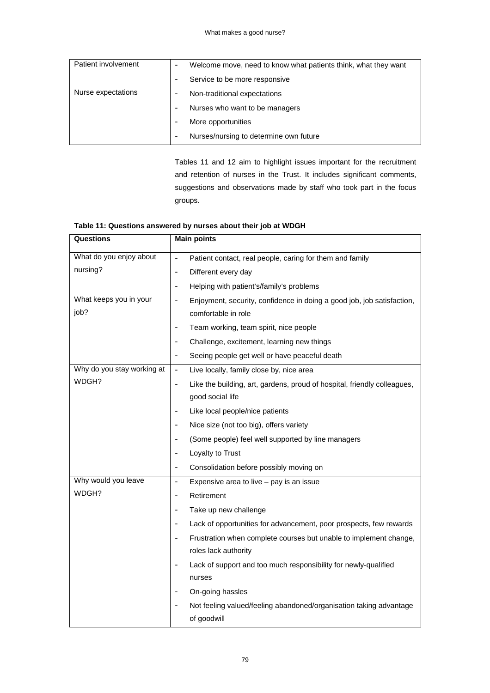| Patient involvement |                 | Welcome move, need to know what patients think, what they want |
|---------------------|-----------------|----------------------------------------------------------------|
|                     |                 | Service to be more responsive                                  |
| Nurse expectations  |                 | Non-traditional expectations                                   |
|                     |                 | Nurses who want to be managers                                 |
|                     |                 | More opportunities                                             |
|                     | $\qquad \qquad$ | Nurses/nursing to determine own future                         |

Tables 11 and 12 aim to highlight issues important for the recruitment and retention of nurses in the Trust. It includes significant comments, suggestions and observations made by staff who took part in the focus groups.

### **Table 11: Questions answered by nurses about their job at WDGH**

| <b>Questions</b>           | <b>Main points</b>                                                                                 |  |  |
|----------------------------|----------------------------------------------------------------------------------------------------|--|--|
| What do you enjoy about    | Patient contact, real people, caring for them and family<br>$\overline{a}$                         |  |  |
| nursing?                   | Different every day<br>$\qquad \qquad \blacksquare$                                                |  |  |
|                            | Helping with patient's/family's problems<br>$\blacksquare$                                         |  |  |
| What keeps you in your     | Enjoyment, security, confidence in doing a good job, job satisfaction,<br>$\overline{\phantom{a}}$ |  |  |
| job?                       | comfortable in role                                                                                |  |  |
|                            | Team working, team spirit, nice people                                                             |  |  |
|                            | Challenge, excitement, learning new things                                                         |  |  |
|                            | Seeing people get well or have peaceful death<br>$\qquad \qquad \blacksquare$                      |  |  |
| Why do you stay working at | Live locally, family close by, nice area<br>$\overline{\phantom{a}}$                               |  |  |
| WDGH?                      | Like the building, art, gardens, proud of hospital, friendly colleagues,                           |  |  |
|                            | good social life                                                                                   |  |  |
|                            | Like local people/nice patients                                                                    |  |  |
|                            | Nice size (not too big), offers variety                                                            |  |  |
|                            | (Some people) feel well supported by line managers                                                 |  |  |
|                            | Loyalty to Trust                                                                                   |  |  |
|                            | Consolidation before possibly moving on                                                            |  |  |
| Why would you leave        | Expensive area to live $-$ pay is an issue<br>$\frac{1}{2}$                                        |  |  |
| WDGH?                      | Retirement<br>$\overline{\phantom{a}}$                                                             |  |  |
|                            | Take up new challenge                                                                              |  |  |
|                            | Lack of opportunities for advancement, poor prospects, few rewards                                 |  |  |
|                            | Frustration when complete courses but unable to implement change,                                  |  |  |
|                            | roles lack authority                                                                               |  |  |
|                            | Lack of support and too much responsibility for newly-qualified                                    |  |  |
|                            | nurses                                                                                             |  |  |
|                            | On-going hassles                                                                                   |  |  |
|                            | Not feeling valued/feeling abandoned/organisation taking advantage<br>of goodwill                  |  |  |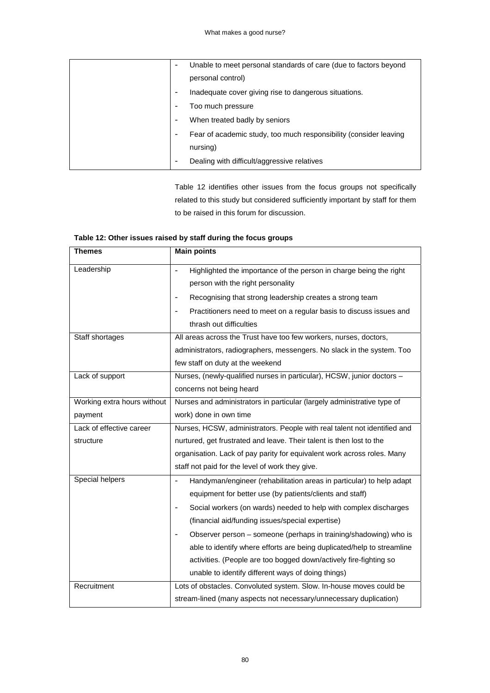|  | Unable to meet personal standards of care (due to factors beyond  |
|--|-------------------------------------------------------------------|
|  | personal control)                                                 |
|  | Inadequate cover giving rise to dangerous situations.             |
|  | Too much pressure                                                 |
|  | When treated badly by seniors                                     |
|  | Fear of academic study, too much responsibility (consider leaving |
|  | nursing)                                                          |
|  | Dealing with difficult/aggressive relatives                       |
|  |                                                                   |

Table 12 identifies other issues from the focus groups not specifically related to this study but considered sufficiently important by staff for them to be raised in this forum for discussion.

| Table 12: Other issues raised by staff during the focus groups |  |  |
|----------------------------------------------------------------|--|--|
|----------------------------------------------------------------|--|--|

| <b>Themes</b>               | <b>Main points</b>                                                                     |  |  |  |  |
|-----------------------------|----------------------------------------------------------------------------------------|--|--|--|--|
| Leadership                  | Highlighted the importance of the person in charge being the right                     |  |  |  |  |
|                             | person with the right personality                                                      |  |  |  |  |
|                             | Recognising that strong leadership creates a strong team                               |  |  |  |  |
|                             | Practitioners need to meet on a regular basis to discuss issues and                    |  |  |  |  |
|                             | thrash out difficulties                                                                |  |  |  |  |
| Staff shortages             | All areas across the Trust have too few workers, nurses, doctors,                      |  |  |  |  |
|                             | administrators, radiographers, messengers. No slack in the system. Too                 |  |  |  |  |
|                             | few staff on duty at the weekend                                                       |  |  |  |  |
| Lack of support             | Nurses, (newly-qualified nurses in particular), HCSW, junior doctors -                 |  |  |  |  |
|                             | concerns not being heard                                                               |  |  |  |  |
| Working extra hours without | Nurses and administrators in particular (largely administrative type of                |  |  |  |  |
| payment                     | work) done in own time                                                                 |  |  |  |  |
| Lack of effective career    | Nurses, HCSW, administrators. People with real talent not identified and               |  |  |  |  |
| structure                   | nurtured, get frustrated and leave. Their talent is then lost to the                   |  |  |  |  |
|                             | organisation. Lack of pay parity for equivalent work across roles. Many                |  |  |  |  |
|                             | staff not paid for the level of work they give.                                        |  |  |  |  |
| Special helpers             | Handyman/engineer (rehabilitation areas in particular) to help adapt<br>$\blacksquare$ |  |  |  |  |
|                             | equipment for better use (by patients/clients and staff)                               |  |  |  |  |
|                             | Social workers (on wards) needed to help with complex discharges                       |  |  |  |  |
|                             | (financial aid/funding issues/special expertise)                                       |  |  |  |  |
|                             | Observer person – someone (perhaps in training/shadowing) who is                       |  |  |  |  |
|                             | able to identify where efforts are being duplicated/help to streamline                 |  |  |  |  |
|                             | activities. (People are too bogged down/actively fire-fighting so                      |  |  |  |  |
|                             | unable to identify different ways of doing things)                                     |  |  |  |  |
| Recruitment                 | Lots of obstacles. Convoluted system. Slow. In-house moves could be                    |  |  |  |  |
|                             | stream-lined (many aspects not necessary/unnecessary duplication)                      |  |  |  |  |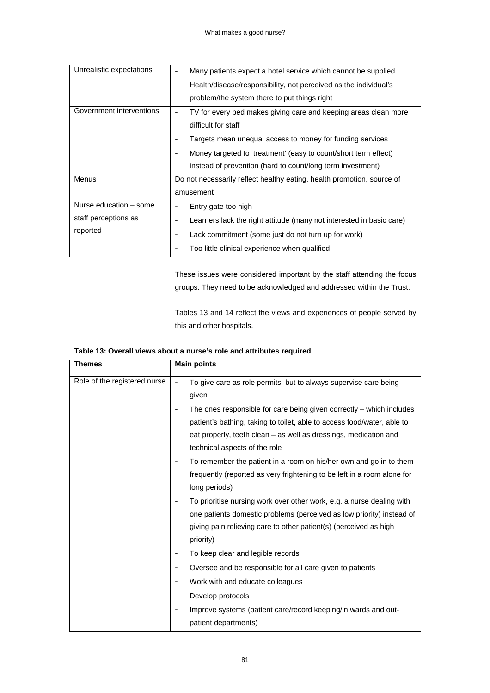| Unrealistic expectations | Many patients expect a hotel service which cannot be supplied                                    |
|--------------------------|--------------------------------------------------------------------------------------------------|
|                          | Health/disease/responsibility, not perceived as the individual's                                 |
|                          | problem/the system there to put things right                                                     |
| Government interventions | TV for every bed makes giving care and keeping areas clean more<br>-                             |
|                          | difficult for staff                                                                              |
|                          | Targets mean unequal access to money for funding services                                        |
|                          | Money targeted to 'treatment' (easy to count/short term effect)                                  |
|                          | instead of prevention (hard to count/long term investment)                                       |
| Menus                    | Do not necessarily reflect healthy eating, health promotion, source of                           |
|                          | amusement                                                                                        |
| Nurse education - some   | Entry gate too high                                                                              |
| staff perceptions as     | Learners lack the right attitude (many not interested in basic care)<br>$\overline{\phantom{a}}$ |
| reported                 | Lack commitment (some just do not turn up for work)                                              |
|                          | Too little clinical experience when qualified                                                    |

These issues were considered important by the staff attending the focus groups. They need to be acknowledged and addressed within the Trust.

Tables 13 and 14 reflect the views and experiences of people served by this and other hospitals.

| Table 13: Overall views about a nurse's role and attributes required |
|----------------------------------------------------------------------|
|----------------------------------------------------------------------|

| <b>Themes</b>                | <b>Main points</b>                                                                                                                                                                                                                                                                                                                                                                                                                                       |  |  |
|------------------------------|----------------------------------------------------------------------------------------------------------------------------------------------------------------------------------------------------------------------------------------------------------------------------------------------------------------------------------------------------------------------------------------------------------------------------------------------------------|--|--|
| Role of the registered nurse | To give care as role permits, but to always supervise care being<br>$\overline{\phantom{0}}$<br>given                                                                                                                                                                                                                                                                                                                                                    |  |  |
|                              | The ones responsible for care being given correctly $-$ which includes<br>patient's bathing, taking to toilet, able to access food/water, able to<br>eat properly, teeth clean - as well as dressings, medication and<br>technical aspects of the role<br>To remember the patient in a room on his/her own and go in to them<br>$\qquad \qquad \blacksquare$<br>frequently (reported as very frightening to be left in a room alone for<br>long periods) |  |  |
|                              | To prioritise nursing work over other work, e.g. a nurse dealing with<br>$\overline{\phantom{0}}$<br>one patients domestic problems (perceived as low priority) instead of<br>giving pain relieving care to other patient(s) (perceived as high<br>priority)                                                                                                                                                                                             |  |  |
|                              | To keep clear and legible records                                                                                                                                                                                                                                                                                                                                                                                                                        |  |  |
|                              | Oversee and be responsible for all care given to patients<br>$\overline{\phantom{0}}$                                                                                                                                                                                                                                                                                                                                                                    |  |  |
|                              | Work with and educate colleagues<br>$\qquad \qquad \blacksquare$                                                                                                                                                                                                                                                                                                                                                                                         |  |  |
|                              | Develop protocols<br>$\overline{\phantom{0}}$                                                                                                                                                                                                                                                                                                                                                                                                            |  |  |
|                              | Improve systems (patient care/record keeping/in wards and out-<br>$\qquad \qquad \blacksquare$<br>patient departments)                                                                                                                                                                                                                                                                                                                                   |  |  |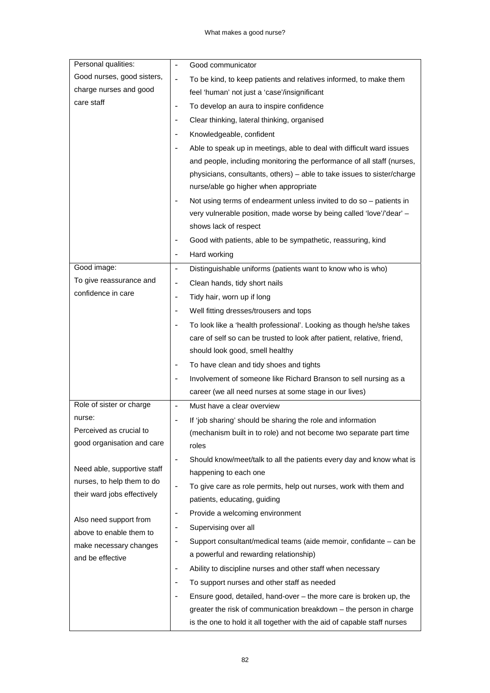| Personal qualities:                        |                              | Good communicator                                                       |
|--------------------------------------------|------------------------------|-------------------------------------------------------------------------|
| Good nurses, good sisters,                 |                              | To be kind, to keep patients and relatives informed, to make them       |
| charge nurses and good                     |                              | feel 'human' not just a 'case'/insignificant                            |
| care staff                                 |                              | To develop an aura to inspire confidence                                |
|                                            |                              | Clear thinking, lateral thinking, organised                             |
|                                            |                              | Knowledgeable, confident                                                |
|                                            |                              | Able to speak up in meetings, able to deal with difficult ward issues   |
|                                            |                              | and people, including monitoring the performance of all staff (nurses,  |
|                                            |                              | physicians, consultants, others) - able to take issues to sister/charge |
|                                            |                              | nurse/able go higher when appropriate                                   |
|                                            |                              | Not using terms of endearment unless invited to do so $-$ patients in   |
|                                            |                              | very vulnerable position, made worse by being called 'love'/'dear' -    |
|                                            |                              | shows lack of respect                                                   |
|                                            |                              | Good with patients, able to be sympathetic, reassuring, kind            |
|                                            | $\overline{\phantom{0}}$     | Hard working                                                            |
| Good image:                                | $\overline{\phantom{a}}$     | Distinguishable uniforms (patients want to know who is who)             |
| To give reassurance and                    |                              | Clean hands, tidy short nails                                           |
| confidence in care                         | $\overline{a}$               | Tidy hair, worn up if long                                              |
|                                            |                              | Well fitting dresses/trousers and tops                                  |
|                                            |                              | To look like a 'health professional'. Looking as though he/she takes    |
|                                            |                              | care of self so can be trusted to look after patient, relative, friend, |
|                                            |                              | should look good, smell healthy                                         |
|                                            |                              | To have clean and tidy shoes and tights                                 |
|                                            |                              | Involvement of someone like Richard Branson to sell nursing as a        |
|                                            |                              | career (we all need nurses at some stage in our lives)                  |
| Role of sister or charge                   | $\overline{a}$               | Must have a clear overview                                              |
| nurse:                                     |                              | If 'job sharing' should be sharing the role and information             |
| Perceived as crucial to                    |                              | (mechanism built in to role) and not become two separate part time      |
| good organisation and care                 |                              | roles                                                                   |
|                                            | $\qquad \qquad \blacksquare$ | Should know/meet/talk to all the patients every day and know what is    |
| Need able, supportive staff                |                              | happening to each one                                                   |
| nurses, to help them to do                 |                              | To give care as role permits, help out nurses, work with them and       |
| their ward jobs effectively                |                              | patients, educating, guiding                                            |
|                                            | $\overline{a}$               | Provide a welcoming environment                                         |
| Also need support from                     |                              | Supervising over all                                                    |
| above to enable them to                    |                              | Support consultant/medical teams (aide memoir, confidante – can be      |
| make necessary changes<br>and be effective |                              | a powerful and rewarding relationship)                                  |
|                                            | $\overline{\phantom{0}}$     | Ability to discipline nurses and other staff when necessary             |
|                                            |                              | To support nurses and other staff as needed                             |
|                                            |                              | Ensure good, detailed, hand-over - the more care is broken up, the      |
|                                            |                              | greater the risk of communication breakdown - the person in charge      |
|                                            |                              | is the one to hold it all together with the aid of capable staff nurses |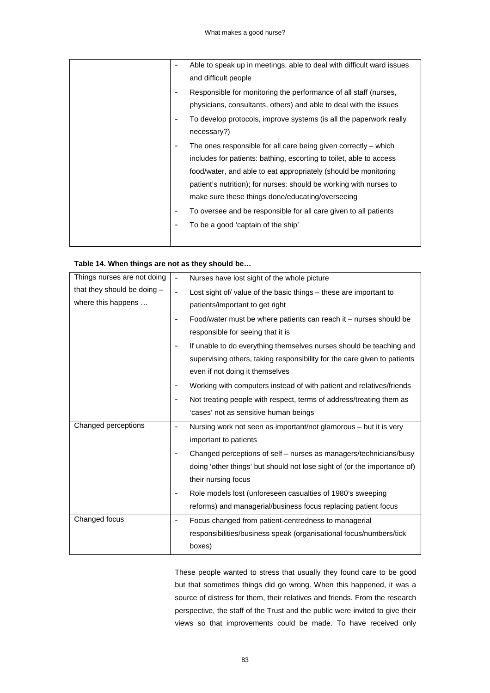|  | Able to speak up in meetings, able to deal with difficult ward issues |
|--|-----------------------------------------------------------------------|
|  | and difficult people                                                  |
|  | Responsible for monitoring the performance of all staff (nurses,      |
|  | physicians, consultants, others) and able to deal with the issues     |
|  | To develop protocols, improve systems (is all the paperwork really    |
|  | necessary?)                                                           |
|  | The ones responsible for all care being given correctly $-$ which     |
|  | includes for patients: bathing, escorting to toilet, able to access   |
|  | food/water, and able to eat appropriately (should be monitoring       |
|  | patient's nutrition); for nurses: should be working with nurses to    |
|  | make sure these things done/educating/overseeing                      |
|  | To oversee and be responsible for all care given to all patients      |
|  | To be a good 'captain of the ship'                                    |
|  |                                                                       |
|  |                                                                       |

#### **Table 14. When things are not as they should be…**

| Things nurses are not doing   |                          | Nurses have lost sight of the whole picture                              |
|-------------------------------|--------------------------|--------------------------------------------------------------------------|
| that they should be doing $-$ | $\blacksquare$           | Lost sight of/value of the basic things - these are important to         |
| where this happens            |                          | patients/important to get right                                          |
|                               |                          | Food/water must be where patients can reach it - nurses should be        |
|                               |                          | responsible for seeing that it is                                        |
|                               |                          | If unable to do everything themselves nurses should be teaching and      |
|                               |                          | supervising others, taking responsibility for the care given to patients |
|                               |                          | even if not doing it themselves                                          |
|                               |                          | Working with computers instead of with patient and relatives/friends     |
|                               |                          | Not treating people with respect, terms of address/treating them as      |
|                               |                          | 'cases' not as sensitive human beings                                    |
| Changed perceptions           |                          | Nursing work not seen as important/not glamorous - but it is very        |
|                               |                          | important to patients                                                    |
|                               |                          | Changed perceptions of self - nurses as managers/technicians/busy        |
|                               |                          | doing 'other things' but should not lose sight of (or the importance of) |
|                               |                          | their nursing focus                                                      |
|                               |                          | Role models lost (unforeseen casualties of 1980's sweeping               |
|                               |                          | reforms) and managerial/business focus replacing patient focus           |
| Changed focus                 | $\overline{\phantom{a}}$ | Focus changed from patient-centredness to managerial                     |
|                               |                          | responsibilities/business speak (organisational focus/numbers/tick       |
|                               |                          | boxes)                                                                   |

These people wanted to stress that usually they found care to be good but that sometimes things did go wrong. When this happened, it was a source of distress for them, their relatives and friends. From the research perspective, the staff of the Trust and the public were invited to give their views so that improvements could be made. To have received only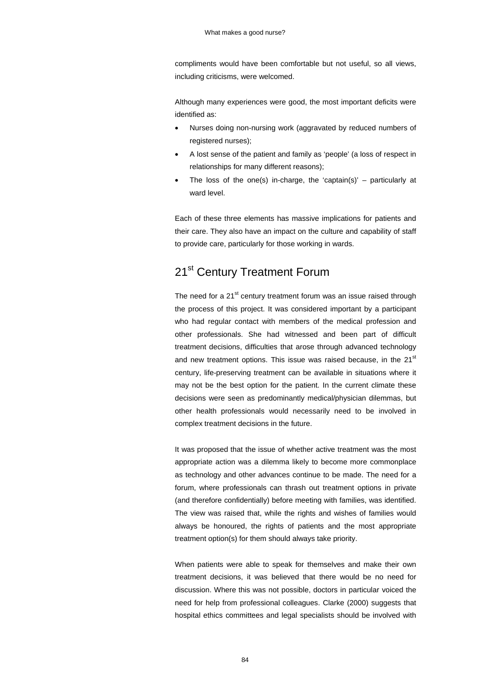compliments would have been comfortable but not useful, so all views, including criticisms, were welcomed.

Although many experiences were good, the most important deficits were identified as:

- Nurses doing non-nursing work (aggravated by reduced numbers of registered nurses);
- A lost sense of the patient and family as 'people' (a loss of respect in relationships for many different reasons);
- The loss of the one(s) in-charge, the 'captain(s)' particularly at ward level.

Each of these three elements has massive implications for patients and their care. They also have an impact on the culture and capability of staff to provide care, particularly for those working in wards.

# 21<sup>st</sup> Century Treatment Forum

The need for a 21<sup>st</sup> century treatment forum was an issue raised through the process of this project. It was considered important by a participant who had regular contact with members of the medical profession and other professionals. She had witnessed and been part of difficult treatment decisions, difficulties that arose through advanced technology and new treatment options. This issue was raised because, in the 21<sup>st</sup> century, life-preserving treatment can be available in situations where it may not be the best option for the patient. In the current climate these decisions were seen as predominantly medical/physician dilemmas, but other health professionals would necessarily need to be involved in complex treatment decisions in the future.

It was proposed that the issue of whether active treatment was the most appropriate action was a dilemma likely to become more commonplace as technology and other advances continue to be made. The need for a forum, where professionals can thrash out treatment options in private (and therefore confidentially) before meeting with families, was identified. The view was raised that, while the rights and wishes of families would always be honoured, the rights of patients and the most appropriate treatment option(s) for them should always take priority.

When patients were able to speak for themselves and make their own treatment decisions, it was believed that there would be no need for discussion. Where this was not possible, doctors in particular voiced the need for help from professional colleagues. Clarke (2000) suggests that hospital ethics committees and legal specialists should be involved with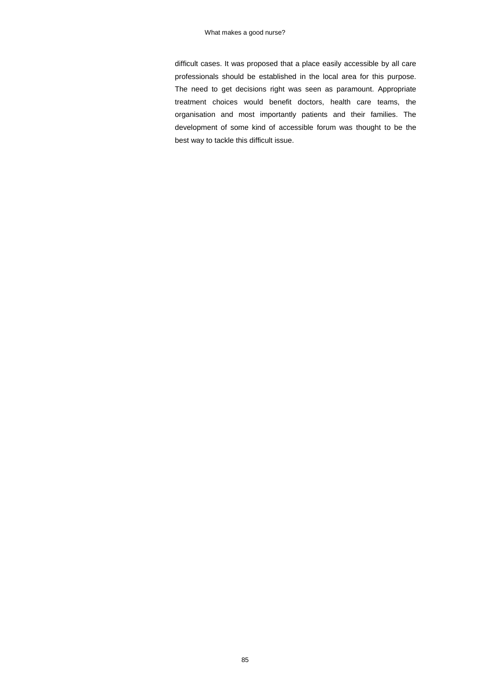difficult cases. It was proposed that a place easily accessible by all care professionals should be established in the local area for this purpose. The need to get decisions right was seen as paramount. Appropriate treatment choices would benefit doctors, health care teams, the organisation and most importantly patients and their families. The development of some kind of accessible forum was thought to be the best way to tackle this difficult issue.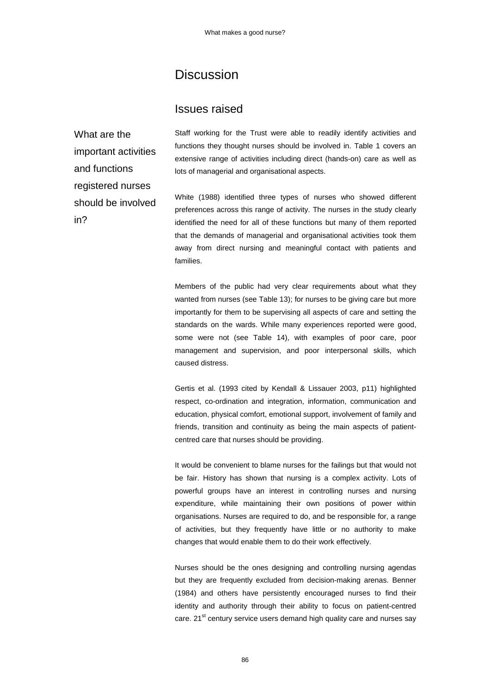## **Discussion**

## Issues raised

What are the important activities and functions registered nurses should be involved in?

Staff working for the Trust were able to readily identify activities and functions they thought nurses should be involved in. Table 1 covers an extensive range of activities including direct (hands-on) care as well as lots of managerial and organisational aspects.

White (1988) identified three types of nurses who showed different preferences across this range of activity. The nurses in the study clearly identified the need for all of these functions but many of them reported that the demands of managerial and organisational activities took them away from direct nursing and meaningful contact with patients and families.

Members of the public had very clear requirements about what they wanted from nurses (see Table 13); for nurses to be giving care but more importantly for them to be supervising all aspects of care and setting the standards on the wards. While many experiences reported were good, some were not (see Table 14), with examples of poor care, poor management and supervision, and poor interpersonal skills, which caused distress.

Gertis et al. (1993 cited by Kendall & Lissauer 2003, p11) highlighted respect, co-ordination and integration, information, communication and education, physical comfort, emotional support, involvement of family and friends, transition and continuity as being the main aspects of patientcentred care that nurses should be providing.

It would be convenient to blame nurses for the failings but that would not be fair. History has shown that nursing is a complex activity. Lots of powerful groups have an interest in controlling nurses and nursing expenditure, while maintaining their own positions of power within organisations. Nurses are required to do, and be responsible for, a range of activities, but they frequently have little or no authority to make changes that would enable them to do their work effectively.

Nurses should be the ones designing and controlling nursing agendas but they are frequently excluded from decision-making arenas. Benner (1984) and others have persistently encouraged nurses to find their identity and authority through their ability to focus on patient-centred care. 21<sup>st</sup> century service users demand high quality care and nurses say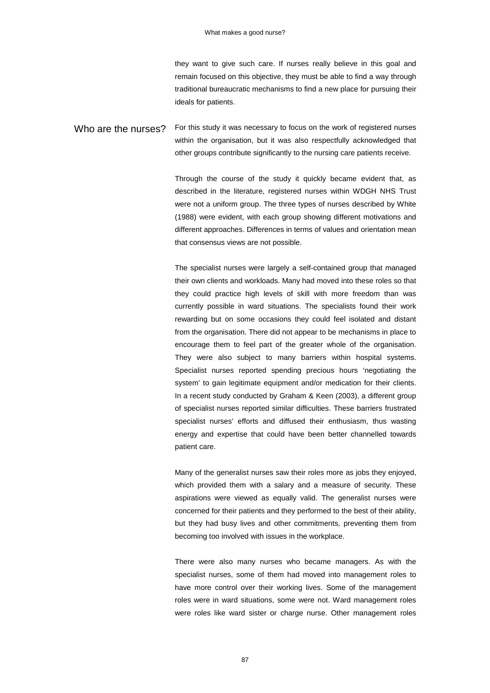they want to give such care. If nurses really believe in this goal and remain focused on this objective, they must be able to find a way through traditional bureaucratic mechanisms to find a new place for pursuing their ideals for patients.

Who are the nurses? For this study it was necessary to focus on the work of registered nurses within the organisation, but it was also respectfully acknowledged that other groups contribute significantly to the nursing care patients receive.

> Through the course of the study it quickly became evident that, as described in the literature, registered nurses within WDGH NHS Trust were not a uniform group. The three types of nurses described by White (1988) were evident, with each group showing different motivations and different approaches. Differences in terms of values and orientation mean that consensus views are not possible.

> The specialist nurses were largely a self-contained group that managed their own clients and workloads. Many had moved into these roles so that they could practice high levels of skill with more freedom than was currently possible in ward situations. The specialists found their work rewarding but on some occasions they could feel isolated and distant from the organisation. There did not appear to be mechanisms in place to encourage them to feel part of the greater whole of the organisation. They were also subject to many barriers within hospital systems. Specialist nurses reported spending precious hours 'negotiating the system' to gain legitimate equipment and/or medication for their clients. In a recent study conducted by Graham & Keen (2003), a different group of specialist nurses reported similar difficulties. These barriers frustrated specialist nurses' efforts and diffused their enthusiasm, thus wasting energy and expertise that could have been better channelled towards patient care.

> Many of the generalist nurses saw their roles more as jobs they enjoyed, which provided them with a salary and a measure of security. These aspirations were viewed as equally valid. The generalist nurses were concerned for their patients and they performed to the best of their ability, but they had busy lives and other commitments, preventing them from becoming too involved with issues in the workplace.

> There were also many nurses who became managers. As with the specialist nurses, some of them had moved into management roles to have more control over their working lives. Some of the management roles were in ward situations, some were not. Ward management roles were roles like ward sister or charge nurse. Other management roles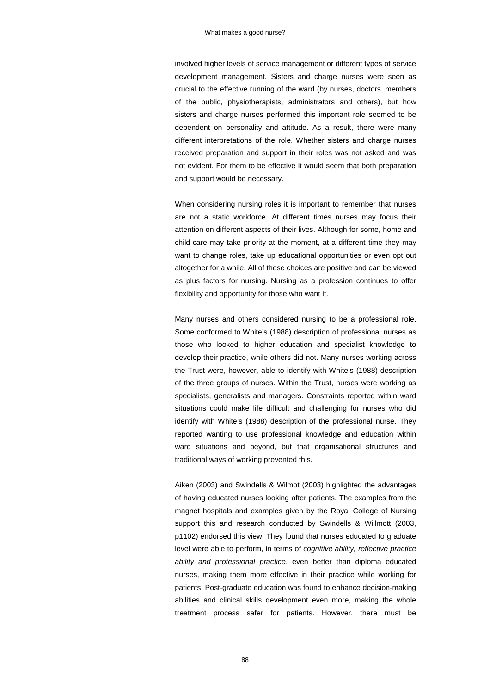involved higher levels of service management or different types of service development management. Sisters and charge nurses were seen as crucial to the effective running of the ward (by nurses, doctors, members of the public, physiotherapists, administrators and others), but how sisters and charge nurses performed this important role seemed to be dependent on personality and attitude. As a result, there were many different interpretations of the role. Whether sisters and charge nurses received preparation and support in their roles was not asked and was not evident. For them to be effective it would seem that both preparation and support would be necessary.

When considering nursing roles it is important to remember that nurses are not a static workforce. At different times nurses may focus their attention on different aspects of their lives. Although for some, home and child-care may take priority at the moment, at a different time they may want to change roles, take up educational opportunities or even opt out altogether for a while. All of these choices are positive and can be viewed as plus factors for nursing. Nursing as a profession continues to offer flexibility and opportunity for those who want it.

Many nurses and others considered nursing to be a professional role. Some conformed to White's (1988) description of professional nurses as those who looked to higher education and specialist knowledge to develop their practice, while others did not. Many nurses working across the Trust were, however, able to identify with White's (1988) description of the three groups of nurses. Within the Trust, nurses were working as specialists, generalists and managers. Constraints reported within ward situations could make life difficult and challenging for nurses who did identify with White's (1988) description of the professional nurse. They reported wanting to use professional knowledge and education within ward situations and beyond, but that organisational structures and traditional ways of working prevented this.

Aiken (2003) and Swindells & Wilmot (2003) highlighted the advantages of having educated nurses looking after patients. The examples from the magnet hospitals and examples given by the Royal College of Nursing support this and research conducted by Swindells & Willmott (2003, p1102) endorsed this view. They found that nurses educated to graduate level were able to perform, in terms of *cognitive ability, reflective practice ability and professional practice*, even better than diploma educated nurses, making them more effective in their practice while working for patients. Post-graduate education was found to enhance decision-making abilities and clinical skills development even more, making the whole treatment process safer for patients. However, there must be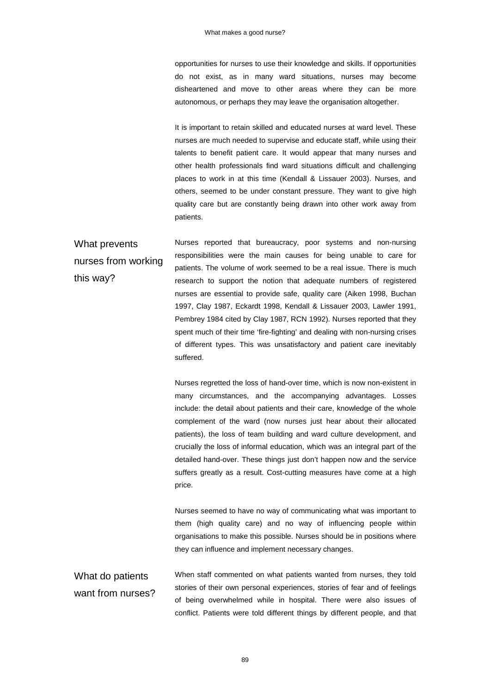opportunities for nurses to use their knowledge and skills. If opportunities do not exist, as in many ward situations, nurses may become disheartened and move to other areas where they can be more autonomous, or perhaps they may leave the organisation altogether.

It is important to retain skilled and educated nurses at ward level. These nurses are much needed to supervise and educate staff, while using their talents to benefit patient care. It would appear that many nurses and other health professionals find ward situations difficult and challenging places to work in at this time (Kendall & Lissauer 2003). Nurses, and others, seemed to be under constant pressure. They want to give high quality care but are constantly being drawn into other work away from patients.

What prevents nurses from working this way? Nurses reported that bureaucracy, poor systems and non-nursing responsibilities were the main causes for being unable to care for patients. The volume of work seemed to be a real issue. There is much research to support the notion that adequate numbers of registered nurses are essential to provide safe, quality care (Aiken 1998, Buchan 1997, Clay 1987, Eckardt 1998, Kendall & Lissauer 2003, Lawler 1991, Pembrey 1984 cited by Clay 1987, RCN 1992). Nurses reported that they spent much of their time 'fire-fighting' and dealing with non-nursing crises of different types. This was unsatisfactory and patient care inevitably suffered.

> Nurses regretted the loss of hand-over time, which is now non-existent in many circumstances, and the accompanying advantages. Losses include: the detail about patients and their care, knowledge of the whole complement of the ward (now nurses just hear about their allocated patients), the loss of team building and ward culture development, and crucially the loss of informal education, which was an integral part of the detailed hand-over. These things just don't happen now and the service suffers greatly as a result. Cost-cutting measures have come at a high price.

> Nurses seemed to have no way of communicating what was important to them (high quality care) and no way of influencing people within organisations to make this possible. Nurses should be in positions where they can influence and implement necessary changes.

What do patients want from nurses? When staff commented on what patients wanted from nurses, they told stories of their own personal experiences, stories of fear and of feelings of being overwhelmed while in hospital. There were also issues of conflict. Patients were told different things by different people, and that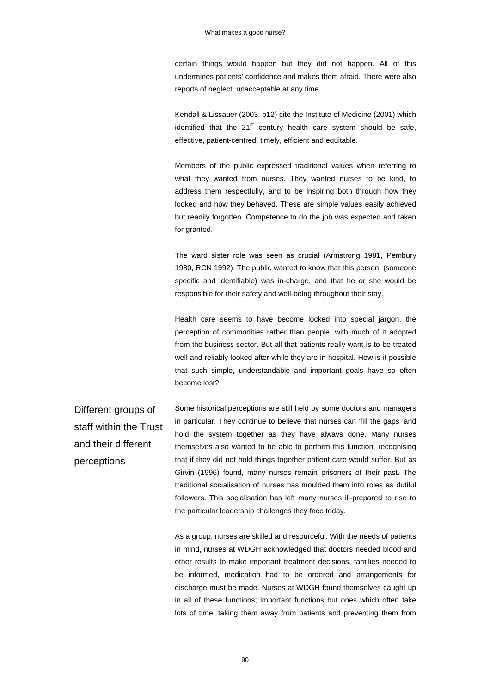certain things would happen but they did not happen. All of this undermines patients' confidence and makes them afraid. There were also reports of neglect, unacceptable at any time.

Kendall & Lissauer (2003, p12) cite the Institute of Medicine (2001) which identified that the 21<sup>st</sup> century health care system should be safe, effective, patient-centred, timely, efficient and equitable.

Members of the public expressed traditional values when referring to what they wanted from nurses. They wanted nurses to be kind, to address them respectfully, and to be inspiring both through how they looked and how they behaved. These are simple values easily achieved but readily forgotten. Competence to do the job was expected and taken for granted.

The ward sister role was seen as crucial (Armstrong 1981, Pembury 1980, RCN 1992). The public wanted to know that this person, (someone specific and identifiable) was in-charge, and that he or she would be responsible for their safety and well-being throughout their stay.

Health care seems to have become locked into special jargon, the perception of commodities rather than people, with much of it adopted from the business sector. But all that patients really want is to be treated well and reliably looked after while they are in hospital. How is it possible that such simple, understandable and important goals have so often become lost?

Different groups of staff within the Trust and their different perceptions

Some historical perceptions are still held by some doctors and managers in particular. They continue to believe that nurses can 'fill the gaps' and hold the system together as they have always done. Many nurses themselves also wanted to be able to perform this function, recognising that if they did not hold things together patient care would suffer. But as Girvin (1996) found, many nurses remain prisoners of their past. The traditional socialisation of nurses has moulded them into roles as dutiful followers. This socialisation has left many nurses ill-prepared to rise to the particular leadership challenges they face today.

As a group, nurses are skilled and resourceful. With the needs of patients in mind, nurses at WDGH acknowledged that doctors needed blood and other results to make important treatment decisions, families needed to be informed, medication had to be ordered and arrangements for discharge must be made. Nurses at WDGH found themselves caught up in all of these functions; important functions but ones which often take lots of time, taking them away from patients and preventing them from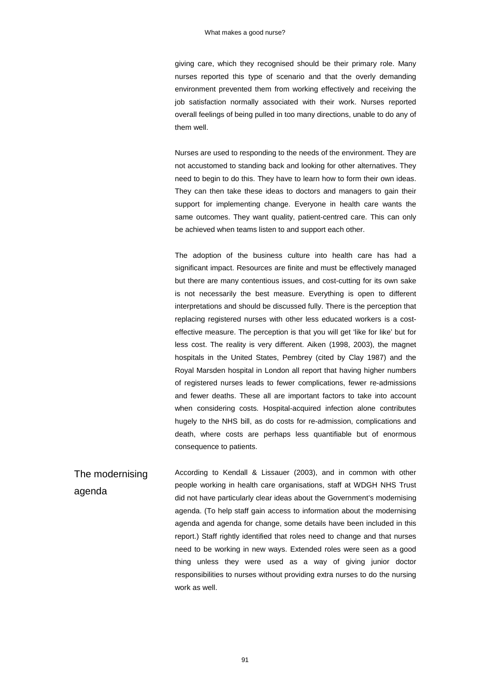giving care, which they recognised should be their primary role. Many nurses reported this type of scenario and that the overly demanding environment prevented them from working effectively and receiving the job satisfaction normally associated with their work. Nurses reported overall feelings of being pulled in too many directions, unable to do any of them well.

Nurses are used to responding to the needs of the environment. They are not accustomed to standing back and looking for other alternatives. They need to begin to do this. They have to learn how to form their own ideas. They can then take these ideas to doctors and managers to gain their support for implementing change. Everyone in health care wants the same outcomes. They want quality, patient-centred care. This can only be achieved when teams listen to and support each other.

The adoption of the business culture into health care has had a significant impact. Resources are finite and must be effectively managed but there are many contentious issues, and cost-cutting for its own sake is not necessarily the best measure. Everything is open to different interpretations and should be discussed fully. There is the perception that replacing registered nurses with other less educated workers is a costeffective measure. The perception is that you will get 'like for like' but for less cost. The reality is very different. Aiken (1998, 2003), the magnet hospitals in the United States, Pembrey (cited by Clay 1987) and the Royal Marsden hospital in London all report that having higher numbers of registered nurses leads to fewer complications, fewer re-admissions and fewer deaths. These all are important factors to take into account when considering costs. Hospital-acquired infection alone contributes hugely to the NHS bill, as do costs for re-admission, complications and death, where costs are perhaps less quantifiable but of enormous consequence to patients.

The modernising agenda According to Kendall & Lissauer (2003), and in common with other people working in health care organisations, staff at WDGH NHS Trust did not have particularly clear ideas about the Government's modernising agenda. (To help staff gain access to information about the modernising agenda and agenda for change, some details have been included in this report.) Staff rightly identified that roles need to change and that nurses need to be working in new ways. Extended roles were seen as a good thing unless they were used as a way of giving junior doctor responsibilities to nurses without providing extra nurses to do the nursing work as well.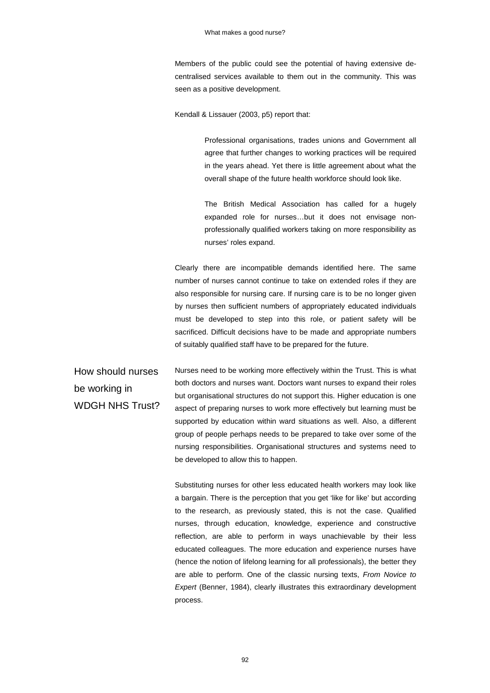Members of the public could see the potential of having extensive decentralised services available to them out in the community. This was seen as a positive development.

Kendall & Lissauer (2003, p5) report that:

Professional organisations, trades unions and Government all agree that further changes to working practices will be required in the years ahead. Yet there is little agreement about what the overall shape of the future health workforce should look like.

The British Medical Association has called for a hugely expanded role for nurses…but it does not envisage nonprofessionally qualified workers taking on more responsibility as nurses' roles expand.

Clearly there are incompatible demands identified here. The same number of nurses cannot continue to take on extended roles if they are also responsible for nursing care. If nursing care is to be no longer given by nurses then sufficient numbers of appropriately educated individuals must be developed to step into this role, or patient safety will be sacrificed. Difficult decisions have to be made and appropriate numbers of suitably qualified staff have to be prepared for the future.

How should nurses be working in WDGH NHS Trust? Nurses need to be working more effectively within the Trust. This is what both doctors and nurses want. Doctors want nurses to expand their roles but organisational structures do not support this. Higher education is one aspect of preparing nurses to work more effectively but learning must be supported by education within ward situations as well. Also, a different group of people perhaps needs to be prepared to take over some of the nursing responsibilities. Organisational structures and systems need to be developed to allow this to happen.

> Substituting nurses for other less educated health workers may look like a bargain. There is the perception that you get 'like for like' but according to the research, as previously stated, this is not the case. Qualified nurses, through education, knowledge, experience and constructive reflection, are able to perform in ways unachievable by their less educated colleagues. The more education and experience nurses have (hence the notion of lifelong learning for all professionals), the better they are able to perform. One of the classic nursing texts, *From Novice to Expert* (Benner, 1984), clearly illustrates this extraordinary development process.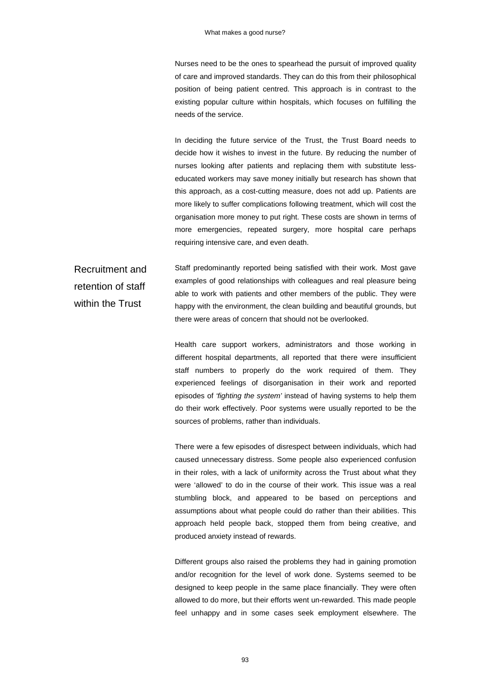Nurses need to be the ones to spearhead the pursuit of improved quality of care and improved standards. They can do this from their philosophical position of being patient centred. This approach is in contrast to the existing popular culture within hospitals, which focuses on fulfilling the needs of the service.

In deciding the future service of the Trust, the Trust Board needs to decide how it wishes to invest in the future. By reducing the number of nurses looking after patients and replacing them with substitute lesseducated workers may save money initially but research has shown that this approach, as a cost-cutting measure, does not add up. Patients are more likely to suffer complications following treatment, which will cost the organisation more money to put right. These costs are shown in terms of more emergencies, repeated surgery, more hospital care perhaps requiring intensive care, and even death.

Recruitment and retention of staff within the Trust Staff predominantly reported being satisfied with their work. Most gave examples of good relationships with colleagues and real pleasure being able to work with patients and other members of the public. They were happy with the environment, the clean building and beautiful grounds, but there were areas of concern that should not be overlooked.

> Health care support workers, administrators and those working in different hospital departments, all reported that there were insufficient staff numbers to properly do the work required of them. They experienced feelings of disorganisation in their work and reported episodes of *'fighting the system'* instead of having systems to help them do their work effectively. Poor systems were usually reported to be the sources of problems, rather than individuals.

> There were a few episodes of disrespect between individuals, which had caused unnecessary distress. Some people also experienced confusion in their roles, with a lack of uniformity across the Trust about what they were 'allowed' to do in the course of their work. This issue was a real stumbling block, and appeared to be based on perceptions and assumptions about what people could do rather than their abilities. This approach held people back, stopped them from being creative, and produced anxiety instead of rewards.

> Different groups also raised the problems they had in gaining promotion and/or recognition for the level of work done. Systems seemed to be designed to keep people in the same place financially. They were often allowed to do more, but their efforts went un-rewarded. This made people feel unhappy and in some cases seek employment elsewhere. The

> > 93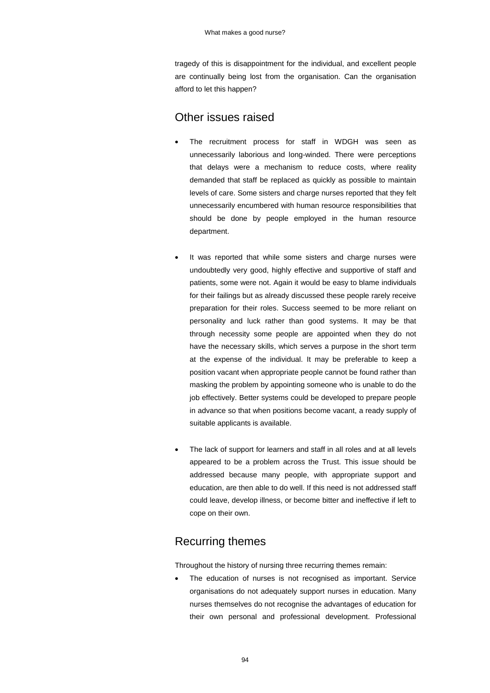tragedy of this is disappointment for the individual, and excellent people are continually being lost from the organisation. Can the organisation afford to let this happen?

## Other issues raised

- The recruitment process for staff in WDGH was seen as unnecessarily laborious and long-winded. There were perceptions that delays were a mechanism to reduce costs, where reality demanded that staff be replaced as quickly as possible to maintain levels of care. Some sisters and charge nurses reported that they felt unnecessarily encumbered with human resource responsibilities that should be done by people employed in the human resource department.
- It was reported that while some sisters and charge nurses were undoubtedly very good, highly effective and supportive of staff and patients, some were not. Again it would be easy to blame individuals for their failings but as already discussed these people rarely receive preparation for their roles. Success seemed to be more reliant on personality and luck rather than good systems. It may be that through necessity some people are appointed when they do not have the necessary skills, which serves a purpose in the short term at the expense of the individual. It may be preferable to keep a position vacant when appropriate people cannot be found rather than masking the problem by appointing someone who is unable to do the job effectively. Better systems could be developed to prepare people in advance so that when positions become vacant, a ready supply of suitable applicants is available.
- The lack of support for learners and staff in all roles and at all levels appeared to be a problem across the Trust. This issue should be addressed because many people, with appropriate support and education, are then able to do well. If this need is not addressed staff could leave, develop illness, or become bitter and ineffective if left to cope on their own.

## Recurring themes

Throughout the history of nursing three recurring themes remain:

The education of nurses is not recognised as important. Service organisations do not adequately support nurses in education. Many nurses themselves do not recognise the advantages of education for their own personal and professional development. Professional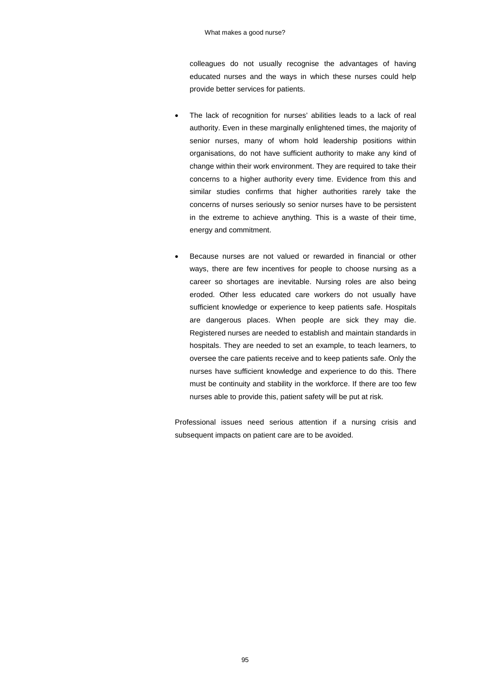colleagues do not usually recognise the advantages of having educated nurses and the ways in which these nurses could help provide better services for patients.

- The lack of recognition for nurses' abilities leads to a lack of real authority. Even in these marginally enlightened times, the majority of senior nurses, many of whom hold leadership positions within organisations, do not have sufficient authority to make any kind of change within their work environment. They are required to take their concerns to a higher authority every time. Evidence from this and similar studies confirms that higher authorities rarely take the concerns of nurses seriously so senior nurses have to be persistent in the extreme to achieve anything. This is a waste of their time, energy and commitment.
- Because nurses are not valued or rewarded in financial or other ways, there are few incentives for people to choose nursing as a career so shortages are inevitable. Nursing roles are also being eroded. Other less educated care workers do not usually have sufficient knowledge or experience to keep patients safe. Hospitals are dangerous places. When people are sick they may die. Registered nurses are needed to establish and maintain standards in hospitals. They are needed to set an example, to teach learners, to oversee the care patients receive and to keep patients safe. Only the nurses have sufficient knowledge and experience to do this. There must be continuity and stability in the workforce. If there are too few nurses able to provide this, patient safety will be put at risk.

Professional issues need serious attention if a nursing crisis and subsequent impacts on patient care are to be avoided.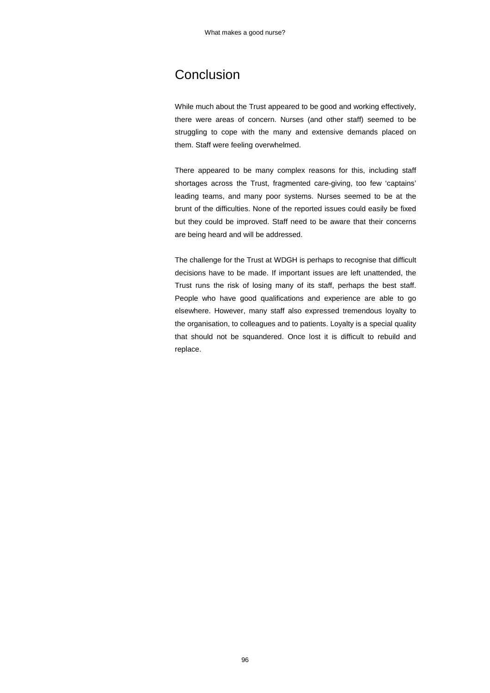# **Conclusion**

While much about the Trust appeared to be good and working effectively, there were areas of concern. Nurses (and other staff) seemed to be struggling to cope with the many and extensive demands placed on them. Staff were feeling overwhelmed.

There appeared to be many complex reasons for this, including staff shortages across the Trust, fragmented care-giving, too few 'captains' leading teams, and many poor systems. Nurses seemed to be at the brunt of the difficulties. None of the reported issues could easily be fixed but they could be improved. Staff need to be aware that their concerns are being heard and will be addressed.

The challenge for the Trust at WDGH is perhaps to recognise that difficult decisions have to be made. If important issues are left unattended, the Trust runs the risk of losing many of its staff, perhaps the best staff. People who have good qualifications and experience are able to go elsewhere. However, many staff also expressed tremendous loyalty to the organisation, to colleagues and to patients. Loyalty is a special quality that should not be squandered. Once lost it is difficult to rebuild and replace.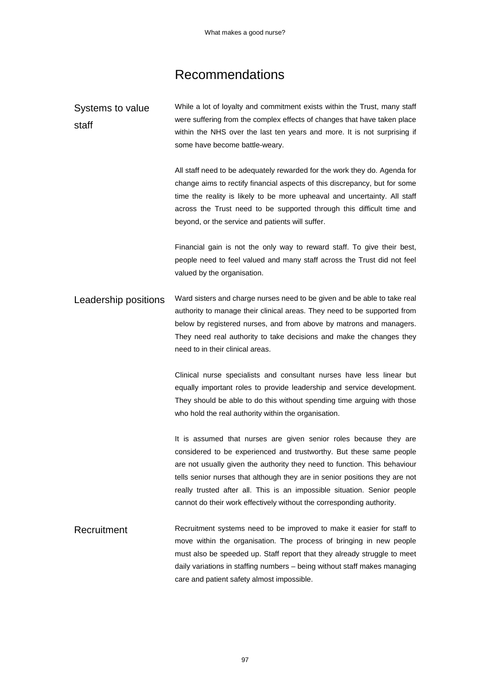# Recommendations

| Systems to value<br>staff | While a lot of loyalty and commitment exists within the Trust, many staff<br>were suffering from the complex effects of changes that have taken place<br>within the NHS over the last ten years and more. It is not surprising if<br>some have become battle-weary.                                                                                                                                                                                       |
|---------------------------|-----------------------------------------------------------------------------------------------------------------------------------------------------------------------------------------------------------------------------------------------------------------------------------------------------------------------------------------------------------------------------------------------------------------------------------------------------------|
|                           | All staff need to be adequately rewarded for the work they do. Agenda for<br>change aims to rectify financial aspects of this discrepancy, but for some<br>time the reality is likely to be more upheaval and uncertainty. All staff<br>across the Trust need to be supported through this difficult time and<br>beyond, or the service and patients will suffer.                                                                                         |
|                           | Financial gain is not the only way to reward staff. To give their best,<br>people need to feel valued and many staff across the Trust did not feel<br>valued by the organisation.                                                                                                                                                                                                                                                                         |
| Leadership positions      | Ward sisters and charge nurses need to be given and be able to take real<br>authority to manage their clinical areas. They need to be supported from<br>below by registered nurses, and from above by matrons and managers.<br>They need real authority to take decisions and make the changes they<br>need to in their clinical areas.                                                                                                                   |
|                           | Clinical nurse specialists and consultant nurses have less linear but<br>equally important roles to provide leadership and service development.<br>They should be able to do this without spending time arguing with those<br>who hold the real authority within the organisation.                                                                                                                                                                        |
|                           | It is assumed that nurses are given senior roles because they are<br>considered to be experienced and trustworthy. But these same people<br>are not usually given the authority they need to function. This behaviour<br>tells senior nurses that although they are in senior positions they are not<br>really trusted after all. This is an impossible situation. Senior people<br>cannot do their work effectively without the corresponding authority. |
| Recruitment               | Recruitment systems need to be improved to make it easier for staff to<br>move within the organisation. The process of bringing in new people<br>must also be speeded up. Staff report that they already struggle to meet<br>daily variations in staffing numbers - being without staff makes managing<br>care and patient safety almost impossible.                                                                                                      |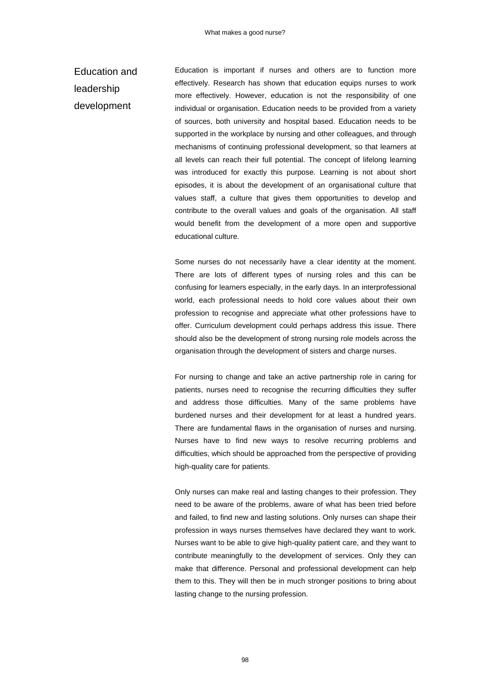Education and leadership development

Education is important if nurses and others are to function more effectively. Research has shown that education equips nurses to work more effectively. However, education is not the responsibility of one individual or organisation. Education needs to be provided from a variety of sources, both university and hospital based. Education needs to be supported in the workplace by nursing and other colleagues, and through mechanisms of continuing professional development, so that learners at all levels can reach their full potential. The concept of lifelong learning was introduced for exactly this purpose. Learning is not about short episodes, it is about the development of an organisational culture that values staff, a culture that gives them opportunities to develop and contribute to the overall values and goals of the organisation. All staff would benefit from the development of a more open and supportive educational culture.

Some nurses do not necessarily have a clear identity at the moment. There are lots of different types of nursing roles and this can be confusing for learners especially, in the early days. In an interprofessional world, each professional needs to hold core values about their own profession to recognise and appreciate what other professions have to offer. Curriculum development could perhaps address this issue. There should also be the development of strong nursing role models across the organisation through the development of sisters and charge nurses.

For nursing to change and take an active partnership role in caring for patients, nurses need to recognise the recurring difficulties they suffer and address those difficulties. Many of the same problems have burdened nurses and their development for at least a hundred years. There are fundamental flaws in the organisation of nurses and nursing. Nurses have to find new ways to resolve recurring problems and difficulties, which should be approached from the perspective of providing high-quality care for patients.

Only nurses can make real and lasting changes to their profession. They need to be aware of the problems, aware of what has been tried before and failed, to find new and lasting solutions. Only nurses can shape their profession in ways nurses themselves have declared they want to work. Nurses want to be able to give high-quality patient care, and they want to contribute meaningfully to the development of services. Only they can make that difference. Personal and professional development can help them to this. They will then be in much stronger positions to bring about lasting change to the nursing profession.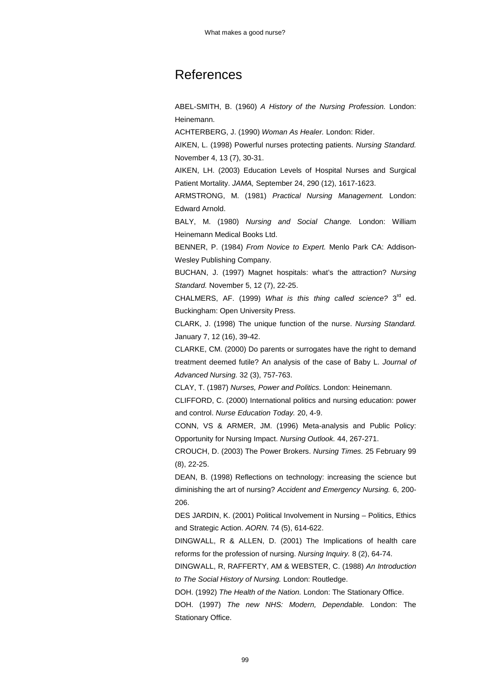## References

ABEL-SMITH, B. (1960) *A History of the Nursing Profession.* London: Heinemann.

ACHTERBERG, J. (1990) *Woman As Healer.* London: Rider.

AIKEN, L. (1998) Powerful nurses protecting patients. *Nursing Standard.* November 4, 13 (7), 30-31.

AIKEN, LH. (2003) Education Levels of Hospital Nurses and Surgical Patient Mortality. *JAMA,* September 24, 290 (12), 1617-1623.

ARMSTRONG, M. (1981) *Practical Nursing Management.* London: Edward Arnold.

BALY, M. (1980) *Nursing and Social Change.* London: William Heinemann Medical Books Ltd.

BENNER, P. (1984) *From Novice to Expert.* Menlo Park CA: Addison-Wesley Publishing Company.

BUCHAN, J. (1997) Magnet hospitals: what's the attraction? *Nursing Standard.* November 5, 12 (7), 22-25.

CHALMERS, AF. (1999) What is this thing called science? 3<sup>rd</sup> ed. Buckingham: Open University Press.

CLARK, J. (1998) The unique function of the nurse. *Nursing Standard.* January 7, 12 (16), 39-42.

CLARKE, CM. (2000) Do parents or surrogates have the right to demand treatment deemed futile? An analysis of the case of Baby L. *Journal of Advanced Nursing.* 32 (3), 757-763.

CLAY, T. (1987) *Nurses, Power and Politics.* London: Heinemann.

CLIFFORD, C. (2000) International politics and nursing education: power and control. *Nurse Education Today.* 20, 4-9.

CONN, VS & ARMER, JM. (1996) Meta-analysis and Public Policy: Opportunity for Nursing Impact. *Nursing Outlook.* 44, 267-271.

CROUCH, D. (2003) The Power Brokers. *Nursing Times.* 25 February 99 (8), 22-25.

DEAN, B. (1998) Reflections on technology: increasing the science but diminishing the art of nursing? *Accident and Emergency Nursing.* 6, 200- 206.

DES JARDIN, K. (2001) Political Involvement in Nursing – Politics, Ethics and Strategic Action. *AORN.* 74 (5), 614-622.

DINGWALL, R & ALLEN, D. (2001) The Implications of health care reforms for the profession of nursing. *Nursing Inquiry.* 8 (2), 64-74.

DINGWALL, R, RAFFERTY, AM & WEBSTER, C. (1988) *An Introduction to The Social History of Nursing.* London: Routledge.

DOH. (1992) *The Health of the Nation.* London: The Stationary Office.

DOH. (1997) *The new NHS: Modern, Dependable.* London: The Stationary Office.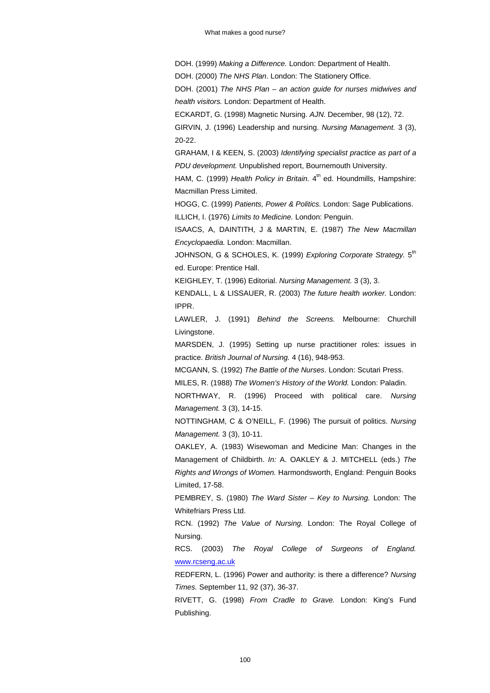DOH. (1999) *Making a Difference.* London: Department of Health.

DOH. (2000) *The NHS Plan*. London: The Stationery Office.

DOH. (2001) *The NHS Plan – an action guide for nurses midwives and health visitors.* London: Department of Health.

ECKARDT, G. (1998) Magnetic Nursing. *AJN.* December, 98 (12), 72.

GIRVIN, J. (1996) Leadership and nursing. *Nursing Management.* 3 (3), 20-22.

GRAHAM, I & KEEN, S. (2003) *Identifying specialist practice as part of a PDU development.* Unpublished report, Bournemouth University.

HAM, C. (1999) *Health Policy in Britain.* 4<sup>th</sup> ed. Houndmills, Hampshire: Macmillan Press Limited.

HOGG, C. (1999) *Patients, Power & Politics.* London: Sage Publications. ILLICH, I. (1976) *Limits to Medicine.* London: Penguin.

ISAACS, A, DAINTITH, J & MARTIN, E. (1987) *The New Macmillan Encyclopaedia.* London: Macmillan.

JOHNSON, G & SCHOLES, K. (1999) Exploring Corporate Strategy. 5<sup>th</sup> ed. Europe: Prentice Hall.

KEIGHLEY, T. (1996) Editorial. *Nursing Management.* 3 (3), 3.

KENDALL, L & LISSAUER, R. (2003) *The future health worker.* London: IPPR.

LAWLER, J. (1991) *Behind the Screens.* Melbourne: Churchill Livingstone.

MARSDEN, J. (1995) Setting up nurse practitioner roles: issues in practice. *British Journal of Nursing.* 4 (16), 948-953.

MCGANN, S. (1992) *The Battle of the Nurses*. London: Scutari Press.

MILES, R. (1988) *The Women's History of the World.* London: Paladin.

NORTHWAY, R. (1996) Proceed with political care. *Nursing Management.* 3 (3), 14-15.

NOTTINGHAM, C & O'NEILL, F. (1996) The pursuit of politics. *Nursing Management.* 3 (3), 10-11.

OAKLEY, A. (1983) Wisewoman and Medicine Man: Changes in the Management of Childbirth. *In:* A. OAKLEY & J. MITCHELL (eds.) *The Rights and Wrongs of Women.* Harmondsworth, England: Penguin Books Limited, 17-58.

PEMBREY, S. (1980) *The Ward Sister – Key to Nursing.* London: The Whitefriars Press Ltd.

RCN. (1992) *The Value of Nursing.* London: The Royal College of Nursing.

RCS. (2003) *The Royal College of Surgeons of England.* www.rcseng.ac.uk

REDFERN, L. (1996) Power and authority: is there a difference? *Nursing Times.* September 11, 92 (37), 36-37.

RIVETT, G. (1998) *From Cradle to Grave.* London: King's Fund Publishing.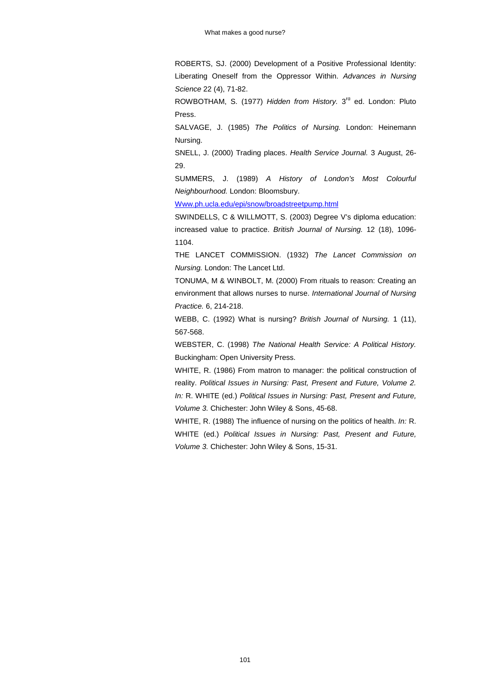ROBERTS, SJ. (2000) Development of a Positive Professional Identity: Liberating Oneself from the Oppressor Within. *Advances in Nursing Science* 22 (4), 71-82.

ROWBOTHAM, S. (1977) Hidden from History. 3<sup>rd</sup> ed. London: Pluto Press.

SALVAGE, J. (1985) *The Politics of Nursing.* London: Heinemann Nursing.

SNELL, J. (2000) Trading places. *Health Service Journal.* 3 August, 26- 29.

SUMMERS, J. (1989) *A History of London's Most Colourful Neighbourhood.* London: Bloomsbury.

Www.ph.ucla.edu/epi/snow/broadstreetpump.html

SWINDELLS, C & WILLMOTT, S. (2003) Degree V's diploma education: increased value to practice. *British Journal of Nursing.* 12 (18), 1096- 1104.

THE LANCET COMMISSION. (1932) *The Lancet Commission on Nursing.* London: The Lancet Ltd.

TONUMA, M & WINBOLT, M. (2000) From rituals to reason: Creating an environment that allows nurses to nurse. *International Journal of Nursing Practice.* 6, 214-218.

WEBB, C. (1992) What is nursing? *British Journal of Nursing.* 1 (11), 567-568.

WEBSTER, C. (1998) *The National Health Service: A Political History.* Buckingham: Open University Press.

WHITE, R. (1986) From matron to manager: the political construction of reality. *Political Issues in Nursing: Past, Present and Future, Volume 2. In:* R. WHITE (ed.) *Political Issues in Nursing: Past, Present and Future, Volume 3.* Chichester: John Wiley & Sons, 45-68.

WHITE, R. (1988) The influence of nursing on the politics of health. *In:* R. WHITE (ed.) *Political Issues in Nursing: Past, Present and Future, Volume 3.* Chichester: John Wiley & Sons, 15-31.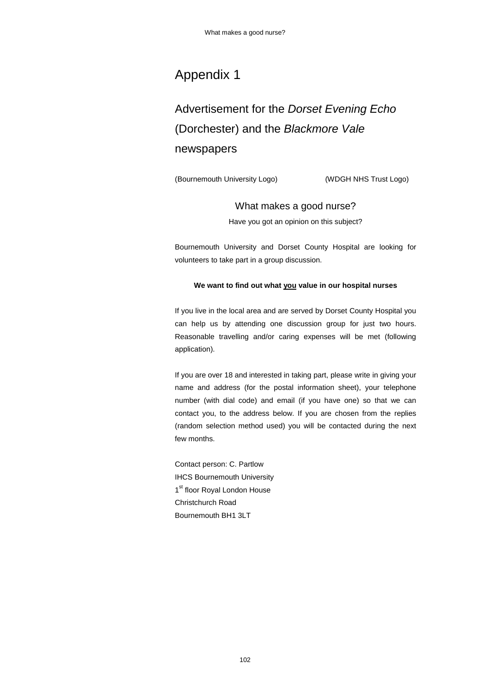# Appendix 1

# Advertisement for the *Dorset Evening Echo* (Dorchester) and the *Blackmore Vale* newspapers

(Bournemouth University Logo) (WDGH NHS Trust Logo)

### What makes a good nurse?

Have you got an opinion on this subject?

Bournemouth University and Dorset County Hospital are looking for volunteers to take part in a group discussion.

#### **We want to find out what you value in our hospital nurses**

If you live in the local area and are served by Dorset County Hospital you can help us by attending one discussion group for just two hours. Reasonable travelling and/or caring expenses will be met (following application).

If you are over 18 and interested in taking part, please write in giving your name and address (for the postal information sheet), your telephone number (with dial code) and email (if you have one) so that we can contact you, to the address below. If you are chosen from the replies (random selection method used) you will be contacted during the next few months.

Contact person: C. Partlow IHCS Bournemouth University 1<sup>st</sup> floor Royal London House Christchurch Road Bournemouth BH1 3LT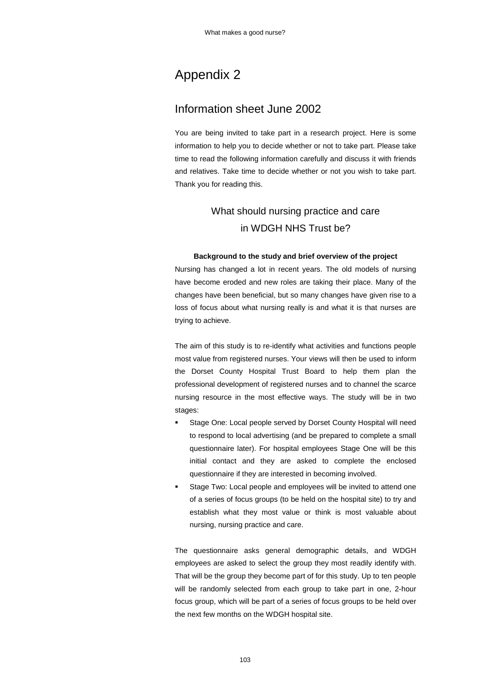# Appendix 2

## Information sheet June 2002

You are being invited to take part in a research project. Here is some information to help you to decide whether or not to take part. Please take time to read the following information carefully and discuss it with friends and relatives. Take time to decide whether or not you wish to take part. Thank you for reading this.

# What should nursing practice and care in WDGH NHS Trust be?

#### **Background to the study and brief overview of the project**

Nursing has changed a lot in recent years. The old models of nursing have become eroded and new roles are taking their place. Many of the changes have been beneficial, but so many changes have given rise to a loss of focus about what nursing really is and what it is that nurses are trying to achieve.

The aim of this study is to re-identify what activities and functions people most value from registered nurses. Your views will then be used to inform the Dorset County Hospital Trust Board to help them plan the professional development of registered nurses and to channel the scarce nursing resource in the most effective ways. The study will be in two stages:

- Stage One: Local people served by Dorset County Hospital will need to respond to local advertising (and be prepared to complete a small questionnaire later). For hospital employees Stage One will be this initial contact and they are asked to complete the enclosed questionnaire if they are interested in becoming involved.
- Stage Two: Local people and employees will be invited to attend one of a series of focus groups (to be held on the hospital site) to try and establish what they most value or think is most valuable about nursing, nursing practice and care.

The questionnaire asks general demographic details, and WDGH employees are asked to select the group they most readily identify with. That will be the group they become part of for this study. Up to ten people will be randomly selected from each group to take part in one, 2-hour focus group, which will be part of a series of focus groups to be held over the next few months on the WDGH hospital site.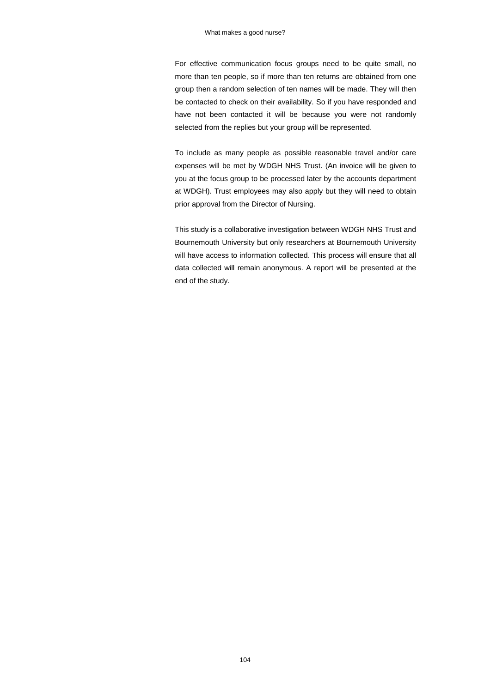For effective communication focus groups need to be quite small, no more than ten people, so if more than ten returns are obtained from one group then a random selection of ten names will be made. They will then be contacted to check on their availability. So if you have responded and have not been contacted it will be because you were not randomly selected from the replies but your group will be represented.

To include as many people as possible reasonable travel and/or care expenses will be met by WDGH NHS Trust. (An invoice will be given to you at the focus group to be processed later by the accounts department at WDGH). Trust employees may also apply but they will need to obtain prior approval from the Director of Nursing.

This study is a collaborative investigation between WDGH NHS Trust and Bournemouth University but only researchers at Bournemouth University will have access to information collected. This process will ensure that all data collected will remain anonymous. A report will be presented at the end of the study.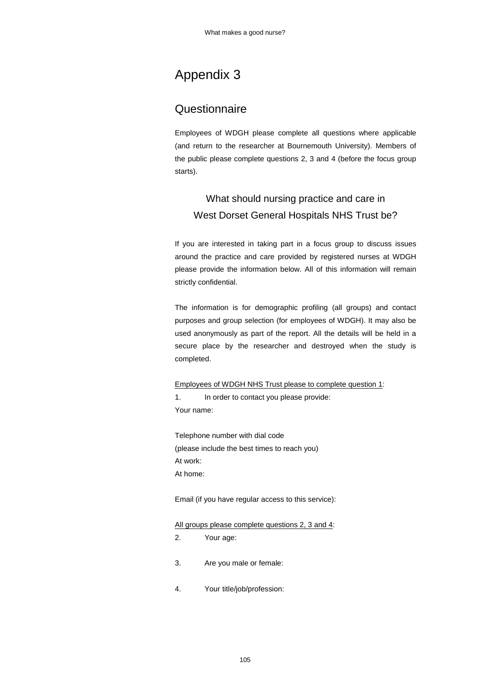# Appendix 3

## **Questionnaire**

Employees of WDGH please complete all questions where applicable (and return to the researcher at Bournemouth University). Members of the public please complete questions 2, 3 and 4 (before the focus group starts).

## What should nursing practice and care in West Dorset General Hospitals NHS Trust be?

If you are interested in taking part in a focus group to discuss issues around the practice and care provided by registered nurses at WDGH please provide the information below. All of this information will remain strictly confidential.

The information is for demographic profiling (all groups) and contact purposes and group selection (for employees of WDGH). It may also be used anonymously as part of the report. All the details will be held in a secure place by the researcher and destroyed when the study is completed.

#### Employees of WDGH NHS Trust please to complete question 1:

1. In order to contact you please provide:

Your name:

Telephone number with dial code (please include the best times to reach you) At work: At home:

Email (if you have regular access to this service):

#### All groups please complete questions 2, 3 and 4:

- 2. Your age:
- 3. Are you male or female:
- 4. Your title/job/profession: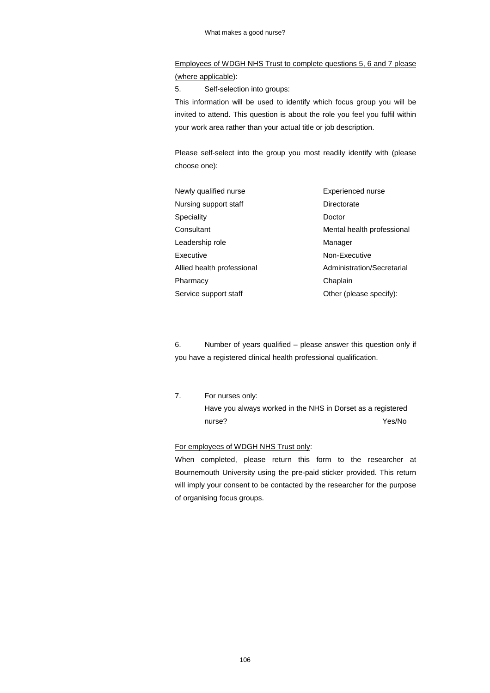Employees of WDGH NHS Trust to complete questions 5, 6 and 7 please (where applicable):

5. Self-selection into groups:

This information will be used to identify which focus group you will be invited to attend. This question is about the role you feel you fulfil within your work area rather than your actual title or job description.

Please self-select into the group you most readily identify with (please choose one):

| Newly qualified nurse      | Experienced nurse          |  |
|----------------------------|----------------------------|--|
| Nursing support staff      | Directorate                |  |
| Speciality                 | Doctor                     |  |
| Consultant                 | Mental health professional |  |
| Leadership role            | Manager                    |  |
| Executive                  | Non-Executive              |  |
| Allied health professional | Administration/Secretarial |  |
| Pharmacy                   | Chaplain                   |  |
| Service support staff      | Other (please specify):    |  |

6. Number of years qualified – please answer this question only if you have a registered clinical health professional qualification.

7. For nurses only: Have you always worked in the NHS in Dorset as a registered

nurse? Yes/No

### For employees of WDGH NHS Trust only:

When completed, please return this form to the researcher at Bournemouth University using the pre-paid sticker provided. This return will imply your consent to be contacted by the researcher for the purpose of organising focus groups.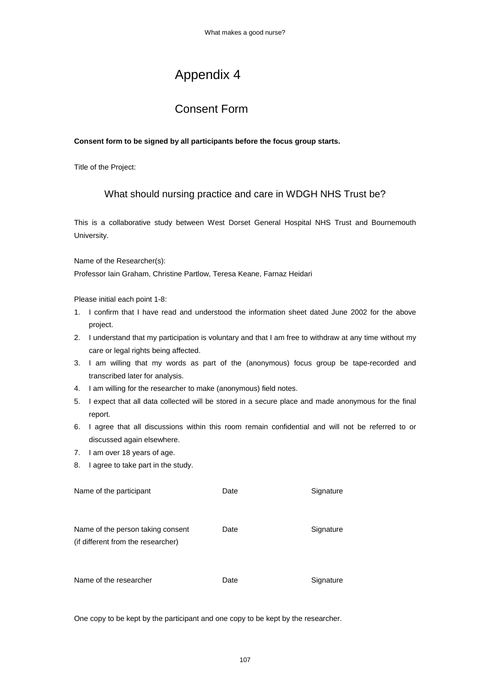# Appendix 4

## Consent Form

### **Consent form to be signed by all participants before the focus group starts.**

Title of the Project:

## What should nursing practice and care in WDGH NHS Trust be?

This is a collaborative study between West Dorset General Hospital NHS Trust and Bournemouth University.

### Name of the Researcher(s):

Professor Iain Graham, Christine Partlow, Teresa Keane, Farnaz Heidari

Please initial each point 1-8:

- 1. I confirm that I have read and understood the information sheet dated June 2002 for the above project.
- 2. I understand that my participation is voluntary and that I am free to withdraw at any time without my care or legal rights being affected.
- 3. I am willing that my words as part of the (anonymous) focus group be tape-recorded and transcribed later for analysis.
- 4. I am willing for the researcher to make (anonymous) field notes.
- 5. I expect that all data collected will be stored in a secure place and made anonymous for the final report.
- 6. I agree that all discussions within this room remain confidential and will not be referred to or discussed again elsewhere.
- 7. I am over 18 years of age.
- 8. I agree to take part in the study.

| Name of the participant                                                 | Date | Signature |
|-------------------------------------------------------------------------|------|-----------|
| Name of the person taking consent<br>(if different from the researcher) | Date | Signature |
| Name of the researcher                                                  | Date | Signature |

One copy to be kept by the participant and one copy to be kept by the researcher.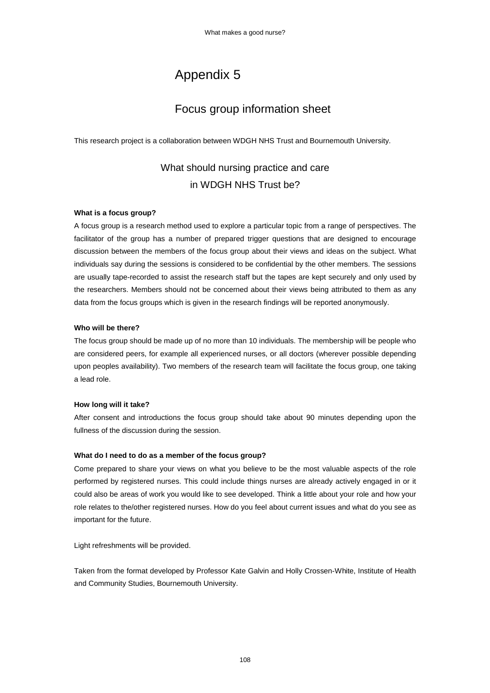# Appendix 5

## Focus group information sheet

This research project is a collaboration between WDGH NHS Trust and Bournemouth University.

# What should nursing practice and care in WDGH NHS Trust be?

#### **What is a focus group?**

A focus group is a research method used to explore a particular topic from a range of perspectives. The facilitator of the group has a number of prepared trigger questions that are designed to encourage discussion between the members of the focus group about their views and ideas on the subject. What individuals say during the sessions is considered to be confidential by the other members. The sessions are usually tape-recorded to assist the research staff but the tapes are kept securely and only used by the researchers. Members should not be concerned about their views being attributed to them as any data from the focus groups which is given in the research findings will be reported anonymously.

#### **Who will be there?**

The focus group should be made up of no more than 10 individuals. The membership will be people who are considered peers, for example all experienced nurses, or all doctors (wherever possible depending upon peoples availability). Two members of the research team will facilitate the focus group, one taking a lead role.

#### **How long will it take?**

After consent and introductions the focus group should take about 90 minutes depending upon the fullness of the discussion during the session.

#### **What do I need to do as a member of the focus group?**

Come prepared to share your views on what you believe to be the most valuable aspects of the role performed by registered nurses. This could include things nurses are already actively engaged in or it could also be areas of work you would like to see developed. Think a little about your role and how your role relates to the/other registered nurses. How do you feel about current issues and what do you see as important for the future.

Light refreshments will be provided.

Taken from the format developed by Professor Kate Galvin and Holly Crossen-White, Institute of Health and Community Studies, Bournemouth University.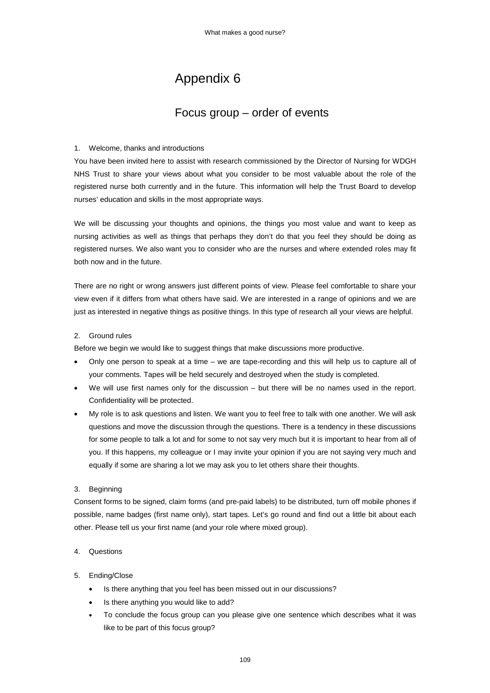# Appendix 6

## Focus group – order of events

### 1. Welcome, thanks and introductions

You have been invited here to assist with research commissioned by the Director of Nursing for WDGH NHS Trust to share your views about what you consider to be most valuable about the role of the registered nurse both currently and in the future. This information will help the Trust Board to develop nurses' education and skills in the most appropriate ways.

We will be discussing your thoughts and opinions, the things you most value and want to keep as nursing activities as well as things that perhaps they don't do that you feel they should be doing as registered nurses. We also want you to consider who are the nurses and where extended roles may fit both now and in the future.

There are no right or wrong answers just different points of view. Please feel comfortable to share your view even if it differs from what others have said. We are interested in a range of opinions and we are just as interested in negative things as positive things. In this type of research all your views are helpful.

#### 2. Ground rules

Before we begin we would like to suggest things that make discussions more productive.

- Only one person to speak at a time we are tape-recording and this will help us to capture all of your comments. Tapes will be held securely and destroyed when the study is completed.
- We will use first names only for the discussion but there will be no names used in the report. Confidentiality will be protected.
- My role is to ask questions and listen. We want you to feel free to talk with one another. We will ask questions and move the discussion through the questions. There is a tendency in these discussions for some people to talk a lot and for some to not say very much but it is important to hear from all of you. If this happens, my colleague or I may invite your opinion if you are not saying very much and equally if some are sharing a lot we may ask you to let others share their thoughts.

### 3. Beginning

Consent forms to be signed, claim forms (and pre-paid labels) to be distributed, turn off mobile phones if possible, name badges (first name only), start tapes. Let's go round and find out a little bit about each other. Please tell us your first name (and your role where mixed group).

### 4. Questions

### 5. Ending/Close

- Is there anything that you feel has been missed out in our discussions?
- Is there anything you would like to add?
- To conclude the focus group can you please give one sentence which describes what it was like to be part of this focus group?